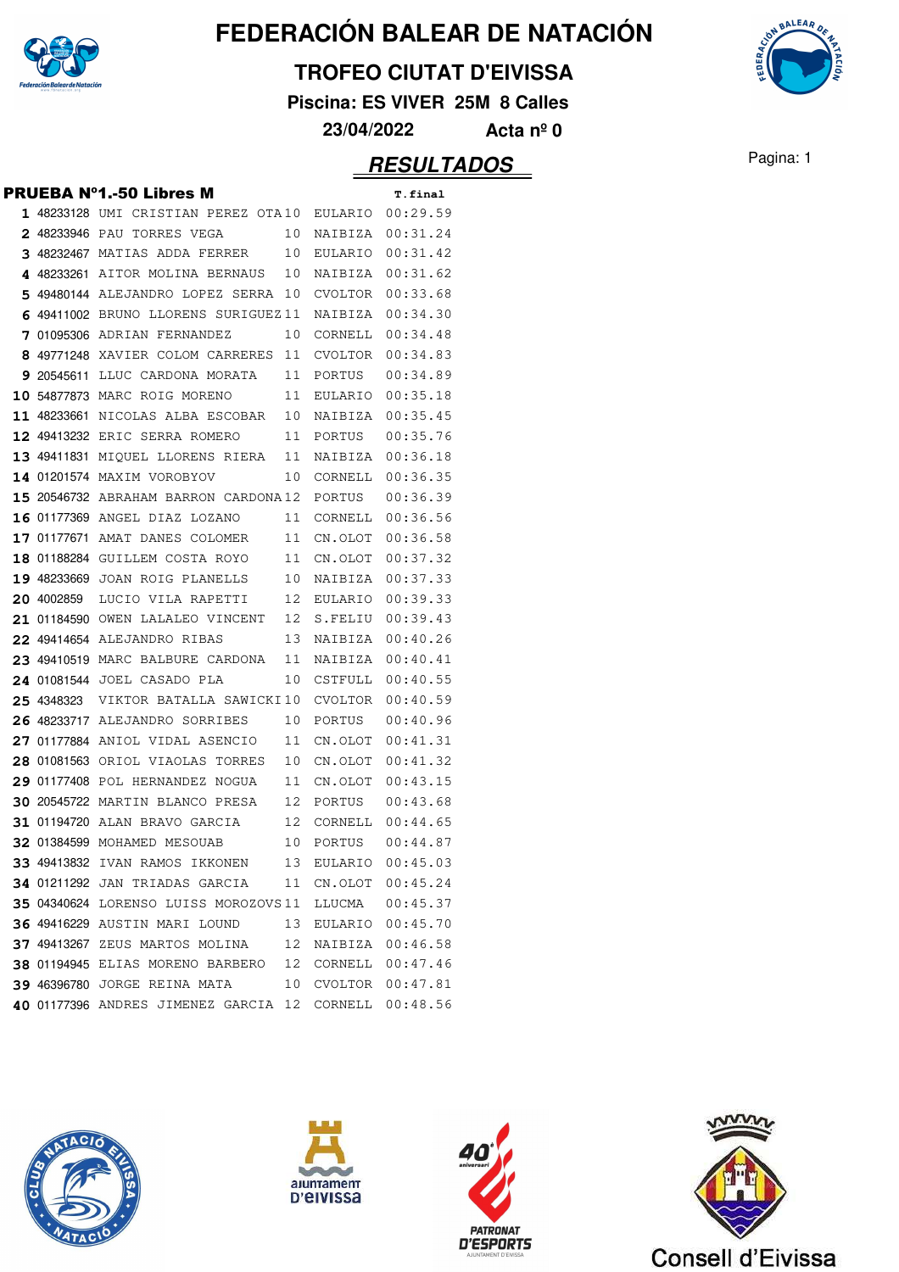

#### **TROFEO CIUTAT D'EIVISSA**

**Piscina: ES VIVER 25M 8 Calles**

**23/04/2022 Acta nº 0**

### Pagina: 1 **RESULTADOS**

|  | <b>PRUEBA N°1.-50 Libres M</b>                         |    |                     | T.final          |
|--|--------------------------------------------------------|----|---------------------|------------------|
|  | 1 48233128 UMI CRISTIAN PEREZ OTA10 EULARIO 00:29.59   |    |                     |                  |
|  | <b>2</b> 48233946 PAU TORRES VEGA                      |    | 10 NAIBIZA 00:31.24 |                  |
|  | 3 48232467 MATIAS ADDA FERRER 10 EULARIO 00:31.42      |    |                     |                  |
|  | 4 48233261 AITOR MOLINA BERNAUS 10 NAIBIZA 00:31.62    |    |                     |                  |
|  | 5 49480144 ALEJANDRO LOPEZ SERRA 10 CVOLTOR 00:33.68   |    |                     |                  |
|  | 6 49411002 BRUNO LLORENS SURIGUEZ11 NAIBIZA 00:34.30   |    |                     |                  |
|  | 7 01095306 ADRIAN FERNANDEZ 10                         |    | CORNELL             | 00:34.48         |
|  | 8 49771248 XAVIER COLOM CARRERES 11 CVOLTOR 00:34.83   |    |                     |                  |
|  | 9 20545611 LLUC CARDONA MORATA 11 PORTUS               |    |                     | 00:34.89         |
|  | 10 54877873 MARC ROIG MORENO 11 EULARIO 00:35.18       |    |                     |                  |
|  | 11 48233661 NICOLAS ALBA ESCOBAR 10 NAIBIZA 00:35.45   |    |                     |                  |
|  | 12 49413232 ERIC SERRA ROMERO 11 PORTUS 00:35.76       |    |                     |                  |
|  | 13 49411831 MIQUEL LLORENS RIERA 11 NAIBIZA 00:36.18   |    |                     |                  |
|  | 14 01201574 MAXIM VOROBYOV 10 CORNELL 00:36.35         |    |                     |                  |
|  | <b>15</b> 20546732 ABRAHAM BARRON CARDONA12 PORTUS     |    |                     | 00:36.39         |
|  | 16 01177369 ANGEL DIAZ LOZANO 11 CORNELL 00:36.56      |    |                     |                  |
|  | 17 01177671 AMAT DANES COLOMER 11 CN.OLOT 00:36.58     |    |                     |                  |
|  | 18 01188284 GUILLEM COSTA ROYO 11 CN.OLOT 00:37.32     |    |                     |                  |
|  | 19 48233669 JOAN ROIG PLANELLS 10 NAIBIZA 00:37.33     |    |                     |                  |
|  | 20 4002859 LUCIO VILA RAPETTI 12 EULARIO 00:39.33      |    |                     |                  |
|  | 21 01184590 OWEN LALALEO VINCENT 12 S.FELIU 00:39.43   |    |                     |                  |
|  | 22 49414654 ALEJANDRO RIBAS 13 NAIBIZA 00:40.26        |    |                     |                  |
|  | 23 49410519 MARC BALBURE CARDONA 11 NAIBIZA 00:40.41   |    |                     |                  |
|  | 24 01081544 JOEL CASADO PLA                            |    | 10 CSTFULL          | 00:40.55         |
|  | 25 4348323 VIKTOR BATALLA SAWICKI10 CVOLTOR 00:40.59   |    |                     |                  |
|  | 26 48233717 ALEJANDRO SORRIBES                         | 10 | PORTUS              | 00:40.96         |
|  | 27 01177884 ANIOL VIDAL ASENCIO                        |    | 11 CN.OLOT          | 00:41.31         |
|  | 28 01081563 ORIOL VIAOLAS TORRES                       |    | 10 CN.OLOT 00:41.32 |                  |
|  | 29 01177408 POL HERNANDEZ NOGUA 11 CN.OLOT 00:43.15    |    |                     |                  |
|  | 30 20545722 MARTIN BLANCO PRESA 12 PORTUS              |    |                     | 00:43.68         |
|  | 31 01194720 ALAN BRAVO GARCIA 12                       |    |                     | CORNELL 00:44.65 |
|  | 32 01384599 MOHAMED MESOUAB 10 PORTUS                  |    |                     | 00:44.87         |
|  | 33 49413832 IVAN RAMOS IKKONEN 13 EULARIO 00:45.03     |    |                     |                  |
|  | 34 01211292 JAN TRIADAS GARCIA 11 CN.OLOT 00:45.24     |    |                     |                  |
|  | 35 04340624 LORENSO LUISS MOROZOVS 11 LLUCMA  00:45.37 |    |                     |                  |
|  | 36 49416229 AUSTIN MARI LOUND 13 EULARIO 00:45.70      |    |                     |                  |
|  | 37 49413267 ZEUS MARTOS MOLINA 12 NAIBIZA 00:46.58     |    |                     |                  |
|  | 38 01194945 ELIAS MORENO BARBERO 12 CORNELL 00:47.46   |    |                     |                  |
|  | 39 46396780 JORGE REINA MATA 10 CVOLTOR 00:47.81       |    |                     |                  |
|  | 40 01177396 ANDRES JIMENEZ GARCIA 12 CORNELL 00:48.56  |    |                     |                  |
|  |                                                        |    |                     |                  |









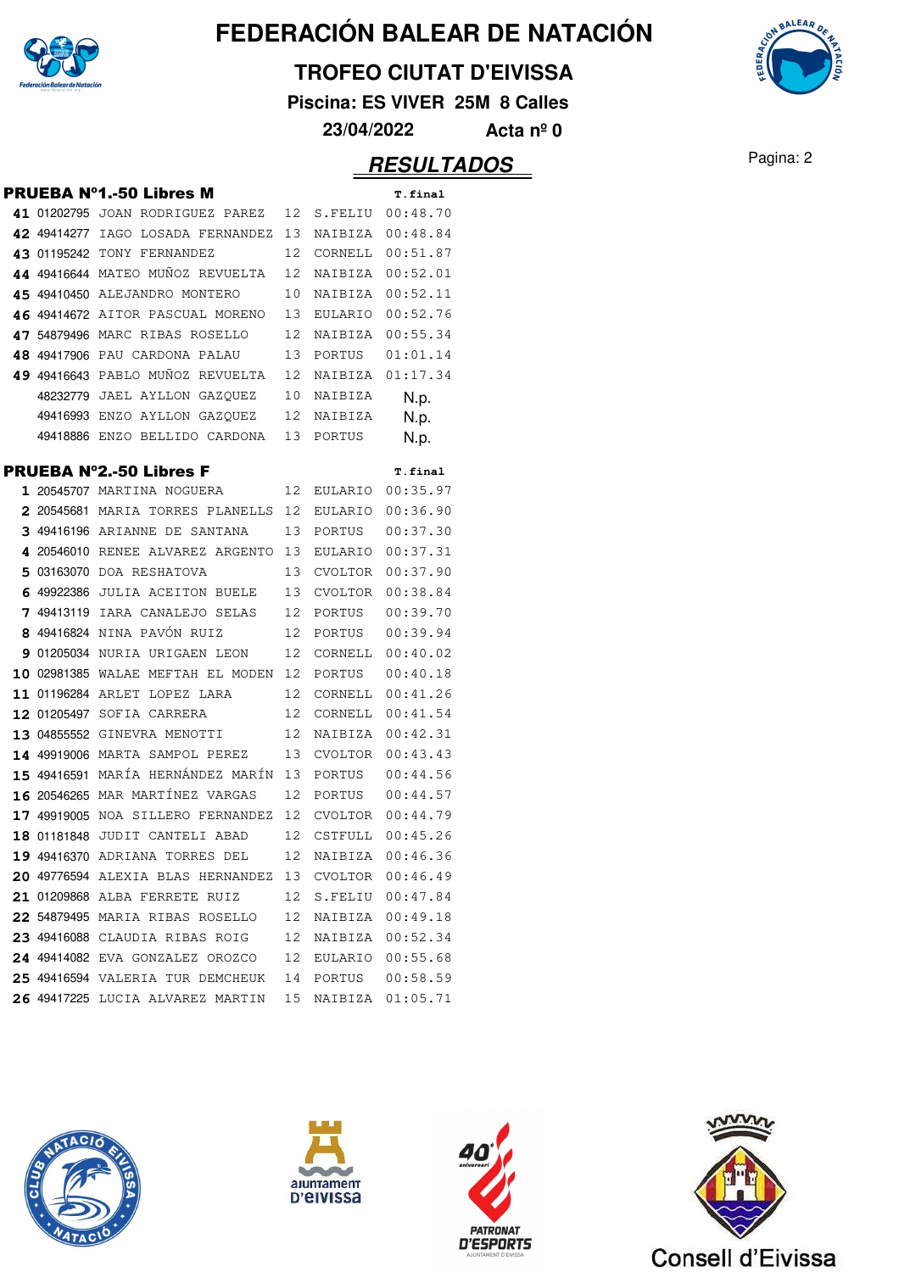

#### **TROFEO CIUTAT D'EIVISSA**

**Piscina: ES VIVER 25M 8 Calles**

**23/04/2022 Acta nº 0**

## Pagina: 2 **RESULTADOS**

|  | PRUEBA Nº1.-50 Libres M                               |    |            | T.final                     |
|--|-------------------------------------------------------|----|------------|-----------------------------|
|  | 41 01202795 JOAN RODRIGUEZ PAREZ 12 S.FELIU           |    |            | 00:48.70                    |
|  | 42 49414277 IAGO LOSADA FERNANDEZ 13 NAIBIZA 00:48.84 |    |            |                             |
|  | 43 01195242 TONY FERNANDEZ                            |    |            | 12 CORNELL 00:51.87         |
|  | 44 49416644 MATEO MUÑOZ REVUELTA                      | 12 | NAIBIZA    | 00:52.01                    |
|  | 45 49410450 ALEJANDRO MONTERO                         | 10 | NAIBIZA    | 00:52.11                    |
|  | 46 49414672 AITOR PASCUAL MORENO                      |    | 13 EULARIO | 00:52.76                    |
|  | 47 54879496 MARC RIBAS ROSELLO                        | 12 | NAIBIZA    | 00:55.34                    |
|  | 48 49417906 PAU CARDONA PALAU                         |    | 13 PORTUS  | 01:01.14                    |
|  | 49 49416643 PABLO MUÑOZ REVUELTA 12 NAIBIZA           |    |            | 01:17.34                    |
|  | 48232779 JAEL AYLLON GAZQUEZ 10 NAIBIZA               |    |            | N.p.                        |
|  | 49416993 ENZO AYLLON GAZQUEZ 12 NAIBIZA               |    |            | N.p.                        |
|  | 49418886 ENZO BELLIDO CARDONA                         | 13 | PORTUS     | N.p.                        |
|  |                                                       |    |            |                             |
|  | PRUEBA N°2.-50 Libres F<br>1 20545707 MARTINA NOGUERA | 12 |            | T.final<br>EULARIO 00:35.97 |
|  | 2 20545681 MARIA TORRES PLANELLS 12                   |    | EULARIO    | 00:36.90                    |
|  | 3 49416196 ARIANNE DE SANTANA 13 PORTUS               |    |            | 00:37.30                    |
|  | 4 20546010 RENEE ALVAREZ ARGENTO 13 EULARIO           |    |            | 00:37.31                    |
|  | 5 03163070 DOA RESHATOVA                              |    | 13 CVOLTOR | 00:37.90                    |
|  | 6 49922386 JULIA ACEITON BUELE                        |    | 13 CVOLTOR | 00:38.84                    |
|  | 7 49413119 IARA CANALEJO SELAS 12 PORTUS              |    |            | 00:39.70                    |
|  | 8 49416824 NINA PAVÓN RUIZ                            |    | 12 PORTUS  | 00:39.94                    |
|  | 901205034 NURIA URIGAEN LEON 12                       |    | CORNELL    | 00:40.02                    |
|  | 10 02981385 WALAE MEFTAH EL MODEN 12                  |    | PORTUS     | 00:40.18                    |
|  | 11 01196284 ARLET LOPEZ LARA                          | 12 | CORNELL    | 00:41.26                    |
|  | 12 01205497 SOFIA CARRERA                             | 12 | CORNELL    | 00:41.54                    |
|  | 13 04855552 GINEVRA MENOTTI                           | 12 | NAIBIZA    | 00:42.31                    |
|  | 14 49919006 MARTA SAMPOL PEREZ                        |    | 13 CVOLTOR | 00:43.43                    |
|  | 15 49416591 MARÍA HERNÁNDEZ MARÍN 13 PORTUS           |    |            | 00:44.56                    |
|  | 16 20546265 MAR MARTÍNEZ VARGAS                       |    |            | 12 PORTUS 00:44.57          |
|  | 17 49919005 NOA SILLERO FERNANDEZ 12 CVOLTOR 00:44.79 |    |            |                             |
|  | 18 01181848 JUDIT CANTELI ABAD                        | 12 | CSTFULL    | 00:45.26                    |
|  | 19 49416370 ADRIANA TORRES DEL 12 NAIBIZA 00:46.36    |    |            |                             |
|  | 20 49776594 ALEXIA BLAS HERNANDEZ 13 CVOLTOR 00:46.49 |    |            |                             |
|  | 21 01209868 ALBA FERRETE RUIZ                         |    |            | 12 S.FELIU 00:47.84         |
|  | 22 54879495 MARIA RIBAS ROSELLO                       | 12 |            | NAIBIZA 00:49.18            |
|  | 23 49416088 CLAUDIA RIBAS ROIG 12 NAIBIZA             |    |            | 00:52.34                    |
|  | 24 49414082 EVA GONZALEZ OROZCO                       |    |            | 12 EULARIO 00:55.68         |
|  | 25 49416594 VALERIA TUR DEMCHEUK                      |    |            | 14 PORTUS 00:58.59          |
|  | 26 49417225 LUCIA ALVAREZ MARTIN 15                   |    |            | NAIBIZA 01:05.71            |
|  |                                                       |    |            |                             |









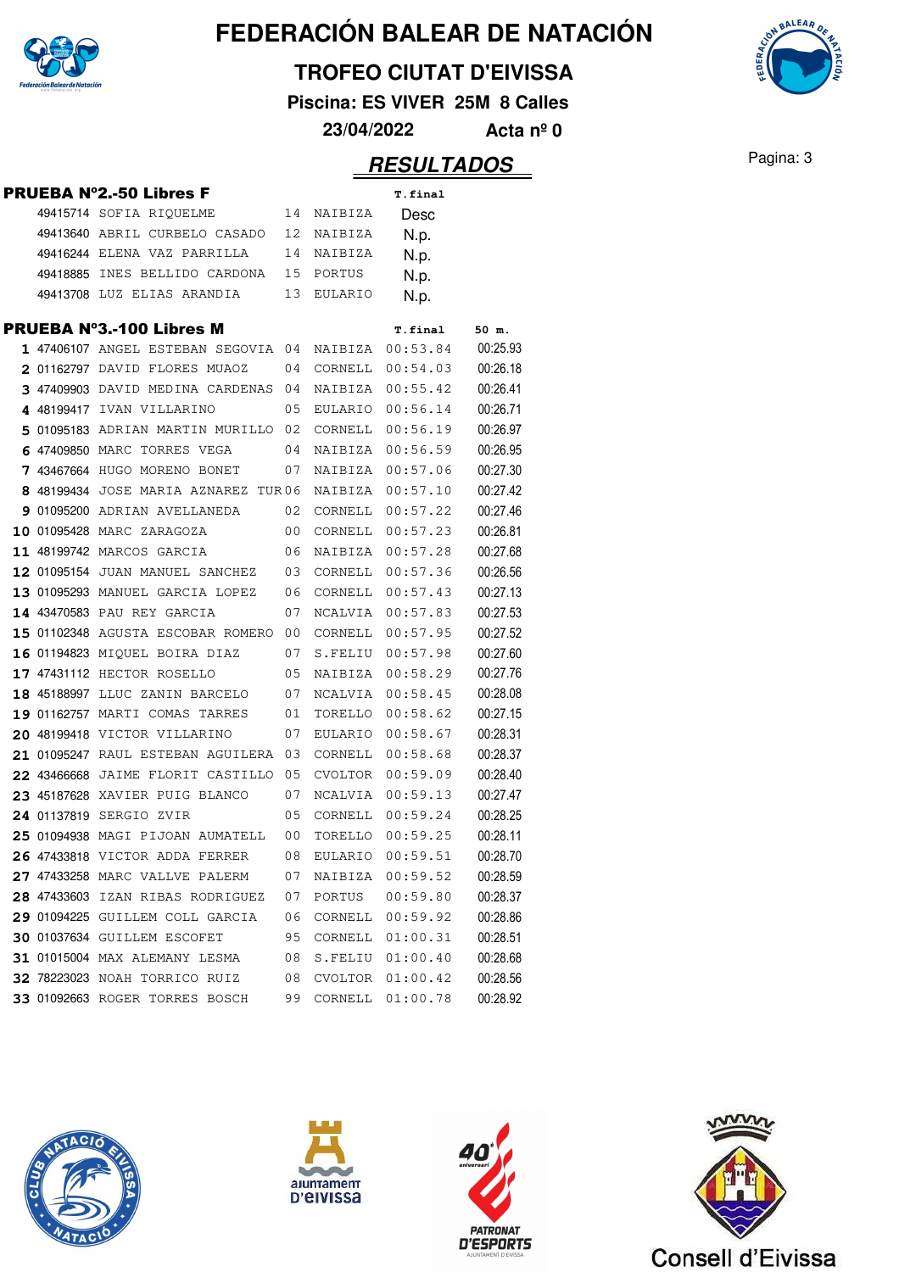

**TROFEO CIUTAT D'EIVISSA**

**Piscina: ES VIVER 25M 8 Calles**

**23/04/2022 Acta nº 0**

|  | PRUEBA N°2.-50 Libres F              |    |            | T.final        |          |
|--|--------------------------------------|----|------------|----------------|----------|
|  | 49415714 SOFIA RIQUELME              |    | 14 NAIBIZA | Desc           |          |
|  | 49413640 ABRIL CURBELO CASADO        | 12 | NAIBIZA    | N.p.           |          |
|  | 49416244 ELENA VAZ PARRILLA          | 14 | NAIBIZA    | N.p.           |          |
|  | 49418885 INES BELLIDO CARDONA        | 15 | PORTUS     | N.p.           |          |
|  | 49413708 LUZ ELIAS ARANDIA           | 13 | EULARIO    | N.p.           |          |
|  | PRUEBA Nº3.-100 Libres M             |    |            | <b>T.final</b> | 50 m.    |
|  | 1 47406107 ANGEL ESTEBAN SEGOVIA 04  |    | NAIBIZA    | 00:53.84       | 00:25.93 |
|  | 2 01162797 DAVID FLORES MUAOZ        | 04 | CORNELL    | 00:54.03       | 00:26.18 |
|  | 3 47409903 DAVID MEDINA CARDENAS 04  |    | NAIBIZA    | 00:55.42       | 00:26.41 |
|  | 4 48199417 IVAN VILLARINO            | 05 | EULARIO    | 00:56.14       | 00:26.71 |
|  | 5 01095183 ADRIAN MARTIN MURILLO 02  |    | CORNELL    | 00:56.19       | 00:26.97 |
|  | 6 47409850 MARC TORRES VEGA          | 04 | NAIBIZA    | 00:56.59       | 00:26.95 |
|  | 7 43467664 HUGO MORENO BONET         | 07 | NAIBIZA    | 00:57.06       | 00:27.30 |
|  | 8 48199434 JOSE MARIA AZNAREZ TUR06  |    | NAIBIZA    | 00:57.10       | 00:27.42 |
|  | 9 01095200 ADRIAN AVELLANEDA         | 02 | CORNELL    | 00:57.22       | 00:27.46 |
|  | 10 01095428 MARC ZARAGOZA            | 00 | CORNELL    | 00:57.23       | 00:26.81 |
|  | 11 48199742 MARCOS GARCIA            | 06 | NAIBIZA    | 00:57.28       | 00:27.68 |
|  | 12 01095154 JUAN MANUEL SANCHEZ 03   |    | CORNELL    | 00:57.36       | 00:26.56 |
|  | 13 01095293 MANUEL GARCIA LOPEZ 06   |    | CORNELL    | 00:57.43       | 00:27.13 |
|  | 14 43470583 PAU REY GARCIA           | 07 | NCALVIA    | 00:57.83       | 00:27.53 |
|  | 15 01102348 AGUSTA ESCOBAR ROMERO 00 |    | CORNELL    | 00:57.95       | 00:27.52 |
|  | 16 01194823 MIOUEL BOIRA DIAZ        | 07 | S.FELIU    | 00:57.98       | 00:27.60 |
|  | 17 47431112 HECTOR ROSELLO           | 05 | NAIBIZA    | 00:58.29       | 00:27.76 |
|  | 18 45188997 LLUC ZANIN BARCELO       | 07 | NCALVIA    | 00:58.45       | 00:28.08 |
|  | 19 01162757 MARTI COMAS TARRES       | 01 | TORELLO    | 00:58.62       | 00:27.15 |
|  | 20 48199418 VICTOR VILLARINO         | 07 | EULARIO    | 00:58.67       | 00:28.31 |
|  | 21 01095247 RAUL ESTEBAN AGUILERA 03 |    | CORNELL    | 00:58.68       | 00:28.37 |
|  | 22 43466668 JAIME FLORIT CASTILLO 05 |    | CVOLTOR    | 00:59.09       | 00:28.40 |
|  | 23 45187628 XAVIER PUIG BLANCO       | 07 | NCALVIA    | 00:59.13       | 00:27.47 |
|  | 24 01137819 SERGIO ZVIR              | 05 | CORNELL    | 00:59.24       | 00:28.25 |
|  | 25 01094938 MAGI PIJOAN AUMATELL     | 00 | TORELLO    | 00:59.25       | 00:28.11 |
|  | 26 47433818 VICTOR ADDA FERRER       | 08 | EULARIO    | 00:59.51       | 00:28.70 |
|  | 27 47433258 MARC VALLVE PALERM       | 07 | NAIBIZA    | 00:59.52       | 00:28.59 |
|  | 28 47433603 IZAN RIBAS RODRIGUEZ     | 07 | PORTUS     | 00:59.80       | 00:28.37 |
|  | 29 01094225 GUILLEM COLL GARCIA      | 06 | CORNELL    | 00:59.92       | 00:28.86 |
|  | 30 01037634 GUILLEM ESCOFET          | 95 | CORNELL    | 01:00.31       | 00:28.51 |
|  | <b>31 01015004 MAX ALEMANY LESMA</b> | 08 | S.FELIU    | 01:00.40       | 00:28.68 |
|  | 32 78223023 NOAH TORRICO RUIZ        | 08 | CVOLTOR    | 01:00.42       | 00:28.56 |
|  | 33 01092663 ROGER TORRES BOSCH       | 99 | CORNELL    | 01:00.78       | 00:28.92 |
|  |                                      |    |            |                |          |









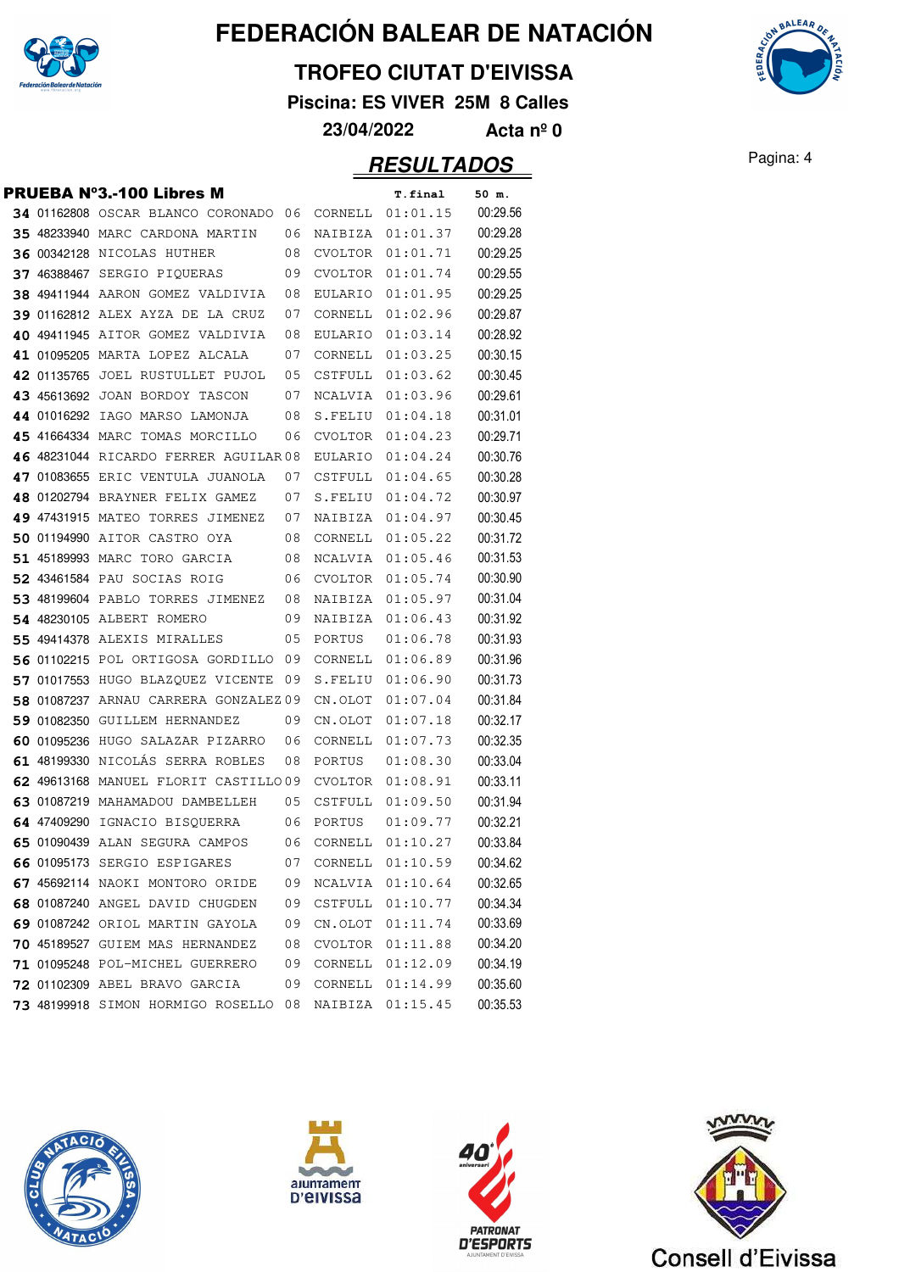

#### **TROFEO CIUTAT D'EIVISSA**

**Piscina: ES VIVER 25M 8 Calles**

**23/04/2022 Acta nº 0**

|  | <b>PRUEBA N°3.-100 Libres M</b>       |    |         | <b>T.final</b>   | 50 m.    |
|--|---------------------------------------|----|---------|------------------|----------|
|  | 34 01162808 OSCAR BLANCO CORONADO 06  |    | CORNELL | 01:01.15         | 00:29.56 |
|  | 35 48233940 MARC CARDONA MARTIN       | 06 | NAIBIZA | 01:01.37         | 00:29.28 |
|  | <b>36 00342128 NICOLAS HUTHER</b>     | 08 | CVOLTOR | 01:01.71         | 00:29.25 |
|  | 37 46388467 SERGIO PIQUERAS           | 09 | CVOLTOR | 01:01.74         | 00:29.55 |
|  | 38 49411944 AARON GOMEZ VALDIVIA      | 08 | EULARIO | 01:01.95         | 00:29.25 |
|  | 39 01162812 ALEX AYZA DE LA CRUZ      | 07 | CORNELL | 01:02.96         | 00:29.87 |
|  | 40 49411945 AITOR GOMEZ VALDIVIA      | 08 | EULARIO | 01:03.14         | 00:28.92 |
|  | 41 01095205 MARTA LOPEZ ALCALA        | 07 | CORNELL | 01:03.25         | 00:30.15 |
|  | 42 01135765 JOEL RUSTULLET PUJOL      | 05 | CSTFULL | 01:03.62         | 00:30.45 |
|  | 43 45613692 JOAN BORDOY TASCON        | 07 | NCALVIA | 01:03.96         | 00:29.61 |
|  | 44 01016292 IAGO MARSO LAMONJA        | 08 | S.FELIU | 01:04.18         | 00:31.01 |
|  | 45 41664334 MARC TOMAS MORCILLO       | 06 | CVOLTOR | 01:04.23         | 00:29.71 |
|  | 46 48231044 RICARDO FERRER AGUILAR 08 |    | EULARIO | 01:04.24         | 00:30.76 |
|  | 47 01083655 ERIC VENTULA JUANOLA      | 07 | CSTFULL | 01:04.65         | 00:30.28 |
|  | 48 01202794 BRAYNER FELIX GAMEZ       | 07 | S.FELIU | 01:04.72         | 00:30.97 |
|  | 49 47431915 MATEO TORRES JIMENEZ      | 07 | NAIBIZA | 01:04.97         | 00:30.45 |
|  | 50 01194990 AITOR CASTRO OYA          | 08 | CORNELL | 01:05.22         | 00:31.72 |
|  | 51 45189993 MARC TORO GARCIA          | 08 | NCALVIA | 01:05.46         | 00:31.53 |
|  | 52 43461584 PAU SOCIAS ROIG           | 06 | CVOLTOR | 01:05.74         | 00:30.90 |
|  | 53 48199604 PABLO TORRES JIMENEZ      | 08 | NAIBIZA | 01:05.97         | 00:31.04 |
|  | 54 48230105 ALBERT ROMERO             | 09 | NAIBIZA | 01:06.43         | 00:31.92 |
|  | 55 49414378 ALEXIS MIRALLES           | 05 | PORTUS  | 01:06.78         | 00:31.93 |
|  | 56 01102215 POL ORTIGOSA GORDILLO     | 09 | CORNELL | 01:06.89         | 00:31.96 |
|  | 57 01017553 HUGO BLAZQUEZ VICENTE     | 09 | S.FELIU | 01:06.90         | 00:31.73 |
|  | 58 01087237 ARNAU CARRERA GONZALEZ 09 |    | CN.OLOT | 01:07.04         | 00:31.84 |
|  | 59 01082350 GUILLEM HERNANDEZ         | 09 | CN.OLOT | 01:07.18         | 00:32.17 |
|  | 60 01095236 HUGO SALAZAR PIZARRO      | 06 | CORNELL | 01:07.73         | 00:32.35 |
|  | 61 48199330 NICOLÁS SERRA ROBLES      | 08 | PORTUS  | 01:08.30         | 00:33.04 |
|  | 62 49613168 MANUEL FLORIT CASTILLO09  |    | CVOLTOR | 01:08.91         | 00:33.11 |
|  | 63 01087219 MAHAMADOU DAMBELLEH       | 05 | CSTFULL | 01:09.50         | 00:31.94 |
|  | 64 47409290 IGNACIO BISQUERRA         | 06 | PORTUS  | 01:09.77         | 00:32.21 |
|  | 65 01090439 ALAN SEGURA CAMPOS        | 06 |         | CORNELL 01:10.27 | 00:33.84 |
|  | 66 01095173 SERGIO ESPIGARES          | 07 |         | CORNELL 01:10.59 | 00:34.62 |
|  | 67 45692114 NAOKI MONTORO ORIDE       | 09 | NCALVIA | 01:10.64         | 00:32.65 |
|  | 68 01087240 ANGEL DAVID CHUGDEN       | 09 | CSTFULL | 01:10.77         | 00:34.34 |
|  | 69 01087242 ORIOL MARTIN GAYOLA       | 09 | CN.OLOT | 01:11.74         | 00:33.69 |
|  | 70 45189527 GUIEM MAS HERNANDEZ       | 08 | CVOLTOR | 01:11.88         | 00:34.20 |
|  | 71 01095248 POL-MICHEL GUERRERO       | 09 | CORNELL | 01:12.09         | 00:34.19 |
|  | 72 01102309 ABEL BRAVO GARCIA         | 09 | CORNELL | 01:14.99         | 00:35.60 |
|  | 73 48199918 SIMON HORMIGO ROSELLO 08  |    | NAIBIZA | 01:15.45         | 00:35.53 |









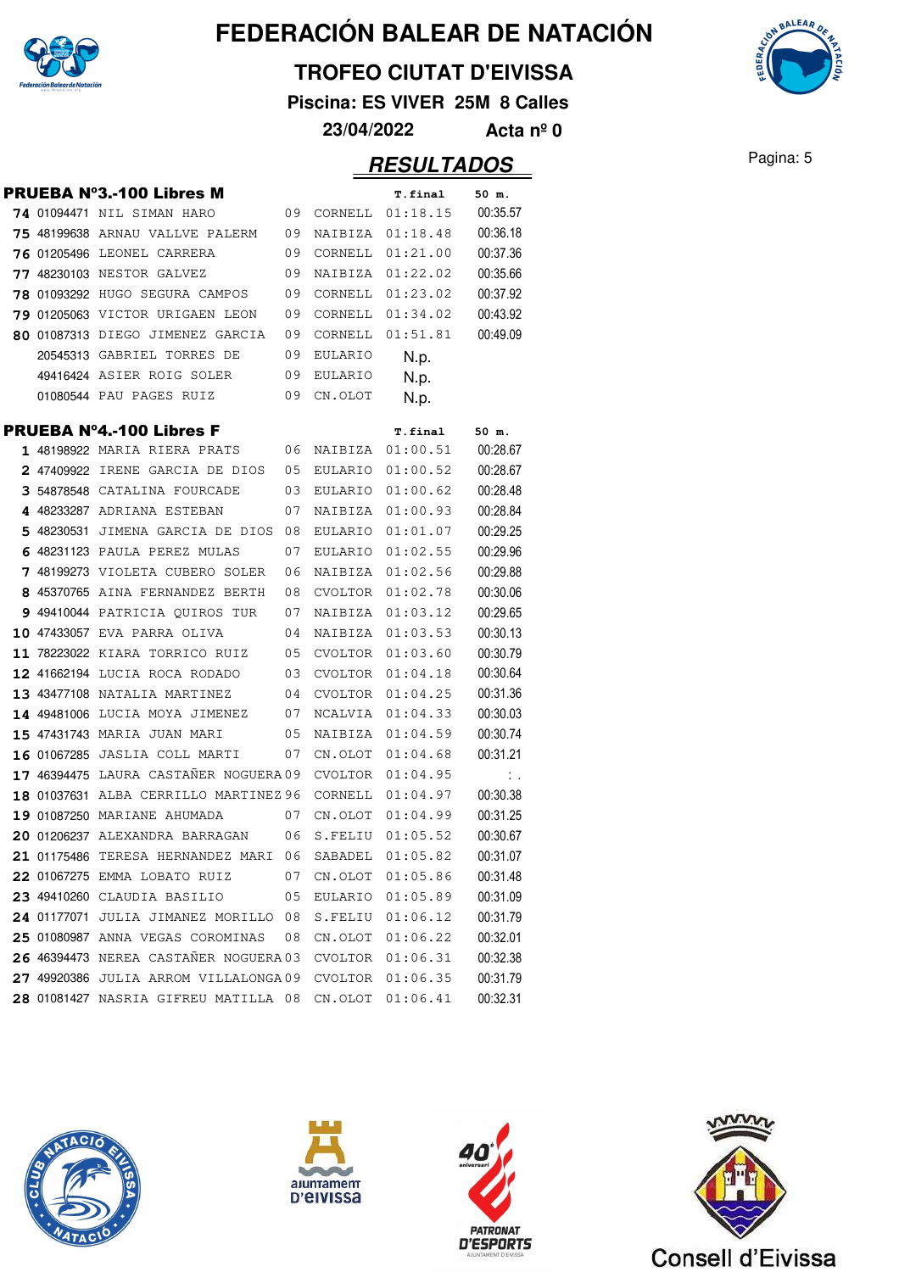

#### **TROFEO CIUTAT D'EIVISSA**

**Piscina: ES VIVER 25M 8 Calles**

**23/04/2022 Acta nº 0**

|  | PRUEBA Nº3.-100 Libres M                              |    |         | <b>T.final</b>      | 50 m.                         |
|--|-------------------------------------------------------|----|---------|---------------------|-------------------------------|
|  | 74 01094471 NIL SIMAN HARO                            | 09 |         | CORNELL 01:18.15    | 00:35.57                      |
|  | 75 48199638 ARNAU VALLVE PALERM                       | 09 | NAIBIZA | 01:18.48            | 00:36.18                      |
|  | <b>76 01205496 LEONEL CARRERA</b>                     | 09 | CORNELL | 01:21.00            | 00:37.36                      |
|  | 77 48230103 NESTOR GALVEZ                             | 09 | NAIBIZA | 01:22.02            | 00:35.66                      |
|  | <b>78 01093292 HUGO SEGURA CAMPOS</b>                 | 09 | CORNELL | 01:23.02            | 00:37.92                      |
|  | 79 01205063 VICTOR URIGAEN LEON                       | 09 | CORNELL | 01:34.02            | 00:43.92                      |
|  | 80 01087313 DIEGO JIMENEZ GARCIA                      | 09 | CORNELL | 01:51.81            | 00:49.09                      |
|  | 20545313 GABRIEL TORRES DE                            | 09 | EULARIO | N.p.                |                               |
|  | 49416424 ASIER ROIG SOLER                             | 09 | EULARIO | N.p.                |                               |
|  | 01080544 PAU PAGES RUIZ                               | 09 | CN.OLOT | N.p.                |                               |
|  | PRUEBA N°4.-100 Libres F                              |    |         |                     | 50 m.                         |
|  | 1 48198922 MARIA RIERA PRATS                          | 06 | NAIBIZA | T.final<br>01:00.51 | 00:28.67                      |
|  | 2 47409922 IRENE GARCIA DE DIOS                       | 05 | EULARIO | 01:00.52            | 00:28.67                      |
|  | 3 54878548 CATALINA FOURCADE                          | 03 | EULARIO | 01:00.62            | 00:28.48                      |
|  | 4 48233287 ADRIANA ESTEBAN                            | 07 | NAIBIZA | 01:00.93            | 00:28.84                      |
|  | 5 48230531 JIMENA GARCIA DE DIOS                      | 08 | EULARIO | 01:01.07            | 00:29.25                      |
|  | 6 48231123 PAULA PEREZ MULAS                          | 07 | EULARIO | 01:02.55            | 00:29.96                      |
|  | 7 48199273 VIOLETA CUBERO SOLER                       | 06 | NAIBIZA | 01:02.56            | 00:29.88                      |
|  | 8 45370765 AINA FERNANDEZ BERTH                       | 08 | CVOLTOR | 01:02.78            | 00:30.06                      |
|  | 9 49410044 PATRICIA OUIROS TUR                        | 07 | NAIBIZA | 01:03.12            | 00:29.65                      |
|  | 10 47433057 EVA PARRA OLIVA                           | 04 | NAIBIZA | 01:03.53            | 00:30.13                      |
|  | 11 78223022 KIARA TORRICO RUIZ                        | 05 | CVOLTOR | 01:03.60            | 00:30.79                      |
|  | 12 41662194 LUCIA ROCA RODADO                         | 03 | CVOLTOR | 01:04.18            | 00:30.64                      |
|  | 13 43477108 NATALIA MARTINEZ                          | 04 | CVOLTOR | 01:04.25            | 00:31.36                      |
|  | 14 49481006 LUCIA MOYA JIMENEZ                        | 07 | NCALVIA | 01:04.33            | 00:30.03                      |
|  | 15 47431743 MARIA JUAN MARI                           | 05 | NAIBIZA | 01:04.59            | 00:30.74                      |
|  | 16 01067285 JASLIA COLL MARTI                         | 07 | CN.OLOT | 01:04.68            | 00:31.21                      |
|  | 17 46394475 LAURA CASTAÑER NOGUERA 09                 |    |         | CVOLTOR 01:04.95    | $\mathcal{L}_{\mathcal{A}}$ . |
|  | 18 01037631 ALBA CERRILLO MARTINEZ 96                 |    | CORNELL | 01:04.97            | 00:30.38                      |
|  | 19 01087250 MARIANE AHUMADA                           | 07 | CN.OLOT | 01:04.99            | 00:31.25                      |
|  | 20 01206237 ALEXANDRA BARRAGAN                        | 06 | S.FELIU | 01:05.52            | 00:30.67                      |
|  | 21 01175486 TERESA HERNANDEZ MARI 06 SABADEL 01:05.82 |    |         |                     | 00:31.07                      |
|  | 22 01067275 EMMA LOBATO RUIZ                          | 07 |         | CN.OLOT 01:05.86    | 00:31.48                      |
|  | 23 49410260 CLAUDIA BASILIO                           | 05 |         | EULARIO 01:05.89    | 00:31.09                      |
|  | 24 01177071 JULIA JIMANEZ MORILLO 08                  |    | S.FELIU | 01:06.12            | 00:31.79                      |
|  | 25 01080987 ANNA VEGAS COROMINAS                      | 08 | CN.OLOT | 01:06.22            | 00:32.01                      |
|  | 26 46394473 NEREA CASTAÑER NOGUERA 03                 |    | CVOLTOR | 01:06.31            | 00:32.38                      |
|  | 27 49920386 JULIA ARROM VILLALONGA09                  |    |         | CVOLTOR 01:06.35    | 00:31.79                      |
|  | 28 01081427 NASRIA GIFREU MATILLA 08                  |    | CN.OLOT | 01:06.41            | 00:32.31                      |
|  |                                                       |    |         |                     |                               |









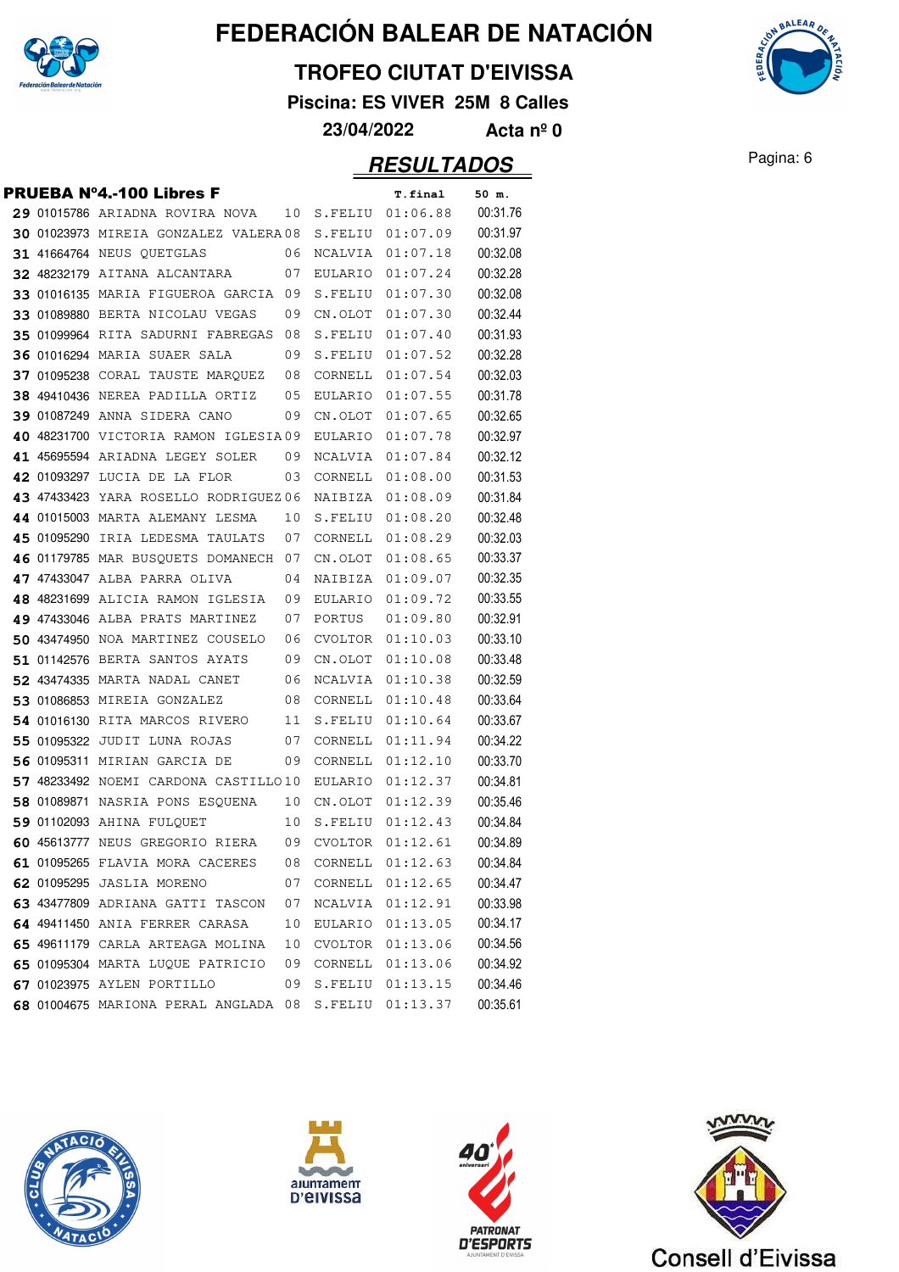

#### **TROFEO CIUTAT D'EIVISSA**

**Piscina: ES VIVER 25M 8 Calles**

**23/04/2022 Acta nº 0**

|  | PRUEBA N°4.-100 Libres F                            |     |                  | T.final          | 50 m.    |
|--|-----------------------------------------------------|-----|------------------|------------------|----------|
|  | 29 01015786 ARIADNA ROVIRA NOVA                     | 10  |                  | S.FELIU 01:06.88 | 00:31.76 |
|  | 30 01023973 MIREIA GONZALEZ VALERA08                |     | S.FELIU          | 01:07.09         | 00:31.97 |
|  | <b>31 41664764 NEUS QUETGLAS</b>                    | 06  | NCALVIA          | 01:07.18         | 00:32.08 |
|  | 32 48232179 AITANA ALCANTARA                        | 07  | EULARIO          | 01:07.24         | 00:32.28 |
|  | 33 01016135 MARIA FIGUEROA GARCIA                   | -09 |                  | S.FELIU 01:07.30 | 00:32.08 |
|  | 33 01089880 BERTA NICOLAU VEGAS                     | 09  | CN.OLOT          | 01:07.30         | 00:32.44 |
|  | 35 01099964 RITA SADURNI FABREGAS                   | 08  | S.FELIU          | 01:07.40         | 00:31.93 |
|  | <b>36 01016294 MARIA SUAER SALA</b>                 | 09  | S.FELIU          | 01:07.52         | 00:32.28 |
|  | 37 01095238 CORAL TAUSTE MARQUEZ                    | 08  | CORNELL          | 01:07.54         | 00:32.03 |
|  | 38 49410436 NEREA PADILLA ORTIZ                     | 05  | EULARIO          | 01:07.55         | 00:31.78 |
|  | 39 01087249 ANNA SIDERA CANO                        | 09  | CN.OLOT          | 01:07.65         | 00:32.65 |
|  | 40 48231700 VICTORIA RAMON IGLESIA09                |     | EULARIO          | 01:07.78         | 00:32.97 |
|  | 41 45695594 ARIADNA LEGEY SOLER                     | 09  |                  | NCALVIA 01:07.84 | 00:32.12 |
|  | 42 01093297 LUCIA DE LA FLOR                        | 03  | CORNELL          | 01:08.00         | 00:31.53 |
|  | 43 47433423 YARA ROSELLO RODRIGUEZ 06               |     | NAIBIZA          | 01:08.09         | 00:31.84 |
|  | 44 01015003 MARTA ALEMANY LESMA                     | 10  | S.FELIU          | 01:08.20         | 00:32.48 |
|  | 45 01095290 IRIA LEDESMA TAULATS                    | 07  | CORNELL          | 01:08.29         | 00:32.03 |
|  | 46 01179785 MAR BUSQUETS DOMANECH                   | 07  | CN.OLOT          | 01:08.65         | 00:33.37 |
|  | 47 47433047 ALBA PARRA OLIVA                        | 04  | NAIBIZA          | 01:09.07         | 00:32.35 |
|  | 48 48231699 ALICIA RAMON IGLESIA                    | 09  | EULARIO          | 01:09.72         | 00:33.55 |
|  | 49 47433046 ALBA PRATS MARTINEZ                     | 07  | PORTUS           | 01:09.80         | 00:32.91 |
|  | 50 43474950 NOA MARTINEZ COUSELO                    | 06  | CVOLTOR          | 01:10.03         | 00:33.10 |
|  | 51 01142576 BERTA SANTOS AYATS                      | 09  | CN.OLOT          | 01:10.08         | 00:33.48 |
|  | 52 43474335 MARTA NADAL CANET                       | 06  | NCALVIA          | 01:10.38         | 00:32.59 |
|  | 53 01086853 MIREIA GONZALEZ                         | 08  | CORNELL          | 01:10.48         | 00:33.64 |
|  | 54 01016130 RITA MARCOS RIVERO                      | 11  | S.FELIU          | 01:10.64         | 00:33.67 |
|  | 55 01095322 JUDIT LUNA ROJAS                        | 07  | CORNELL          | 01:11.94         | 00:34.22 |
|  | 56 01095311 MIRIAN GARCIA DE                        | 09  | CORNELL          | 01:12.10         | 00:33.70 |
|  | 57 48233492 NOEMI CARDONA CASTILLO10                |     |                  | EULARIO 01:12.37 | 00:34.81 |
|  | 58 01089871 NASRIA PONS ESQUENA                     | 10  |                  | CN.OLOT 01:12.39 | 00:35.46 |
|  | 59 01102093 AHINA FULOUET                           | 10  | S.FELIU          | 01:12.43         | 00:34.84 |
|  | 60 45613777 NEUS GREGORIO RIERA                     | 09  | CVOLTOR          | 01:12.61         | 00:34.89 |
|  | 61 01095265 FLAVIA MORA CACERES 08 CORNELL 01:12.63 |     |                  |                  | 00:34.84 |
|  | 62 01095295 JASLIA MORENO                           | 07  | CORNELL 01:12.65 |                  | 00:34.47 |
|  | 63 43477809 ADRIANA GATTI TASCON                    | 07  |                  | NCALVIA 01:12.91 | 00:33.98 |
|  | 64 49411450 ANIA FERRER CARASA                      | 10  |                  | EULARIO 01:13.05 | 00:34.17 |
|  | 65 49611179 CARLA ARTEAGA MOLINA                    | 10  |                  | CVOLTOR 01:13.06 | 00:34.56 |
|  | 65 01095304 MARTA LUQUE PATRICIO                    | 09  |                  | CORNELL 01:13.06 | 00:34.92 |
|  | 67 01023975 AYLEN PORTILLO                          | 09  |                  | S.FELIU 01:13.15 | 00:34.46 |
|  | 68 01004675 MARIONA PERAL ANGLADA 08                |     |                  | S.FELIU 01:13.37 | 00:35.61 |









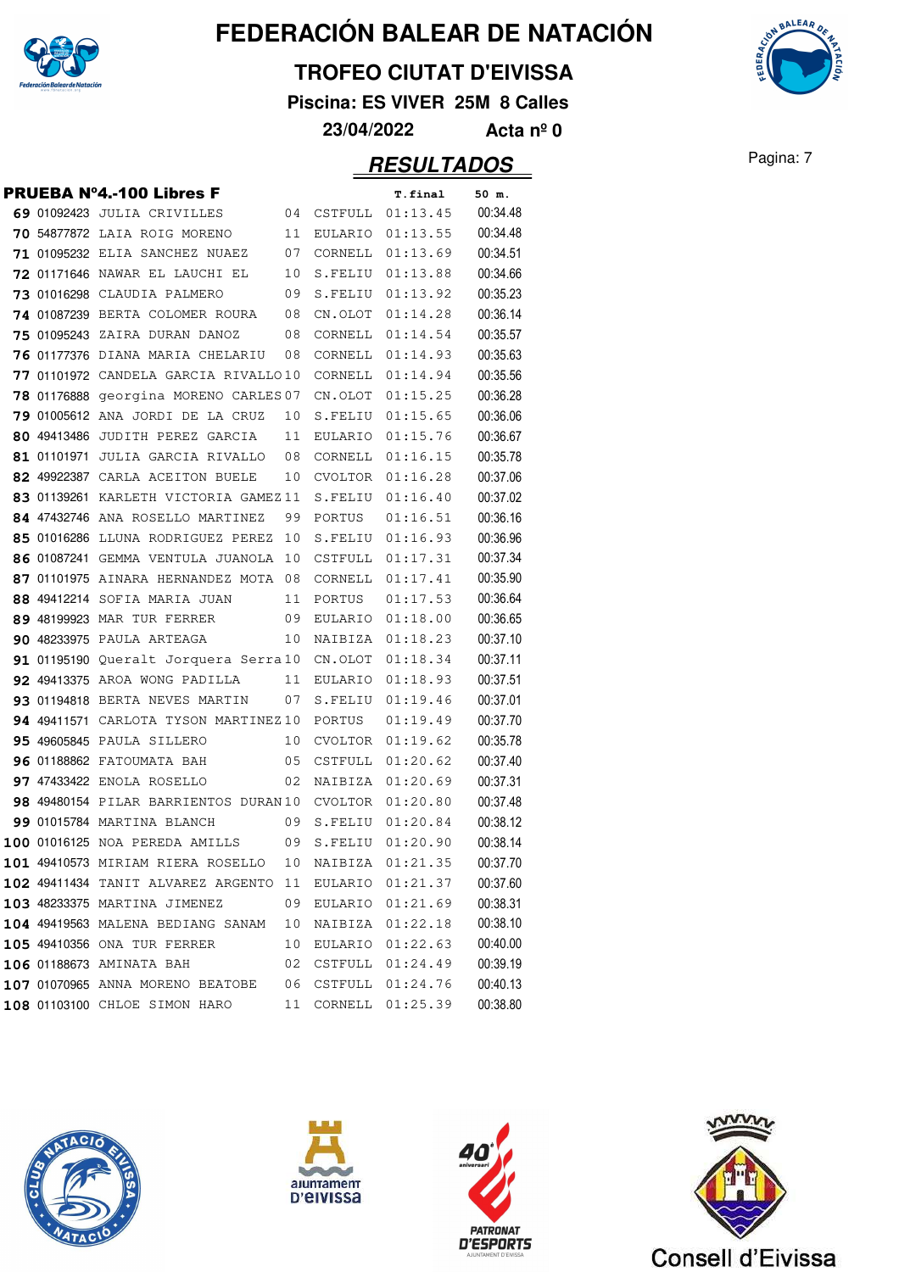

#### **TROFEO CIUTAT D'EIVISSA**

**Piscina: ES VIVER 25M 8 Calles**

**23/04/2022 Acta nº 0**

|  | PRUEBA Nº4.-100 Libres F                               |    |         | <b>T.final</b>      | 50 m.    |
|--|--------------------------------------------------------|----|---------|---------------------|----------|
|  | 69 01092423 JULIA CRIVILLES                            | 04 |         | CSTFULL 01:13.45    | 00:34.48 |
|  | 70 54877872 LAIA ROIG MORENO                           | 11 | EULARIO | 01:13.55            | 00:34.48 |
|  | <b>71 01095232 ELIA SANCHEZ NUAEZ</b>                  | 07 | CORNELL | 01:13.69            | 00:34.51 |
|  | 72 01171646 NAWAR EL LAUCHI EL                         | 10 | S.FELIU | 01:13.88            | 00:34.66 |
|  | 73 01016298 CLAUDIA PALMERO                            | 09 | S.FELIU | 01:13.92            | 00:35.23 |
|  | 74 01087239 BERTA COLOMER ROURA                        | 08 | CN.OLOT | 01:14.28            | 00:36.14 |
|  | 75 01095243 ZAIRA DURAN DANOZ                          | 08 | CORNELL | 01:14.54            | 00:35.57 |
|  | 76 01177376 DIANA MARIA CHELARIU                       | 08 | CORNELL | 01:14.93            | 00:35.63 |
|  | 77 01101972 CANDELA GARCIA RIVALLO10                   |    | CORNELL | 01:14.94            | 00:35.56 |
|  | 78 01176888 georgina MORENO CARLES 07                  |    | CN.OLOT | 01:15.25            | 00:36.28 |
|  | 79 01005612 ANA JORDI DE LA CRUZ                       | 10 | S.FELIU | 01:15.65            | 00:36.06 |
|  | 80 49413486 JUDITH PEREZ GARCIA                        | 11 |         | EULARIO 01:15.76    | 00:36.67 |
|  | 81 01101971 JULIA GARCIA RIVALLO                       | 08 | CORNELL | 01:16.15            | 00:35.78 |
|  | 82 49922387 CARLA ACEITON BUELE                        | 10 | CVOLTOR | 01:16.28            | 00:37.06 |
|  | 83 01139261 KARLETH VICTORIA GAMEZ11                   |    | S.FELIU | 01:16.40            | 00:37.02 |
|  | 84 47432746 ANA ROSELLO MARTINEZ                       | 99 | PORTUS  | 01:16.51            | 00:36.16 |
|  | 85 01016286 LLUNA RODRIGUEZ PEREZ                      | 10 | S.FELIU | 01:16.93            | 00:36.96 |
|  | 86 01087241 GEMMA VENTULA JUANOLA                      | 10 | CSTFULL | 01:17.31            | 00:37.34 |
|  | 87 01101975 AINARA HERNANDEZ MOTA 08                   |    | CORNELL | 01:17.41            | 00:35.90 |
|  | 88 49412214 SOFIA MARIA JUAN                           | 11 | PORTUS  | 01:17.53            | 00:36.64 |
|  | 89 48199923 MAR TUR FERRER                             | 09 |         | EULARIO 01:18.00    | 00:36.65 |
|  | <b>90 48233975 PAULA ARTEAGA</b>                       | 10 | NAIBIZA | 01:18.23            | 00:37.10 |
|  | 91 01195190 Queralt Jorquera Serra10                   |    | CN.OLOT | 01:18.34            | 00:37.11 |
|  | <b>92 49413375 AROA WONG PADILLA</b>                   | 11 | EULARIO | 01:18.93            | 00:37.51 |
|  | 93 01194818 BERTA NEVES MARTIN                         | 07 | S.FELIU | 01:19.46            | 00:37.01 |
|  | 94 49411571 CARLOTA TYSON MARTINEZ 10                  |    | PORTUS  | 01:19.49            | 00:37.70 |
|  | <b>95 49605845 PAULA SILLERO</b>                       | 10 | CVOLTOR | 01:19.62            | 00:35.78 |
|  | <b>96 01188862 FATOUMATA BAH</b>                       | 05 | CSTFULL | 01:20.62            | 00:37.40 |
|  | <b>97 47433422 ENOLA ROSELLO</b>                       | 02 |         | NAIBIZA 01:20.69    | 00:37.31 |
|  | 98 49480154 PILAR BARRIENTOS DURAN 10                  |    | CVOLTOR | 01:20.80            | 00:37.48 |
|  | <b>99 01015784 MARTINA BLANCH</b>                      | 09 | S.FELIU | 01:20.84            | 00:38.12 |
|  | 100 01016125 NOA PEREDA AMILLS                         | 09 |         | S.FELIU 01:20.90    | 00:38.14 |
|  | 101 49410573 MIRIAM RIERA ROSELLO 10 NAIBIZA 01:21.35  |    |         |                     | 00:37.70 |
|  | 102 49411434 TANIT ALVAREZ ARGENTO 11 EULARIO 01:21.37 |    |         |                     | 00:37.60 |
|  | 103 48233375 MARTINA JIMENEZ                           |    |         | 09 EULARIO 01:21.69 | 00:38.31 |
|  | 104 49419563 MALENA BEDIANG SANAM 10 NAIBIZA 01:22.18  |    |         |                     | 00:38.10 |
|  | 105 49410356 ONA TUR FERRER                            |    |         | 10 EULARIO 01:22.63 | 00:40.00 |
|  | 106 01188673 AMINATA BAH                               |    |         | 02 CSTFULL 01:24.49 | 00:39.19 |
|  | 107 01070965 ANNA MORENO BEATOBE 06 CSTFULL 01:24.76   |    |         |                     | 00:40.13 |
|  | 108 01103100 CHLOE SIMON HARO                          |    |         | 11 CORNELL 01:25.39 | 00:38.80 |
|  |                                                        |    |         |                     |          |









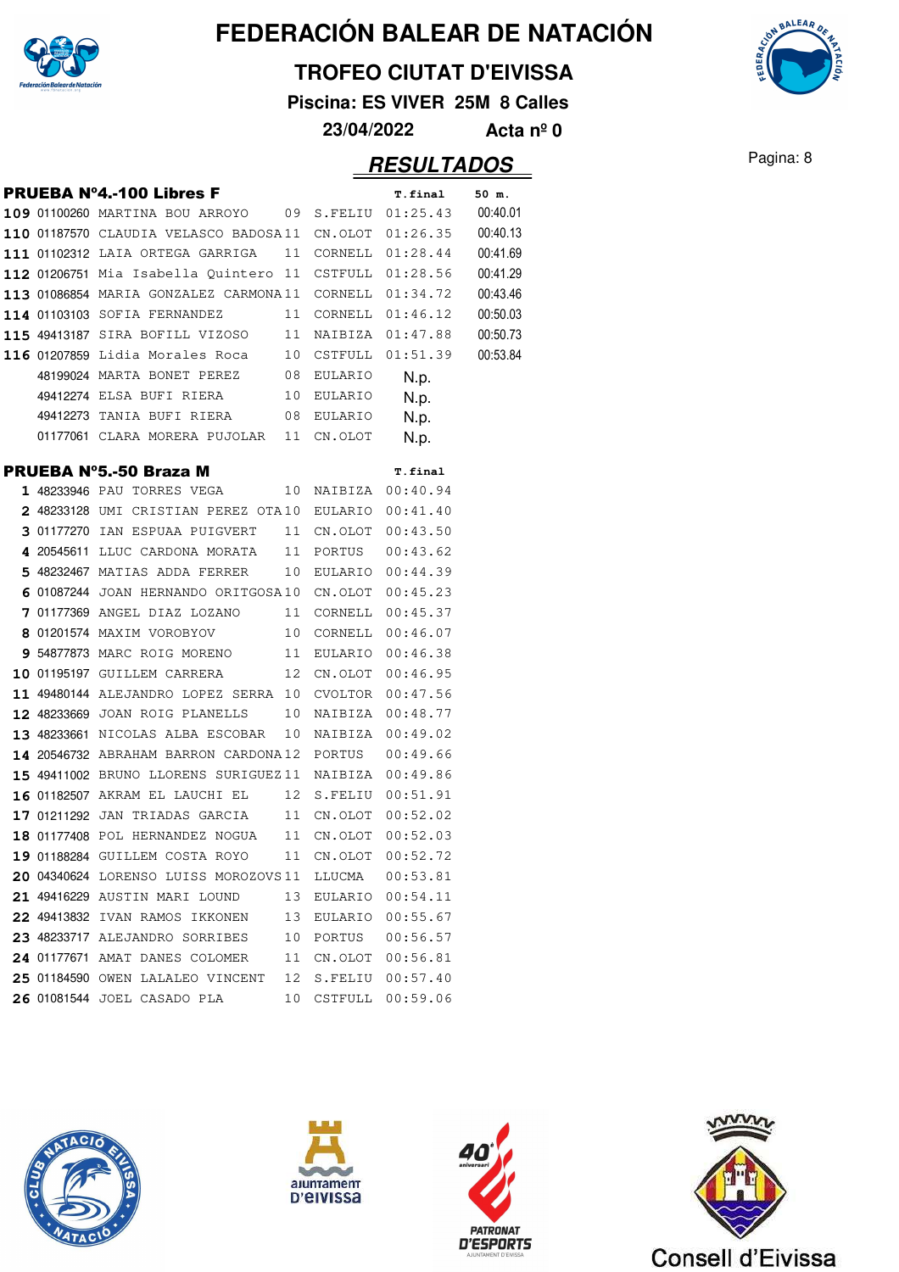

#### **TROFEO CIUTAT D'EIVISSA**

**Piscina: ES VIVER 25M 8 Calles**

**23/04/2022 Acta nº 0**

### **RESULTADOS** Pagina: 8

**AALEAA** 

|  | PRUEBA Nº4.-100 Libres F                                       |    |            | T.final             | 50 m.    |
|--|----------------------------------------------------------------|----|------------|---------------------|----------|
|  | $109$ 01100260 MARTINA BOU ARROYO $\qquad$ 09 S.FELIU 01:25.43 |    |            |                     | 00:40.01 |
|  | $\mathtt{110}$ 01187570 CLAUDIA VELASCO BADOSA11 CN.OLOT       |    |            | 01:26.35            | 00:40.13 |
|  | 111 01102312 LAIA ORTEGA GARRIGA                               | 11 | CORNELL    | 01:28.44            | 00:41.69 |
|  | $112$ 01206751 Mia Isabella Quintero 11 CSTFULL 01:28.56       |    |            |                     | 00:41.29 |
|  | 113 01086854 MARIA GONZALEZ CARMONA11                          |    | CORNELL    | 01:34.72            | 00:43.46 |
|  | 114 01103103 SOFIA FERNANDEZ                                   | 11 | CORNELL    | 01:46.12            | 00:50.03 |
|  | 115 49413187 SIRA BOFILL VIZOSO 11 NAIBIZA                     |    |            | 01:47.88            | 00:50.73 |
|  | $116$ 01207859 Lidia Morales Roca $10$ CSTFULL 01:51.39        |    |            |                     | 00:53.84 |
|  | 48199024 MARTA BONET PEREZ 08 EULARIO                          |    |            | N.p.                |          |
|  | 49412274 ELSA BUFI RIERA 10 EULARIO                            |    |            | N.p.                |          |
|  | 49412273 TANIA BUFI RIERA 08 EULARIO                           |    |            | N.p.                |          |
|  | 01177061 CLARA MORERA PUJOLAR 11 CN.OLOT                       |    |            | N.p.                |          |
|  | PRUEBA Nº5.-50 Braza M                                         |    |            | T.final             |          |
|  | 1 48233946 PAU TORRES VEGA                                     | 10 |            | NAIBIZA 00:40.94    |          |
|  | 2 48233128 UMI CRISTIAN PEREZ OTA10 EULARIO 00:41.40           |    |            |                     |          |
|  | 3 01177270 IAN ESPUAA PUIGVERT                                 | 11 | CN.OLOT    | 00:43.50            |          |
|  | 4 20545611 LLUC CARDONA MORATA                                 | 11 | PORTUS     | 00:43.62            |          |
|  | 5 48232467 MATIAS ADDA FERRER                                  |    |            | 10 EULARIO 00:44.39 |          |
|  | 6 01087244 JOAN HERNANDO ORITGOSA10 CN.OLOT 00:45.23           |    |            |                     |          |
|  | 7 01177369 ANGEL DIAZ LOZANO 11                                |    |            | CORNELL 00:45.37    |          |
|  | 8 01201574 MAXIM VOROBYOV 10                                   |    | CORNELL    | 00:46.07            |          |
|  | 9 54877873 MARC ROIG MORENO 11 EULARIO                         |    |            | 00:46.38            |          |
|  | 10 01195197 GUILLEM CARRERA                                    |    | 12 CN.OLOT | 00:46.95            |          |
|  | 11 49480144 ALEJANDRO LOPEZ SERRA 10 CVOLTOR 00:47.56          |    |            |                     |          |
|  | 12 48233669 JOAN ROIG PLANELLS                                 | 10 | NAIBIZA    | 00:48.77            |          |
|  | 13 48233661 NICOLAS ALBA ESCOBAR                               | 10 | NAIBIZA    | 00:49.02            |          |
|  | 14 20546732 ABRAHAM BARRON CARDONA12 PORTUS                    |    |            | 00:49.66            |          |
|  | 15 49411002 BRUNO LLORENS SURIGUEZ11 NAIBIZA 00:49.86          |    |            |                     |          |
|  | 16 01182507 AKRAM EL LAUCHI EL 12 S.FELIU                      |    |            | 00:51.91            |          |
|  | 17 01211292 JAN TRIADAS GARCIA 11 CN.OLOT 00:52.02             |    |            |                     |          |
|  | 18 01177408 POL HERNANDEZ NOGUA 11 CN.OLOT 00:52.03            |    |            |                     |          |
|  | 19 01188284 GUILLEM COSTA ROYO 11 CN.OLOT 00:52.72             |    |            |                     |          |
|  | 20 04340624 LORENSO LUISS MOROZOVS11 LLUCMA                    |    |            | 00:53.81            |          |
|  | 21 49416229 AUSTIN MARI LOUND                                  |    |            | 13 EULARIO 00:54.11 |          |
|  | 22 49413832 IVAN RAMOS IKKONEN                                 | 13 |            | EULARIO 00:55.67    |          |
|  | 23 48233717 ALEJANDRO SORRIBES                                 | 10 | PORTUS     | 00:56.57            |          |
|  | 24 01177671 AMAT DANES COLOMER                                 | 11 |            | CN.OLOT 00:56.81    |          |
|  | 25 01184590 OWEN LALALEO VINCENT                               | 12 |            | S.FELIU 00:57.40    |          |
|  | 26 01081544 JOEL CASADO PLA                                    | 10 |            | CSTFULL 00:59.06    |          |
|  |                                                                |    |            |                     |          |







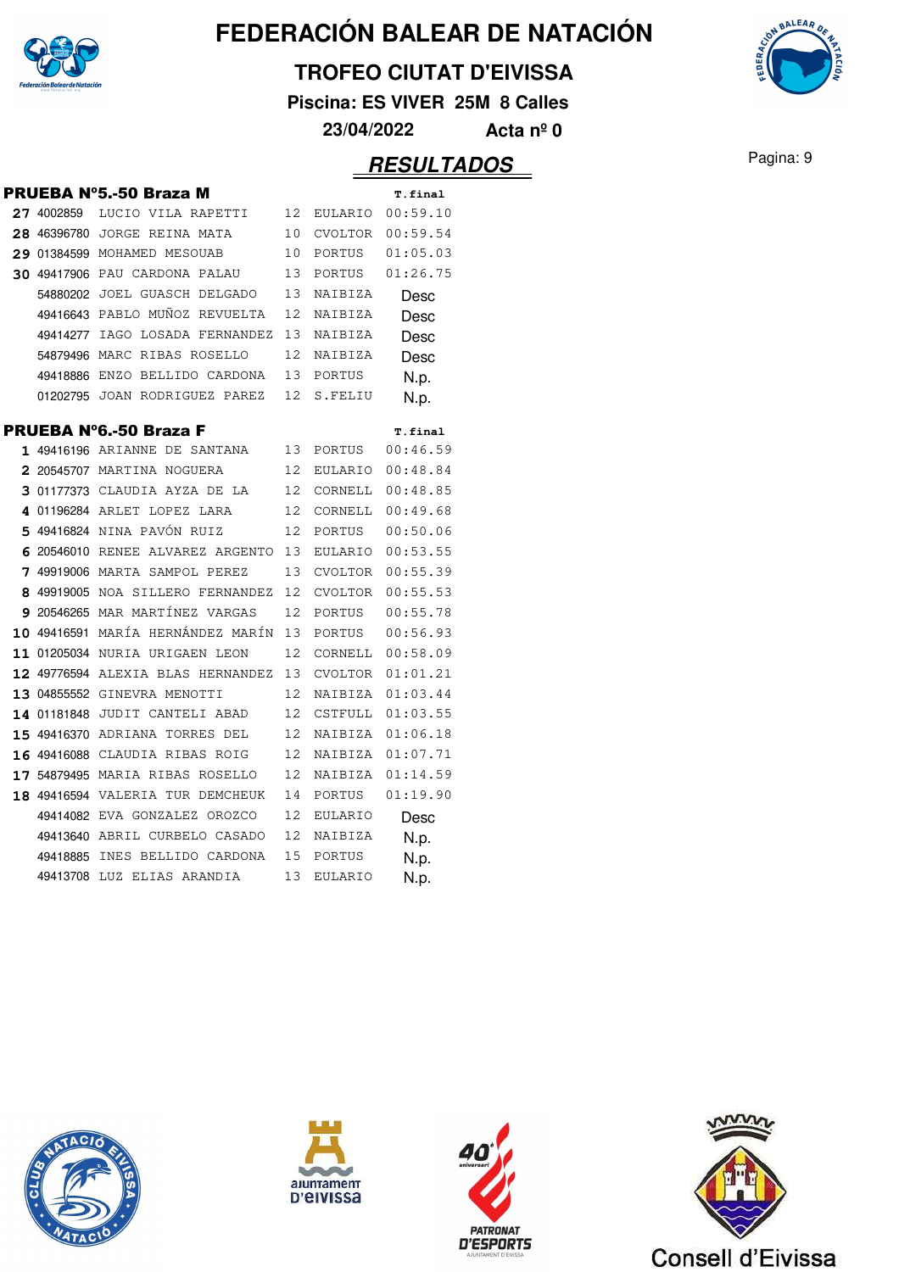

#### **TROFEO CIUTAT D'EIVISSA**

**Piscina: ES VIVER 25M 8 Calles**

**23/04/2022 Acta nº 0**

|   |            | PRUEBA N°5.-50 Braza M            |    |                | T.final        |
|---|------------|-----------------------------------|----|----------------|----------------|
|   | 27 4002859 | LUCIO VILA RAPETTI                | 12 | EULARIO        | 00:59.10       |
|   |            | 28 46396780 JORGE REINA MATA      | 10 | CVOLTOR        | 00:59.54       |
|   |            | 29 01384599 MOHAMED MESOUAB       | 10 | PORTUS         | 01:05.03       |
|   |            | 30 49417906 PAU CARDONA PALAU     | 13 | PORTUS         | 01:26.75       |
|   |            | 54880202 JOEL GUASCH DELGADO      | 13 | NAIBIZA        | Desc           |
|   |            | 49416643 PABLO MUÑOZ REVUELTA     | 12 | NAIBIZA        | Desc           |
|   |            | 49414277 IAGO LOSADA FERNANDEZ    | 13 | NAIBIZA        | Desc           |
|   |            | 54879496 MARC RIBAS ROSELLO       | 12 | NAIBIZA        | Desc           |
|   |            | 49418886 ENZO BELLIDO CARDONA     | 13 | PORTUS         | N.p.           |
|   |            | 01202795 JOAN RODRIGUEZ PAREZ     | 12 | S.FELIU        | N.p.           |
|   |            | PRUEBA Nº6.-50 Braza F            |    |                | <b>T.final</b> |
|   |            | 1 49416196 ARIANNE DE SANTANA     | 13 | PORTUS         | 00:46.59       |
|   |            | 2 20545707 MARTINA NOGUERA        | 12 | EULARIO        | 00:48.84       |
|   |            | 3 01177373 CLAUDIA AYZA DE LA     | 12 | CORNELL        | 00:48.85       |
|   |            | 4 01196284 ARLET LOPEZ LARA       | 12 | CORNELL        | 00:49.68       |
|   |            | 5 49416824 NINA PAVÓN RUIZ        | 12 | PORTUS         | 00:50.06       |
|   |            | 6 20546010 RENEE ALVAREZ ARGENTO  | 13 | EULARIO        | 00:53.55       |
| 7 |            | 49919006 MARTA SAMPOL PEREZ       | 13 | CVOLTOR        | 00:55.39       |
|   |            | 8 49919005 NOA SILLERO FERNANDEZ  | 12 | CVOLTOR        | 00:55.53       |
|   |            | 9 20546265 MAR MARTÍNEZ VARGAS    | 12 | PORTUS         | 00:55.78       |
|   |            | 10 49416591 MARÍA HERNÁNDEZ MARÍN | 13 | PORTUS         | 00:56.93       |
|   |            | 11 01205034 NURIA URIGAEN LEON    | 12 | CORNELL        | 00:58.09       |
|   |            | 12 49776594 ALEXIA BLAS HERNANDEZ | 13 | CVOLTOR        | 01:01.21       |
|   |            | 13 04855552 GINEVRA MENOTTI       | 12 | NAIBIZA        | 01:03.44       |
|   |            | 14 01181848 JUDIT CANTELI ABAD    | 12 | CSTFULL        | 01:03.55       |
|   |            | 15 49416370 ADRIANA TORRES DEL    | 12 | NAIBIZA        | 01:06.18       |
|   |            | 16 49416088 CLAUDIA RIBAS ROIG    | 12 | NAIBIZA        | 01:07.71       |
|   |            | 17 54879495 MARIA RIBAS ROSELLO   | 12 | NAIBIZA        | 01:14.59       |
|   |            | 18 49416594 VALERIA TUR DEMCHEUK  | 14 | PORTUS         | 01:19.90       |
|   |            | 49414082 EVA GONZALEZ OROZCO      | 12 | <b>EULARIO</b> | Desc           |
|   |            | 49413640 ABRIL CURBELO CASADO     | 12 | NAIBIZA        | N.p.           |
|   |            | 49418885 INES BELLIDO CARDONA     | 15 | PORTUS         | N.p.           |
|   |            | 49413708 LUZ ELIAS ARANDIA        | 13 | EULARIO        | N.p.           |
|   |            |                                   |    |                |                |









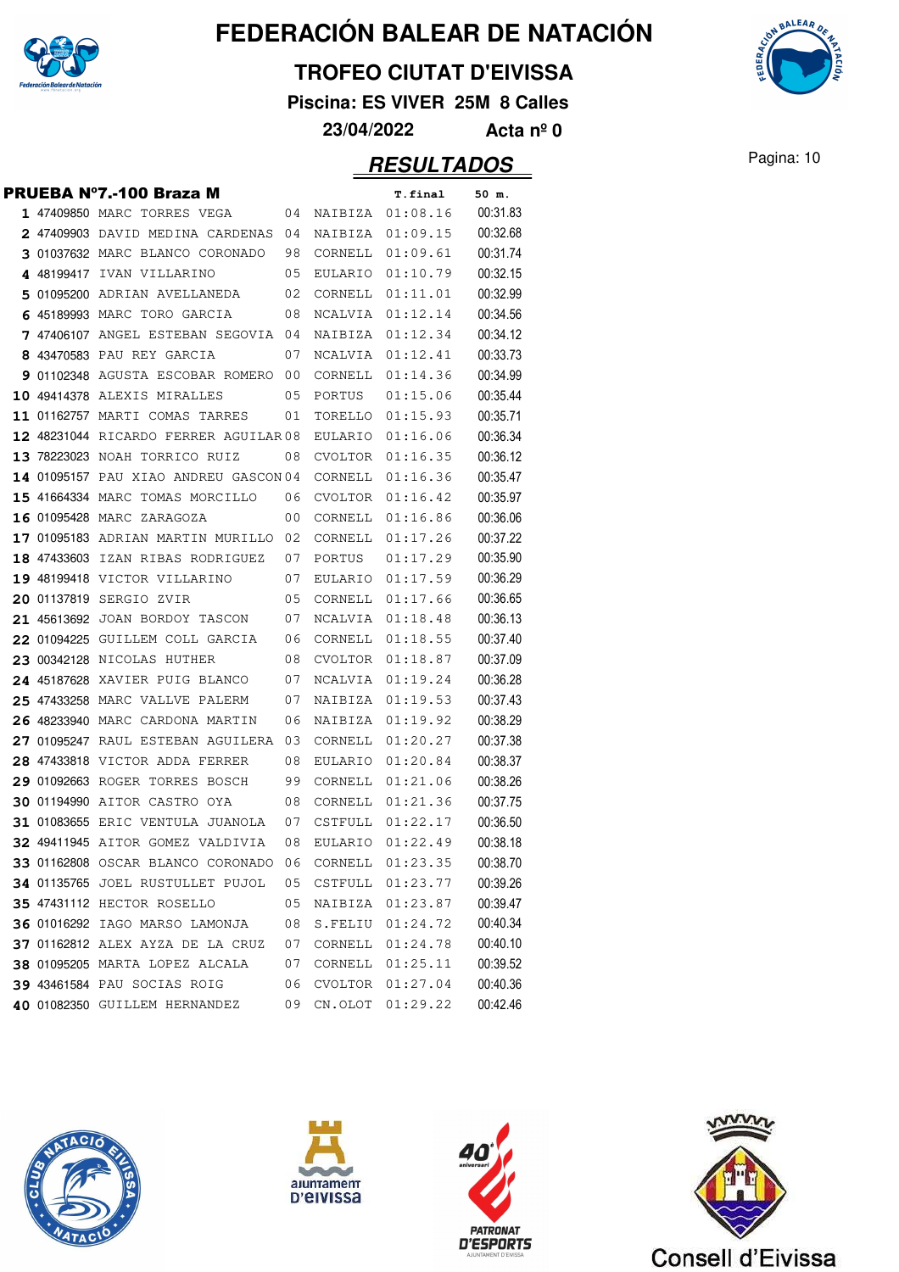

#### **TROFEO CIUTAT D'EIVISSA**

**Piscina: ES VIVER 25M 8 Calles**

**23/04/2022 Acta nº 0**

|  | PRUEBA Nº7.-100 Braza M                                            |          |         | <b>T.final</b>               | 50 m.                |
|--|--------------------------------------------------------------------|----------|---------|------------------------------|----------------------|
|  | 1 47409850 MARC TORRES VEGA                                        | 04       | NAIBIZA | 01:08.16                     | 00:31.83             |
|  | 2 47409903 DAVID MEDINA CARDENAS                                   | 04       | NAIBIZA | 01:09.15                     | 00:32.68             |
|  | 3 01037632 MARC BLANCO CORONADO                                    | 98       | CORNELL | 01:09.61                     | 00:31.74             |
|  | 4 48199417 IVAN VILLARINO                                          | 05       | EULARIO | 01:10.79                     | 00:32.15             |
|  | 5 01095200 ADRIAN AVELLANEDA                                       | 02       | CORNELL | 01:11.01                     | 00:32.99             |
|  | 6 45189993 MARC TORO GARCIA                                        | 08       | NCALVIA | 01:12.14                     | 00:34.56             |
|  | 7 47406107 ANGEL ESTEBAN SEGOVIA                                   | 04       | NAIBIZA | 01:12.34                     | 00:34.12             |
|  | 8 43470583 PAU REY GARCIA                                          | 07       | NCALVIA | 01:12.41                     | 00:33.73             |
|  | 9 01102348 AGUSTA ESCOBAR ROMERO                                   | 00       | CORNELL | 01:14.36                     | 00:34.99             |
|  | 10 49414378 ALEXIS MIRALLES                                        | 05       | PORTUS  | 01:15.06                     | 00:35.44             |
|  | 11 01162757 MARTI COMAS TARRES                                     | 01       | TORELLO | 01:15.93                     | 00:35.71             |
|  | 12 48231044 RICARDO FERRER AGUILAR 08                              |          | EULARIO | 01:16.06                     | 00:36.34             |
|  | 13 78223023 NOAH TORRICO RUIZ                                      | 08       | CVOLTOR | 01:16.35                     | 00:36.12             |
|  | 14 01095157 PAU XIAO ANDREU GASCON 04                              |          | CORNELL | 01:16.36                     | 00:35.47             |
|  | 15 41664334 MARC TOMAS MORCILLO                                    | 06       | CVOLTOR | 01:16.42                     | 00:35.97             |
|  | 16 01095428 MARC ZARAGOZA                                          | 00       | CORNELL | 01:16.86                     | 00:36.06             |
|  | 17 01095183 ADRIAN MARTIN MURILLO                                  | 02       | CORNELL | 01:17.26                     | 00:37.22             |
|  | 18 47433603 IZAN RIBAS RODRIGUEZ                                   | 07       | PORTUS  | 01:17.29                     | 00:35.90             |
|  | 19 48199418 VICTOR VILLARINO                                       | 07       |         | EULARIO 01:17.59             | 00:36.29             |
|  | 20 01137819 SERGIO ZVIR                                            | 05       | CORNELL | 01:17.66                     | 00:36.65             |
|  | 21 45613692 JOAN BORDOY TASCON                                     | 07       | NCALVIA | 01:18.48                     | 00:36.13             |
|  | 22 01094225 GUILLEM COLL GARCIA                                    | 06       | CORNELL | 01:18.55                     | 00:37.40             |
|  | 23 00342128 NICOLAS HUTHER                                         | 08       | CVOLTOR | 01:18.87                     | 00:37.09             |
|  | 24 45187628 XAVIER PUIG BLANCO                                     | 07       | NCALVIA | 01:19.24                     | 00:36.28             |
|  | <b>25 47433258 MARC VALLVE PALERM</b>                              | 07       | NAIBIZA | 01:19.53                     | 00:37.43             |
|  | 26 48233940 MARC CARDONA MARTIN                                    | 06       | NAIBIZA | 01:19.92                     | 00:38.29             |
|  | 27 01095247 RAUL ESTEBAN AGUILERA                                  | 03       | CORNELL | 01:20.27                     | 00:37.38             |
|  | 28 47433818 VICTOR ADDA FERRER                                     | 08       | EULARIO | 01:20.84                     | 00:38.37             |
|  | 29 01092663 ROGER TORRES BOSCH                                     | 99       | CORNELL | 01:21.06                     | 00:38.26             |
|  | <b>30 01194990 AITOR CASTRO OYA</b>                                | 08       | CORNELL | 01:21.36                     | 00:37.75             |
|  | 31 01083655 ERIC VENTULA JUANOLA                                   | 07       | CSTFULL | 01:22.17                     | 00:36.50             |
|  | 32 49411945 AITOR GOMEZ VALDIVIA                                   | 08       | EULARIO | 01:22.49                     | 00:38.18             |
|  | 33 01162808 OSCAR BLANCO CORONADO                                  | 06       | CORNELL | 01:23.35                     | 00:38.70             |
|  | 34 01135765 JOEL RUSTULLET PUJOL                                   | 05       | CSTFULL | 01:23.77                     | 00:39.26             |
|  | 35 47431112 HECTOR ROSELLO                                         | 05       | NAIBIZA | 01:23.87                     | 00:39.47             |
|  | 36 01016292 IAGO MARSO LAMONJA<br>37 01162812 ALEX AYZA DE LA CRUZ | 08<br>07 | CORNELL | S.FELIU 01:24.72<br>01:24.78 | 00:40.34<br>00:40.10 |
|  | 38 01095205 MARTA LOPEZ ALCALA                                     | 07       | CORNELL | 01:25.11                     | 00:39.52             |
|  | 39 43461584 PAU SOCIAS ROIG                                        | 06       |         | CVOLTOR 01:27.04             | 00:40.36             |
|  | 40 01082350 GUILLEM HERNANDEZ                                      |          | CN.OLOT | 01:29.22                     | 00:42.46             |
|  |                                                                    | 09       |         |                              |                      |









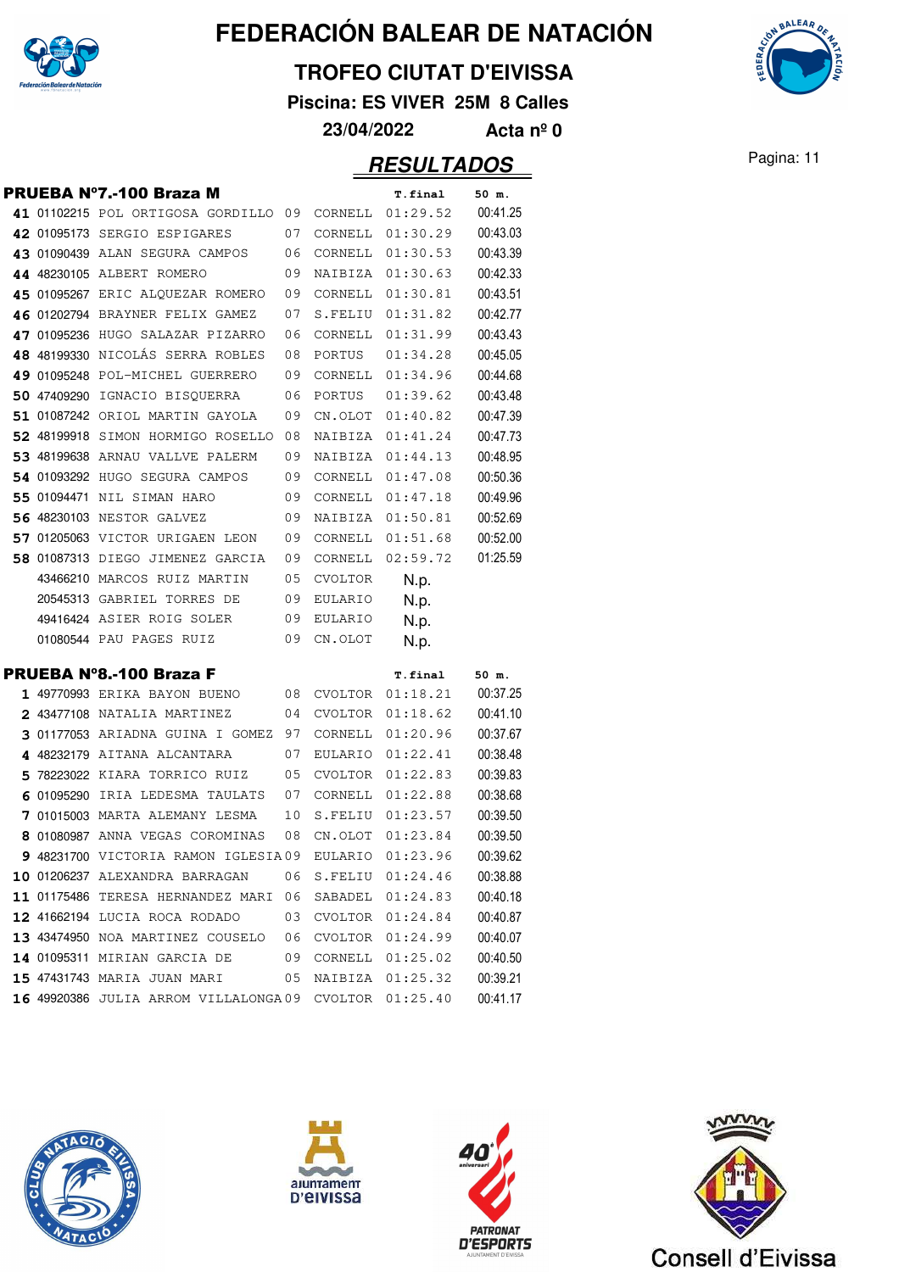

#### **TROFEO CIUTAT D'EIVISSA**

**Piscina: ES VIVER 25M 8 Calles**

**23/04/2022 Acta nº 0**

|  | <b>PRUEBA Nº7.-100 Braza M</b>                                      |          |                    | <b>T.final</b>       | 50 m.                |
|--|---------------------------------------------------------------------|----------|--------------------|----------------------|----------------------|
|  | 41 01102215 POL ORTIGOSA GORDILLO                                   | -09      | CORNELL            | 01:29.52             | 00:41.25             |
|  | 42 01095173 SERGIO ESPIGARES                                        | 07       | CORNELL            | 01:30.29             | 00:43.03             |
|  | 43 01090439 ALAN SEGURA CAMPOS                                      | 06       | CORNELL            | 01:30.53             | 00:43.39             |
|  | 44 48230105 ALBERT ROMERO                                           | 09       | NAIBIZA            | 01:30.63             | 00:42.33             |
|  | 45 01095267 ERIC ALQUEZAR ROMERO                                    | 09       | CORNELL            | 01:30.81             | 00:43.51             |
|  | 46 01202794 BRAYNER FELIX GAMEZ                                     | 07       | S.FELIU            | 01:31.82             | 00:42.77             |
|  | 47 01095236 HUGO SALAZAR PIZARRO                                    | 06       | CORNELL            | 01:31.99             | 00:43.43             |
|  | 48 48199330 NICOLÁS SERRA ROBLES                                    | 08       | PORTUS             | 01:34.28             | 00:45.05             |
|  | 49 01095248 POL-MICHEL GUERRERO                                     | 09       | CORNELL            | 01:34.96             | 00:44.68             |
|  | 50 47409290 IGNACIO BISQUERRA                                       | 06       | PORTUS             | 01:39.62             | 00:43.48             |
|  | 51 01087242 ORIOL MARTIN GAYOLA                                     | 09       | CN.OLOT            | 01:40.82             | 00:47.39             |
|  | 52 48199918 SIMON HORMIGO ROSELLO                                   | 08       | NAIBIZA            | 01:41.24             | 00:47.73             |
|  | 53 48199638 ARNAU VALLVE PALERM                                     | 09       | NAIBIZA            | 01:44.13             | 00:48.95             |
|  | 54 01093292 HUGO SEGURA CAMPOS                                      | 09       | CORNELL            | 01:47.08             | 00:50.36             |
|  | 55 01094471 NIL SIMAN HARO                                          | 09       | CORNELL            | 01:47.18             | 00:49.96             |
|  | 56 48230103 NESTOR GALVEZ                                           | 09       | NAIBIZA            | 01:50.81             | 00:52.69             |
|  | 57 01205063 VICTOR URIGAEN LEON                                     | 09       | CORNELL            | 01:51.68             | 00:52.00             |
|  | 58 01087313 DIEGO JIMENEZ GARCIA                                    | 09       | CORNELL            | 02:59.72             | 01:25.59             |
|  | 43466210 MARCOS RUIZ MARTIN                                         | 05       | <b>CVOLTOR</b>     | N.p.                 |                      |
|  | 20545313 GABRIEL TORRES DE                                          | 09       | EULARIO            | N.p.                 |                      |
|  | 49416424 ASIER ROIG SOLER                                           | 09       | <b>EULARIO</b>     |                      |                      |
|  |                                                                     |          |                    | N.p.                 |                      |
|  | 01080544 PAU PAGES RUIZ                                             | 09       | CN.OLOT            | N.p.                 |                      |
|  |                                                                     |          |                    |                      |                      |
|  | <b>PRUEBA Nº8.-100 Braza F</b>                                      |          |                    | <b>T.final</b>       | 50 m.                |
|  | 1 49770993 ERIKA BAYON BUENO                                        | 08       | CVOLTOR            | 01:18.21             | 00:37.25             |
|  | 2 43477108 NATALIA MARTINEZ                                         | 04       | CVOLTOR            | 01:18.62             | 00:41.10             |
|  | 3 01177053 ARIADNA GUINA I GOMEZ                                    | 97       | CORNELL            | 01:20.96             | 00:37.67             |
|  | 4 48232179 AITANA ALCANTARA                                         | 07       | EULARIO            | 01:22.41             | 00:38.48             |
|  | 5 78223022 KIARA TORRICO RUIZ                                       | 05       | CVOLTOR            | 01:22.83             | 00:39.83             |
|  | 6 01095290 IRIA LEDESMA TAULATS                                     | 07       | CORNELL            | 01:22.88             | 00:38.68             |
|  | 7 01015003 MARTA ALEMANY LESMA<br>8 01080987 ANNA VEGAS COROMINAS   | 10<br>08 | S.FELIU<br>CN.OLOT | 01:23.57             | 00:39.50             |
|  |                                                                     |          |                    | 01:23.84             | 00:39.50<br>00:39.62 |
|  | 9 48231700 VICTORIA RAMON IGLESIA09                                 |          | <b>EULARIO</b>     | 01:23.96             |                      |
|  | 10 01206237 ALEXANDRA BARRAGAN<br>11 01175486 TERESA HERNANDEZ MARI | 06       | S.FELIU            | 01:24.46             | 00:38.88             |
|  | 12 41662194 LUCIA ROCA RODADO                                       | 06<br>03 | SABADEL            | 01:24.83<br>01:24.84 | 00:40.18             |
|  | 13 43474950 NOA MARTINEZ COUSELO                                    | 06       | CVOLTOR            | 01:24.99             | 00:40.87             |
|  | 14 01095311 MIRIAN GARCIA DE                                        | 09       | CVOLTOR<br>CORNELL | 01:25.02             | 00:40.07<br>00:40.50 |
|  | 15 47431743 MARIA JUAN MARI                                         | 05       | NAIBIZA            | 01:25.32             | 00:39.21             |









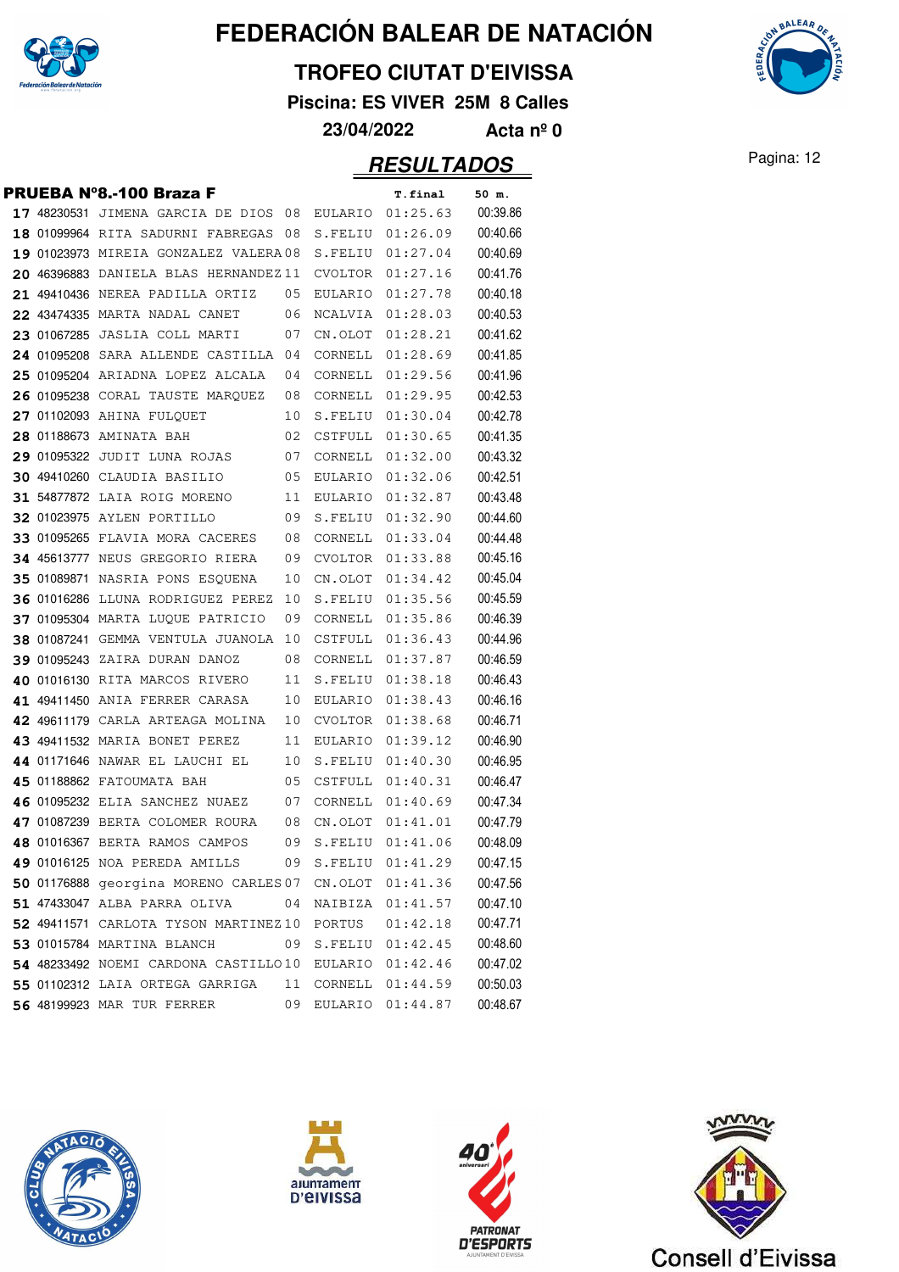

#### **TROFEO CIUTAT D'EIVISSA**

**Piscina: ES VIVER 25M 8 Calles**

**23/04/2022 Acta nº 0**

|  | PRUEBA Nº8.-100 Braza F               |    |         | T.final  | 50 m.    |
|--|---------------------------------------|----|---------|----------|----------|
|  | 17 48230531 JIMENA GARCIA DE DIOS     | 08 | EULARIO | 01:25.63 | 00:39.86 |
|  | 18 01099964 RITA SADURNI FABREGAS     | 08 | S.FELIU | 01:26.09 | 00:40.66 |
|  | 19 01023973 MIREIA GONZALEZ VALERA08  |    | S.FELIU | 01:27.04 | 00:40.69 |
|  | 20 46396883 DANIELA BLAS HERNANDEZ 11 |    | CVOLTOR | 01:27.16 | 00:41.76 |
|  | 21 49410436 NEREA PADILLA ORTIZ       | 05 | EULARIO | 01:27.78 | 00:40.18 |
|  | 22 43474335 MARTA NADAL CANET         | 06 | NCALVIA | 01:28.03 | 00:40.53 |
|  | 23 01067285 JASLIA COLL MARTI         | 07 | CN.OLOT | 01:28.21 | 00:41.62 |
|  | 24 01095208 SARA ALLENDE CASTILLA     | 04 | CORNELL | 01:28.69 | 00:41.85 |
|  | 25 01095204 ARIADNA LOPEZ ALCALA      | 04 | CORNELL | 01:29.56 | 00:41.96 |
|  | 26 01095238 CORAL TAUSTE MARQUEZ      | 08 | CORNELL | 01:29.95 | 00:42.53 |
|  | 27 01102093 AHINA FULQUET             | 10 | S.FELIU | 01:30.04 | 00:42.78 |
|  | 28 01188673 AMINATA BAH               | 02 | CSTFULL | 01:30.65 | 00:41.35 |
|  | 29 01095322 JUDIT LUNA ROJAS          | 07 | CORNELL | 01:32.00 | 00:43.32 |
|  | 30 49410260 CLAUDIA BASILIO           | 05 | EULARIO | 01:32.06 | 00:42.51 |
|  | 31 54877872 LAIA ROIG MORENO          | 11 | EULARIO | 01:32.87 | 00:43.48 |
|  | <b>32 01023975 AYLEN PORTILLO</b>     | 09 | S.FELIU | 01:32.90 | 00:44.60 |
|  | 33 01095265 FLAVIA MORA CACERES       | 08 | CORNELL | 01:33.04 | 00:44.48 |
|  | 34 45613777 NEUS GREGORIO RIERA       | 09 | CVOLTOR | 01:33.88 | 00:45.16 |
|  | 35 01089871 NASRIA PONS ESQUENA       | 10 | CN.OLOT | 01:34.42 | 00:45.04 |
|  | 36 01016286 LLUNA RODRIGUEZ PEREZ     | 10 | S.FELIU | 01:35.56 | 00:45.59 |
|  | 37 01095304 MARTA LUQUE PATRICIO      | 09 | CORNELL | 01:35.86 | 00:46.39 |
|  | 38 01087241 GEMMA VENTULA JUANOLA     | 10 | CSTFULL | 01:36.43 | 00:44.96 |
|  | 39 01095243 ZAIRA DURAN DANOZ         | 08 | CORNELL | 01:37.87 | 00:46.59 |
|  | 40 01016130 RITA MARCOS RIVERO        | 11 | S.FELIU | 01:38.18 | 00:46.43 |
|  | 41 49411450 ANIA FERRER CARASA        | 10 | EULARIO | 01:38.43 | 00:46.16 |
|  | 42 49611179 CARLA ARTEAGA MOLINA      | 10 | CVOLTOR | 01:38.68 | 00:46.71 |
|  | 43 49411532 MARIA BONET PEREZ         | 11 | EULARIO | 01:39.12 | 00:46.90 |
|  | 44 01171646 NAWAR EL LAUCHI EL        | 10 | S.FELIU | 01:40.30 | 00:46.95 |
|  | 45 01188862 FATOUMATA BAH             | 05 | CSTFULL | 01:40.31 | 00:46.47 |
|  | 46 01095232 ELIA SANCHEZ NUAEZ        | 07 | CORNELL | 01:40.69 | 00:47.34 |
|  | 47 01087239 BERTA COLOMER ROURA       | 08 | CN.OLOT | 01:41.01 | 00:47.79 |
|  | 48 01016367 BERTA RAMOS CAMPOS        | 09 | S.FELIU | 01:41.06 | 00:48.09 |
|  | 49 01016125 NOA PEREDA AMILLS         | 09 | S.FELIU | 01:41.29 | 00:47.15 |
|  | 50 01176888 georgina MORENO CARLES 07 |    | CN.OLOT | 01:41.36 | 00:47.56 |
|  | 51 47433047 ALBA PARRA OLIVA          | 04 | NAIBIZA | 01:41.57 | 00:47.10 |
|  | 52 49411571 CARLOTA TYSON MARTINEZ10  |    | PORTUS  | 01:42.18 | 00:47.71 |
|  | 53 01015784 MARTINA BLANCH            | 09 | S.FELIU | 01:42.45 | 00:48.60 |
|  | 54 48233492 NOEMI CARDONA CASTILLO10  |    | EULARIO | 01:42.46 | 00:47.02 |
|  | 55 01102312 LAIA ORTEGA GARRIGA       | 11 | CORNELL | 01:44.59 | 00:50.03 |
|  | 56 48199923 MAR TUR FERRER            | 09 | EULARIO | 01:44.87 | 00:48.67 |









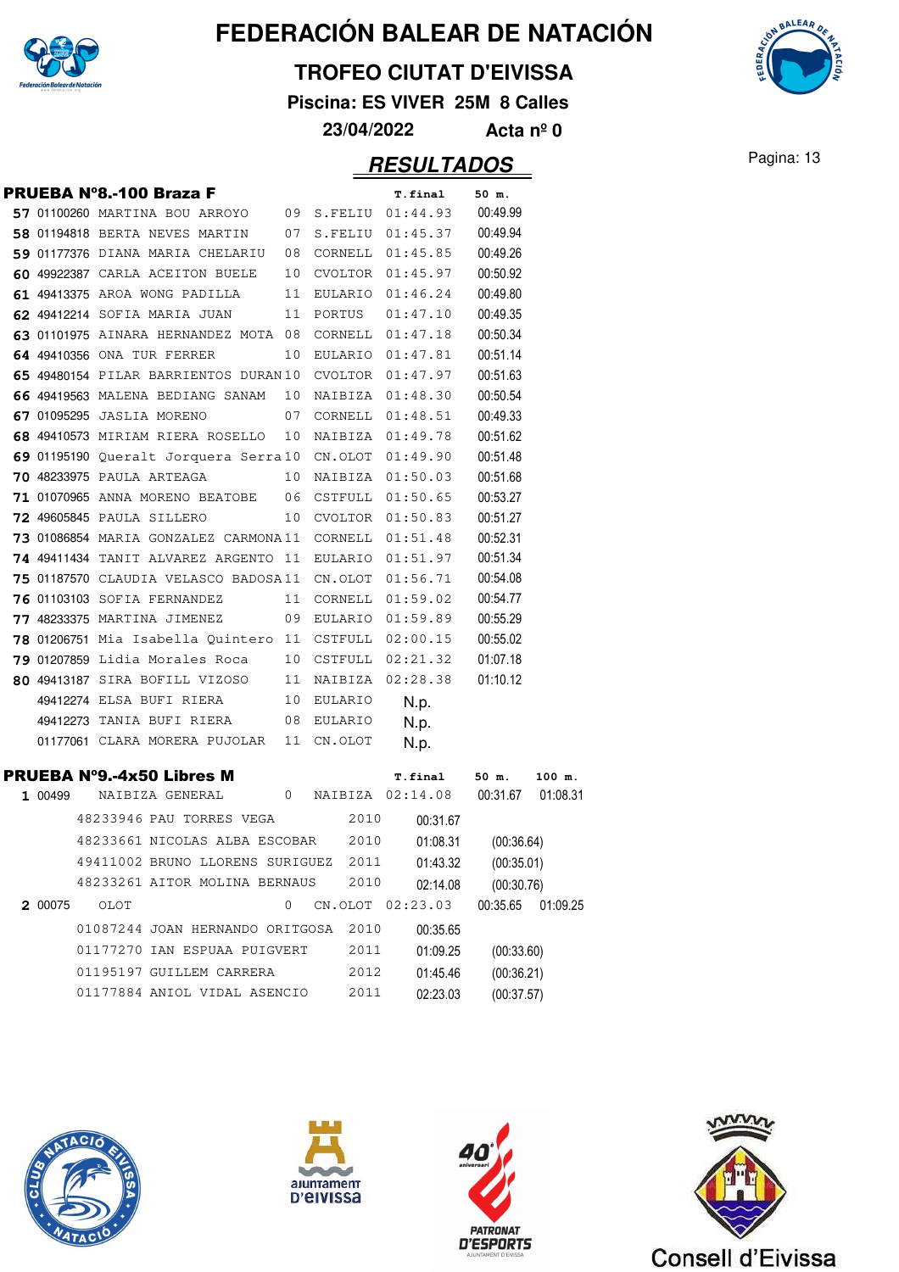

#### **TROFEO CIUTAT D'EIVISSA**

**Piscina: ES VIVER 25M 8 Calles**

**23/04/2022 Acta nº 0**

### Pagina: 13 **RESULTADOS**

|         | <b>PRUEBA Nº8.-100 Braza F</b>                          |    |            | <b>T.final</b>       | 50 m.               |          |
|---------|---------------------------------------------------------|----|------------|----------------------|---------------------|----------|
|         | $57$ 01100260 MARTINA BOU ARROYO 09 S.FELIU 01:44.93    |    |            |                      | 00:49.99            |          |
|         | 58 01194818 BERTA NEVES MARTIN 07 S.FELIU 01:45.37      |    |            |                      | 00:49.94            |          |
|         | $59$ 01177376 DIANA MARIA CHELARIU 08 CORNELL 01:45.85  |    |            |                      | 00:49.26            |          |
|         | 60 49922387 CARLA ACEITON BUELE                         |    |            | 10 CVOLTOR 01:45.97  | 00:50.92            |          |
|         | 61 49413375 AROA WONG PADILLA                           | 11 |            | EULARIO $01:46.24$   | 00:49.80            |          |
|         | 62 49412214 SOFIA MARIA JUAN                            | 11 | PORTUS     | 01:47.10             | 00:49.35            |          |
|         | 63 01101975 AINARA HERNANDEZ MOTA 08                    |    | CORNELL    | 01:47.18             | 00:50.34            |          |
|         | 64 49410356 ONA TUR FERRER                              | 10 |            | EULARIO 01:47.81     | 00:51.14            |          |
|         | 65 49480154 PILAR BARRIENTOS DURAN10                    |    |            | CVOLTOR 01:47.97     | 00:51.63            |          |
|         | 66 49419563 MALENA BEDIANG SANAM                        | 10 |            | NAIBIZA 01:48.30     | 00:50.54            |          |
|         | 67 01095295 JASLIA MORENO                               | 07 |            | CORNELL $01:48.51$   | 00:49.33            |          |
|         | 68 49410573 MIRIAM RIERA ROSELLO 10 NAIBIZA 01:49.78    |    |            |                      | 00:51.62            |          |
|         | 69 01195190 Queralt Jorquera Serra10 CN.OLOT 01:49.90   |    |            |                      | 00:51.48            |          |
|         | <b>70 48233975</b> PAULA ARTEAGA                        | 10 | NAIBIZA    | 01:50.03             | 00:51.68            |          |
|         | 71 01070965 ANNA MORENO BEATOBE 06                      |    | CSTFULL    | 01:50.65             | 00:53.27            |          |
|         | <b>72 49605845 PAULA SILLERO</b>                        |    |            | 10 CVOLTOR 01:50.83  | 00:51.27            |          |
|         | 73 01086854 MARIA GONZALEZ CARMONA11 CORNELL 01:51.48   |    |            |                      | 00:52.31            |          |
|         | 74 49411434 TANIT ALVAREZ ARGENTO 11 EULARIO 01:51.97   |    |            |                      | 00:51.34            |          |
|         | 75 01187570 CLAUDIA VELASCO BADOSA11 CN.OLOT            |    |            | 01:56.71             | 00:54.08            |          |
|         | <b>76 01103103 SOFIA FERNANDEZ</b>                      |    |            | 11 CORNELL 01:59.02  | 00:54.77            |          |
|         | <b>77 48233375 MARTINA JIMENEZ</b>                      |    |            | 09 EULARIO 01:59.89  | 00:55.29            |          |
|         | 78 01206751 Mia Isabella Quintero 11 CSTFULL $02:00.15$ |    |            |                      | 00:55.02            |          |
|         | 79 01207859 Lidia Morales Roca                          |    | 10 CSTFULL | 02:21.32             | 01:07.18            |          |
|         | 80 49413187 SIRA BOFILL VIZOSO                          | 11 |            | NAIBIZA 02:28.38     | 01:10.12            |          |
|         | 49412274 ELSA BUFI RIERA                                | 10 | EULARIO    | N.p.                 |                     |          |
|         | 49412273 TANIA BUFI RIERA 08 EULARIO                    |    |            | N.p.                 |                     |          |
|         | 01177061 CLARA MORERA PUJOLAR 11 CN.OLOT                |    |            | N.p.                 |                     |          |
|         | <b>PRUEBA Nº9.-4x50 Libres M</b>                        |    |            | <b>T.final</b>       | 50 m.               | 100 m.   |
| 1 00499 | NAIBIZA GENERAL 0 NAIBIZA 02:14.08 00:31.67             |    |            |                      |                     | 01:08.31 |
|         | 48233946 PAU TORRES VEGA 2010                           |    |            | 00:31.67             |                     |          |
|         | 48233661 NICOLAS ALBA ESCOBAR 2010                      |    |            | 01:08.31             | (00:36.64)          |          |
|         | 49411002 BRUNO LLORENS SURIGUEZ 2011                    |    |            |                      | 01:43.32 (00:35.01) |          |
|         | 48233261 AITOR MOLINA BERNAUS                           |    | 2010       | 02:14.08             | (00:30.76)          |          |
| 2 00075 | OLOT                                                    | 0  |            | CN.OLOT 02:23.03     | 00:35.65            | 01:09.25 |
|         |                                                         |    |            |                      |                     |          |
|         | 01087244 JOAN HERNANDO ORITGOSA 2010                    |    |            |                      |                     |          |
|         | 01177270 IAN ESPUAA PUIGVERT                            |    | 2011       | 00:35.65<br>01:09.25 | (00:33.60)          |          |



01177884 ANIOL VIDAL ASENCIO



02:23.03



(00:37.57)



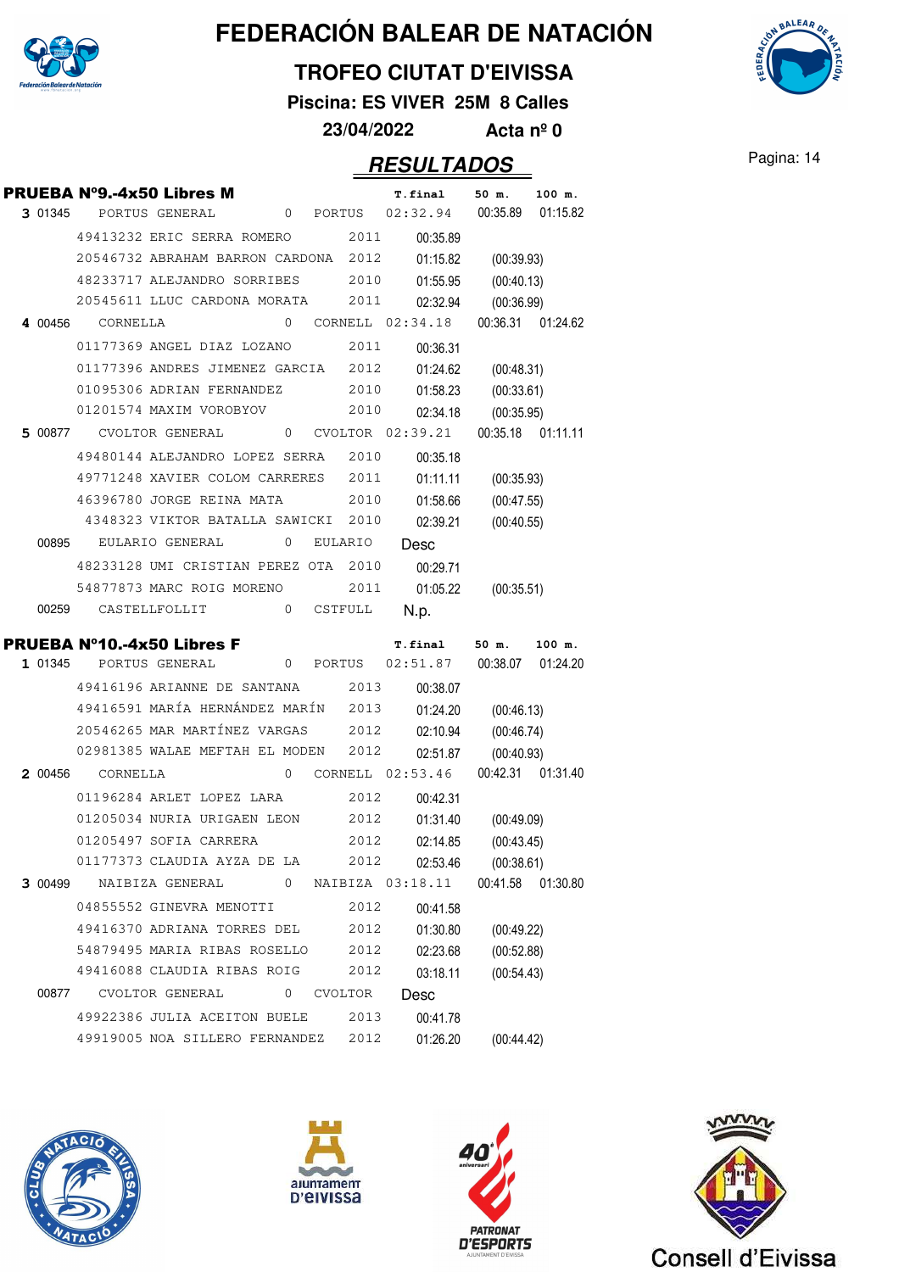

### **TROFEO CIUTAT D'EIVISSA**

**Piscina: ES VIVER 25M 8 Calles**

**23/04/2022 Acta nº 0**

### **RESULTADOS** Pagina: 14

**AALEAR** 

|         | PRUEBA Nº9.-4x50 Libres M            |                 |              |                |           | T.final                                    | 50 m.             | 100 m.             |
|---------|--------------------------------------|-----------------|--------------|----------------|-----------|--------------------------------------------|-------------------|--------------------|
| 3 01345 |                                      | PORTUS GENERAL  | 0            | PORTUS         |           | 02:32.94                                   | 00:35.89          | 01:15.82           |
|         | 49413232 ERIC SERRA ROMERO           |                 |              |                | 2011      | 00:35.89                                   |                   |                    |
|         | 20546732 ABRAHAM BARRON CARDONA      |                 |              |                | 2012      | 01:15.82                                   | (00:39.93)        |                    |
|         | 48233717 ALEJANDRO SORRIBES          |                 |              |                | 2010      | 01:55.95                                   | (00:40.13)        |                    |
|         | 20545611 LLUC CARDONA MORATA         |                 |              |                | 2011      | 02:32.94                                   | (00:36.99)        |                    |
|         | 4 00456 CORNELLA                     |                 | 0            |                |           | CORNELL 02:34.18                           |                   | 00:36.31 01:24.62  |
|         | 01177369 ANGEL DIAZ LOZANO           |                 |              |                | 2011      | 00:36.31                                   |                   |                    |
|         | 01177396 ANDRES JIMENEZ GARCIA       |                 |              |                | 2012      | 01:24.62                                   | (00:48.31)        |                    |
|         | 01095306 ADRIAN FERNANDEZ            |                 |              |                | 2010      | 01:58.23                                   | (00:33.61)        |                    |
|         | 01201574 MAXIM VOROBYOV              |                 |              |                | 2010      | 02:34.18                                   | (00:35.95)        |                    |
| 5 00877 |                                      | CVOLTOR GENERAL | $\mathbf{0}$ |                |           | $CVOLTOR$ $02:39.21$                       |                   | 00:35.18 01:11.11  |
|         | 49480144 ALEJANDRO LOPEZ SERRA       |                 |              |                | 2010      | 00:35.18                                   |                   |                    |
|         | 49771248 XAVIER COLOM CARRERES       |                 |              |                | 2011      | 01:11.11                                   | (00:35.93)        |                    |
|         | 46396780 JORGE REINA MATA            |                 |              |                | 2010      | 01:58.66                                   | (00:47.55)        |                    |
|         | 4348323 VIKTOR BATALLA SAWICKI       |                 |              |                | 2010      | 02:39.21                                   | (00:40.55)        |                    |
| 00895   |                                      | EULARIO GENERAL | 0            | <b>EULARIO</b> |           | Desc                                       |                   |                    |
|         | 48233128 UMI CRISTIAN PEREZ OTA 2010 |                 |              |                |           | 00:29.71                                   |                   |                    |
|         | 54877873 MARC ROIG MORENO            |                 |              |                | 2011      | 01:05.22                                   | (00:35.51)        |                    |
| 00259   |                                      | CASTELLFOLLIT   | $\mathbf{0}$ | CSTFULL        |           | N.p.                                       |                   |                    |
|         |                                      |                 |              |                |           |                                            |                   |                    |
|         |                                      |                 |              |                |           |                                            |                   |                    |
| 1 01345 | <b>PRUEBA N°10.-4x50 Libres F</b>    | PORTUS GENERAL  | 0            | PORTUS         |           | T.final<br>02:51.87                        | 50 m.<br>00:38.07 | 100 m.<br>01:24.20 |
|         | 49416196 ARIANNE DE SANTANA          |                 |              |                | 2013      |                                            |                   |                    |
|         | 49416591 MARÍA HERNÁNDEZ MARÍN       |                 |              |                | 2013      | 00:38.07                                   |                   |                    |
|         | 20546265 MAR MARTÍNEZ VARGAS         |                 |              |                | 2012      | 01:24.20                                   | (00:46.13)        |                    |
|         | 02981385 WALAE MEFTAH EL MODEN       |                 |              |                | 2012      | 02:10.94<br>02:51.87                       | (00:46.74)        |                    |
| 2 00456 | CORNELLA                             |                 | 0            |                |           | CORNELL 02:53.46                           | (00:40.93)        | 00:42.31 01:31.40  |
|         | 01196284 ARLET LOPEZ LARA            |                 |              |                | 2012      | 00:42.31                                   |                   |                    |
|         | 01205034 NURIA URIGAEN LEON          |                 |              |                | 2012      | 01:31.40                                   | (00:49.09)        |                    |
|         | 01205497 SOFIA CARRERA               |                 |              |                | 2012      | 02:14.85                                   | (00:43.45)        |                    |
|         | 01177373 CLAUDIA AYZA DE LA          |                 |              |                | 2012      | 02:53.46                                   | (00:38.61)        |                    |
|         |                                      |                 |              |                |           | 3 00499 NAIBIZA GENERAL 0 NAIBIZA 03:18.11 |                   | 00:41.58 01:30.80  |
|         | 04855552 GINEVRA MENOTTI             |                 |              |                | 2012      | 00:41.58                                   |                   |                    |
|         | 49416370 ADRIANA TORRES DEL          |                 |              |                | 2012      | 01:30.80                                   | (00:49.22)        |                    |
|         | 54879495 MARIA RIBAS ROSELLO         |                 |              |                |           | 2012 02:23.68                              | (00:52.88)        |                    |
|         | 49416088 CLAUDIA RIBAS ROIG          |                 |              |                | 2012      | 03:18.11                                   | (00:54.43)        |                    |
| 00877   |                                      | CVOLTOR GENERAL |              |                | 0 CVOLTOR | Desc                                       |                   |                    |
|         | 49922386 JULIA ACEITON BUELE 2013    |                 |              |                |           | 00:41.78                                   |                   |                    |
|         | 49919005 NOA SILLERO FERNANDEZ 2012  |                 |              |                |           | 01:26.20                                   | (00:44.42)        |                    |







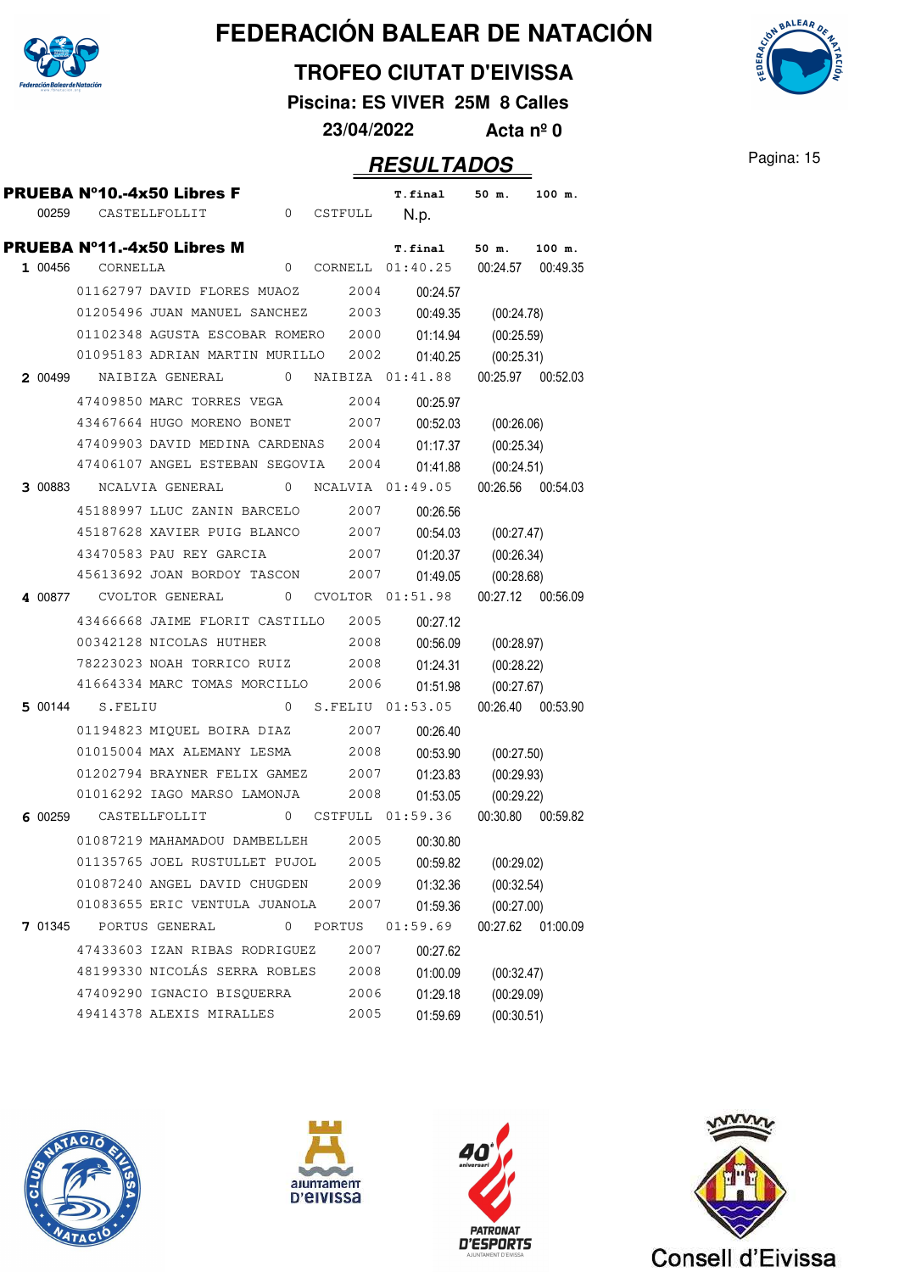

#### **TROFEO CIUTAT D'EIVISSA**

**Piscina: ES VIVER 25M 8 Calles**

**23/04/2022 Acta nº 0**

|         |                 | <b>PRUEBA N°10.-4x50 Libres F</b>                          |              |        |      | T.final                              | 50 m.             | 100 m.   |
|---------|-----------------|------------------------------------------------------------|--------------|--------|------|--------------------------------------|-------------------|----------|
| 00259   |                 | CASTELLFOLLIT                                              | 0 CSTFULL    |        |      | N.p.                                 |                   |          |
|         |                 | <b>PRUEBA N°11.-4x50 Libres M</b>                          |              |        |      | <b>T.final</b>                       | 50 m.             | 100 m.   |
| 1 00456 | CORNELLA        |                                                            | 0            |        |      | CORNELL 01:40.25 00:24.57 00:49.35   |                   |          |
|         |                 | 01162797 DAVID FLORES MUAOZ                                |              |        | 2004 | 00:24.57                             |                   |          |
|         |                 | 01205496 JUAN MANUEL SANCHEZ                               |              |        | 2003 | 00:49.35                             | (00:24.78)        |          |
|         |                 | 01102348 AGUSTA ESCOBAR ROMERO 2000                        |              |        |      | 01:14.94                             | (00:25.59)        |          |
|         |                 | 01095183 ADRIAN MARTIN MURILLO                             |              |        | 2002 | 01:40.25                             | (00:25.31)        |          |
| 2 00499 |                 | NAIBIZA GENERAL                                            | $\mathbf{0}$ |        |      | NAIBIZA 01:41.88                     | 00:25.97 00:52.03 |          |
|         |                 | 47409850 MARC TORRES VEGA                                  |              |        | 2004 | 00:25.97                             |                   |          |
|         |                 | 43467664 HUGO MORENO BONET 2007                            |              |        |      | 00:52.03                             | (00:26.06)        |          |
|         |                 | 47409903 DAVID MEDINA CARDENAS 2004                        |              |        |      | 01:17.37                             | (00:25.34)        |          |
|         |                 | 47406107 ANGEL ESTEBAN SEGOVIA                             |              |        | 2004 | 01:41.88                             | (00:24.51)        |          |
| 3 00883 |                 | NCALVIA GENERAL                                            | 0            |        |      | NCALVIA 01:49.05 00:26.56 00:54.03   |                   |          |
|         |                 | 45188997 LLUC ZANIN BARCELO 2007                           |              |        |      | 00:26.56                             |                   |          |
|         |                 | 45187628 XAVIER PUIG BLANCO 2007                           |              |        |      | 00:54.03                             | (00:27.47)        |          |
|         |                 | 43470583 PAU REY GARCIA                                    |              |        | 2007 | 01:20.37                             | (00:26.34)        |          |
|         |                 | 45613692 JOAN BORDOY TASCON                                |              |        | 2007 | 01:49.05                             | (00:28.68)        |          |
|         |                 | 4 00877 CVOLTOR GENERAL                                    |              |        |      | 0 CVOLTOR 01:51.98 00:27.12 00:56.09 |                   |          |
|         |                 | 43466668 JAIME FLORIT CASTILLO 2005                        |              |        |      | 00:27.12                             |                   |          |
|         |                 | 00342128 NICOLAS HUTHER                                    |              |        | 2008 | 00:56.09                             | (00:28.97)        |          |
|         |                 | 78223023 NOAH TORRICO RUIZ                                 |              |        | 2008 | 01:24.31                             | (00:28.22)        |          |
|         |                 | 41664334 MARC TOMAS MORCILLO                               |              |        | 2006 | 01:51.98                             | (00:27.67)        |          |
|         | 5 00144 S.FELIU |                                                            |              |        |      | 0 S.FELIU 01:53.05 00:26.40 00:53.90 |                   |          |
|         |                 | 01194823 MIQUEL BOIRA DIAZ                                 |              |        | 2007 | 00:26.40                             |                   |          |
|         |                 | 01015004 MAX ALEMANY LESMA                                 |              |        | 2008 | 00:53.90                             | (00:27.50)        |          |
|         |                 | 01202794 BRAYNER FELIX GAMEZ                               |              |        | 2007 | 01:23.83                             | (00:29.93)        |          |
|         |                 | 01016292 IAGO MARSO LAMONJA                                |              |        | 2008 | 01:53.05                             | (00:29.22)        |          |
|         |                 | 6 00259 CASTELLFOLLIT 0 CSTFULL 01:59.36 00:30.80 00:59.82 |              |        |      |                                      |                   |          |
|         |                 | 01087219 MAHAMADOU DAMBELLEH                               |              |        | 2005 | 00:30.80                             |                   |          |
|         |                 | 01135765 JOEL RUSTULLET PUJOL 2005 00:59.82 (00:29.02)     |              |        |      |                                      |                   |          |
|         |                 | 01087240 ANGEL DAVID CHUGDEN                               |              |        | 2009 | 01:32.36                             | (00:32.54)        |          |
|         |                 | 01083655 ERIC VENTULA JUANOLA                              |              |        | 2007 | 01:59.36                             | (00:27.00)        |          |
| 7 01345 |                 | PORTUS GENERAL                                             | 0            | PORTUS |      | 01:59.69                             | 00:27.62          | 01:00.09 |
|         |                 | 47433603 IZAN RIBAS RODRIGUEZ                              |              |        | 2007 | 00:27.62                             |                   |          |
|         |                 | 48199330 NICOLÁS SERRA ROBLES                              |              |        | 2008 | 01:00.09                             | (00:32.47)        |          |
|         |                 | 47409290 IGNACIO BISQUERRA                                 |              |        | 2006 | 01:29.18                             | (00:29.09)        |          |
|         |                 | 49414378 ALEXIS MIRALLES                                   |              |        | 2005 | 01:59.69                             | (00:30.51)        |          |









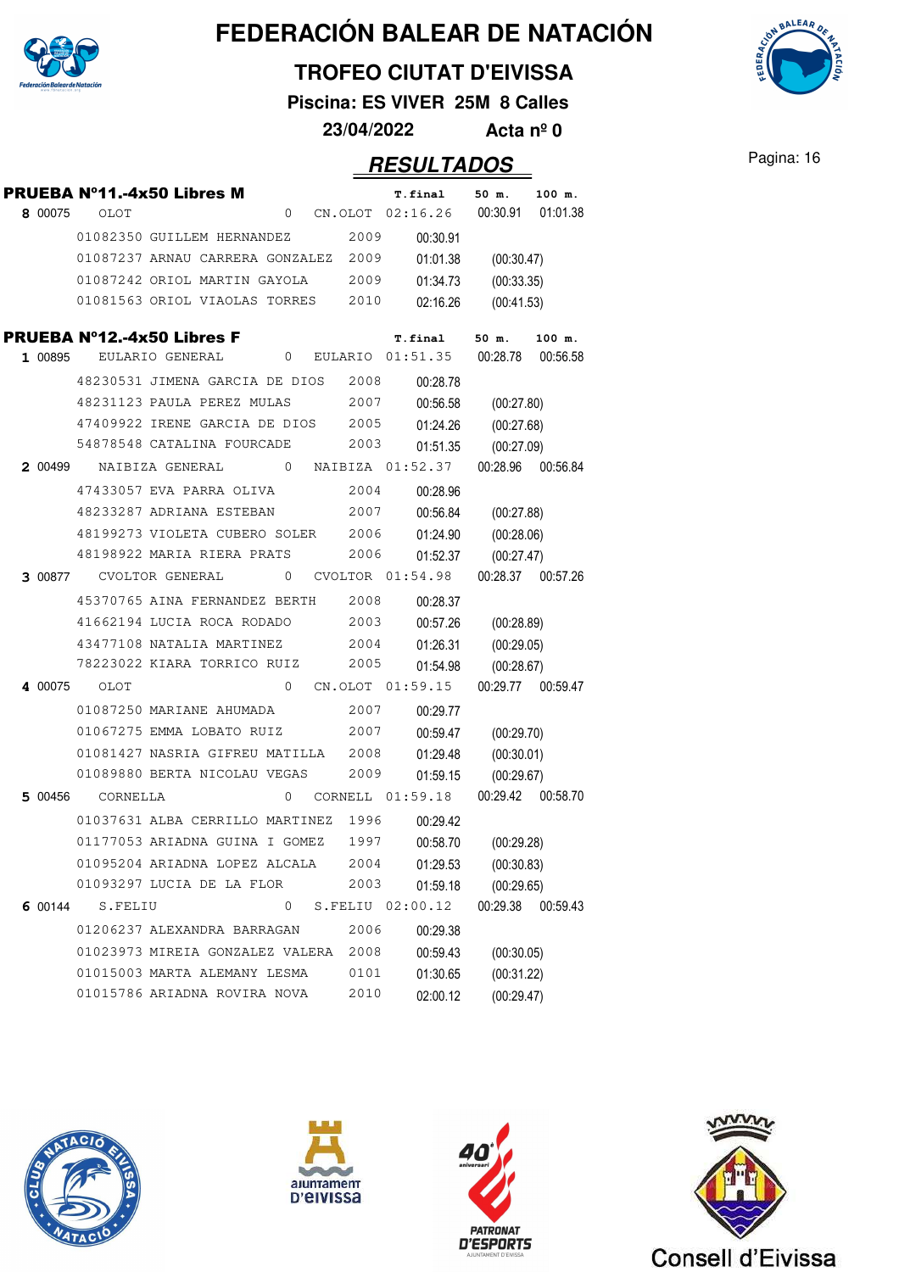

### **TROFEO CIUTAT D'EIVISSA**

**Piscina: ES VIVER 25M 8 Calles**

**23/04/2022 Acta nº 0**

|         |                  | <b>PRUEBA N°11.-4x50 Libres M</b>                    |   |      | T.final                              | 50 m.             | 100 m.   |
|---------|------------------|------------------------------------------------------|---|------|--------------------------------------|-------------------|----------|
| 8 00075 | OLOT             |                                                      |   |      | 0 CN.OLOT $02:16.26$ 00:30.91        |                   | 01:01.38 |
|         |                  | 01082350 GUILLEM HERNANDEZ                           |   | 2009 | 00:30.91                             |                   |          |
|         |                  | 01087237 ARNAU CARRERA GONZALEZ 2009                 |   |      | 01:01.38                             | (00:30.47)        |          |
|         |                  | 01087242 ORIOL MARTIN GAYOLA                         |   | 2009 | 01:34.73                             | (00:33.35)        |          |
|         |                  | 01081563 ORIOL VIAOLAS TORRES                        |   | 2010 | 02:16.26                             | (00:41.53)        |          |
|         |                  | <b>PRUEBA N°12.-4x50 Libres F</b>                    |   |      | <b>T.final</b>                       | 50 m.             | 100 m.   |
| 1 00895 |                  | EULARIO GENERAL                                      |   |      | 0 EULARIO 01:51.35 00:28.78 00:56.58 |                   |          |
|         |                  | 48230531 JIMENA GARCIA DE DIOS                       |   | 2008 | 00:28.78                             |                   |          |
|         |                  | 48231123 PAULA PEREZ MULAS                           |   | 2007 | 00:56.58                             | (00:27.80)        |          |
|         |                  | 47409922 IRENE GARCIA DE DIOS 2005                   |   |      | 01:24.26                             | (00:27.68)        |          |
|         |                  | 54878548 CATALINA FOURCADE                           |   | 2003 | 01:51.35                             | (00:27.09)        |          |
| 2 00499 |                  | NAIBIZA GENERAL 0 NAIBIZA 01:52.37 00:28.96 00:56.84 |   |      |                                      |                   |          |
|         |                  | 47433057 EVA PARRA OLIVA                             |   | 2004 | 00:28.96                             |                   |          |
|         |                  | 48233287 ADRIANA ESTEBAN                             |   | 2007 | 00:56.84                             | (00:27.88)        |          |
|         |                  | 48199273 VIOLETA CUBERO SOLER 2006                   |   |      | 01:24.90                             | (00:28.06)        |          |
|         |                  | 48198922 MARIA RIERA PRATS                           |   | 2006 | 01:52.37                             | (00:27.47)        |          |
|         |                  | 3 00877 CVOLTOR GENERAL 0 CVOLTOR 01:54.98           |   |      |                                      | 00:28.37 00:57.26 |          |
|         |                  | 45370765 AINA FERNANDEZ BERTH 2008                   |   |      | 00:28.37                             |                   |          |
|         |                  | 41662194 LUCIA ROCA RODADO                           |   | 2003 | 00:57.26                             | (00:28.89)        |          |
|         |                  | 43477108 NATALIA MARTINEZ                            |   | 2004 | 01:26.31                             | (00:29.05)        |          |
|         |                  | 78223022 KIARA TORRICO RUIZ                          |   | 2005 | 01:54.98                             | (00:28.67)        |          |
|         | 4 00075 OLOT     |                                                      |   |      | 0 CN.OLOT 01:59.15 00:29.77 00:59.47 |                   |          |
|         |                  | 01087250 MARIANE AHUMADA                             |   | 2007 | 00:29.77                             |                   |          |
|         |                  | 01067275 EMMA LOBATO RUIZ                            |   | 2007 | 00:59.47                             | (00:29.70)        |          |
|         |                  | 01081427 NASRIA GIFREU MATILLA                       |   | 2008 | 01:29.48                             | (00:30.01)        |          |
|         |                  | 01089880 BERTA NICOLAU VEGAS                         |   | 2009 | 01:59.15                             | (00:29.67)        |          |
|         | 5 00456 CORNELLA |                                                      |   |      | 0 CORNELL 01:59.18 00:29.42 00:58.70 |                   |          |
|         |                  | 01037631 ALBA CERRILLO MARTINEZ                      |   | 1996 | 00:29.42                             |                   |          |
|         |                  | 01177053 ARIADNA GUINA I GOMEZ                       |   | 1997 | 00:58.70                             | (00:29.28)        |          |
|         |                  | 01095204 ARIADNA LOPEZ ALCALA                        |   | 2004 | 01:29.53                             | (00:30.83)        |          |
|         |                  | 01093297 LUCIA DE LA FLOR                            |   | 2003 | 01:59.18                             | (00:29.65)        |          |
| 6 00144 | S.FELIU          |                                                      | 0 |      | S.FELIU 02:00.12                     | 00:29.38          | 00:59.43 |
|         |                  | 01206237 ALEXANDRA BARRAGAN                          |   | 2006 | 00:29.38                             |                   |          |
|         |                  | 01023973 MIREIA GONZALEZ VALERA                      |   | 2008 | 00:59.43                             | (00:30.05)        |          |
|         |                  | 01015003 MARTA ALEMANY LESMA                         |   | 0101 | 01:30.65                             | (00:31.22)        |          |
|         |                  | 01015786 ARIADNA ROVIRA NOVA                         |   | 2010 | 02:00.12                             | (00:29.47)        |          |









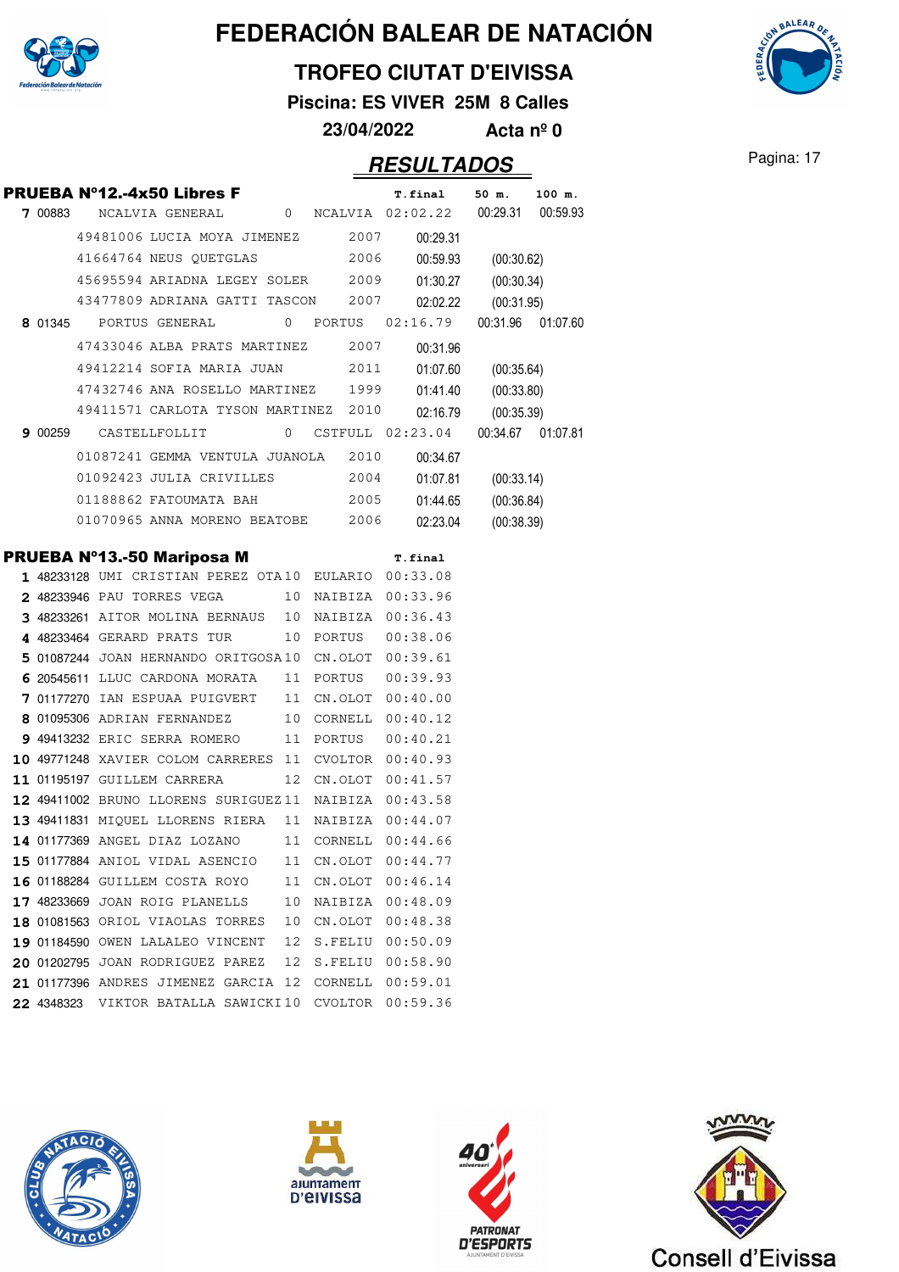

### **TROFEO CIUTAT D'EIVISSA**

**Piscina: ES VIVER 25M 8 Calles**

**23/04/2022 Acta nº 0**

### Pagina: 17 **RESULTADOS**

**AALEAA** 

| 7 00883 | <b>PRUEBA Nº12.-4x50 Libres F</b>     |  |      |           | <b>T.final</b><br>NCALVIA GENERAL 0 NCALVIA 02:02.22 00:29.31 00:59.93 | 50 m.               | 100 m. |
|---------|---------------------------------------|--|------|-----------|------------------------------------------------------------------------|---------------------|--------|
|         | 49481006 LUCIA MOYA JIMENEZ 2007      |  |      |           | 00:29.31                                                               |                     |        |
|         | 41664764 NEUS QUETGLAS                |  | 2006 |           |                                                                        | 00:59.93 (00:30.62) |        |
|         | 45695594 ARIADNA LEGEY SOLER 2009     |  |      |           |                                                                        | 01:30.27 (00:30.34) |        |
|         | 43477809 ADRIANA GATTI TASCON 2007    |  |      |           | 02:02.22                                                               | (00:31.95)          |        |
|         | 8 01345 PORTUS GENERAL                |  |      |           | 0 PORTUS 02:16.79                                                      | 00:31.96 01:07.60   |        |
|         | 47433046 ALBA PRATS MARTINEZ 2007     |  |      |           | 00:31.96                                                               |                     |        |
|         | 49412214 SOFIA MARIA JUAN 2011        |  |      |           | 01:07.60                                                               | (00:35.64)          |        |
|         | 47432746 ANA ROSELLO MARTINEZ 1999    |  |      |           | 01:41.40                                                               | (00:33.80)          |        |
|         | 49411571 CARLOTA TYSON MARTINEZ 2010  |  |      |           | 02:16.79                                                               | (00:35.39)          |        |
| 9 00259 | CASTELLFOLLIT                         |  |      |           | 0 CSTFULL 02:23.04 00:34.67 01:07.81                                   |                     |        |
|         | 01087241 GEMMA VENTULA JUANOLA 2010   |  |      |           | 00:34.67                                                               |                     |        |
|         | 01092423 JULIA CRIVILLES 2004         |  |      |           | 01:07.81                                                               | (00:33.14)          |        |
|         | 01188862 FATOUMATA BAH                |  |      | 2005      | 01:44.65                                                               | (00:36.84)          |        |
|         | 01070965 ANNA MORENO BEATOBE 2006     |  |      |           | 02:23.04                                                               | (00:38.39)          |        |
|         |                                       |  |      |           |                                                                        |                     |        |
|         | PRUEBA Nº13.-50 Mariposa M            |  |      |           | T.final                                                                |                     |        |
|         |                                       |  |      |           | 1 48233128 UMI CRISTIAN PEREZ OTA10 EULARIO 00:33.08                   |                     |        |
|         |                                       |  |      |           | 2 48233946 PAU TORRES VEGA 10 NAIBIZA 00:33.96                         |                     |        |
|         |                                       |  |      |           | 3 48233261 AITOR MOLINA BERNAUS 10 NAIBIZA 00:36.43                    |                     |        |
|         | 4 48233464 GERARD PRATS TUR           |  |      |           | 10 PORTUS 00:38.06                                                     |                     |        |
|         |                                       |  |      |           | 5 01087244 JOAN HERNANDO ORITGOSA10 CN.OLOT 00:39.61                   |                     |        |
|         | 6 20545611 LLUC CARDONA MORATA        |  | 11   | PORTUS    | 00:39.93                                                               |                     |        |
|         | <b>7</b> 01177270 IAN ESPUAA PUIGVERT |  |      |           | 11 CN.OLOT 00:40.00                                                    |                     |        |
|         | 8 01095306 ADRIAN FERNANDEZ           |  |      |           | 10 CORNELL 00:40.12                                                    |                     |        |
|         | 9 49413232 ERIC SERRA ROMERO          |  |      | 11 PORTUS | 00:40.21                                                               |                     |        |
|         |                                       |  |      |           | 10 49771248 XAVIER COLOM CARRERES 11 CVOLTOR 00:40.93                  |                     |        |
|         | 11 01195197 GUILLEM CARRERA           |  |      |           | 12 CN.OLOT 00:41.57                                                    |                     |        |
|         |                                       |  |      |           | 12 49411002 BRUNO LLORENS SURIGUEZ11 NAIBIZA 00:43.58                  |                     |        |
|         |                                       |  |      |           | 13 49411831 MIQUEL LLORENS RIERA 11 NAIBIZA 00:44.07                   |                     |        |
|         | 14 01177369 ANGEL DIAZ LOZANO         |  |      |           | 11 CORNELL 00:44.66                                                    |                     |        |
|         |                                       |  |      |           | 15 01177884 ANIOL VIDAL ASENCIO 11 CN.OLOT 00:44.77                    |                     |        |
|         | <b>16</b> 01188284 GUILLEM COSTA ROYO |  | 11   |           | CN.OLOT 00:46.14                                                       |                     |        |
|         | 17 48233669 JOAN ROIG PLANELLS        |  | 10   |           | NAIBIZA 00:48.09                                                       |                     |        |
|         | 18 01081563 ORIOL VIAOLAS TORRES      |  | 10   | CN.OLOT   | 00:48.38                                                               |                     |        |
|         | 19 01184590 OWEN LALALEO VINCENT      |  | 12   |           | S.FELIU 00:50.09                                                       |                     |        |
|         | 20 01202795 JOAN RODRIGUEZ PAREZ      |  | 12   |           | S.FELIU 00:58.90                                                       |                     |        |
|         | 21 01177396 ANDRES JIMENEZ GARCIA 12  |  |      |           | CORNELL 00:59.01                                                       |                     |        |
|         | 22 4348323 VIKTOR BATALLA SAWICKI10   |  |      |           | CVOLTOR 00:59.36                                                       |                     |        |







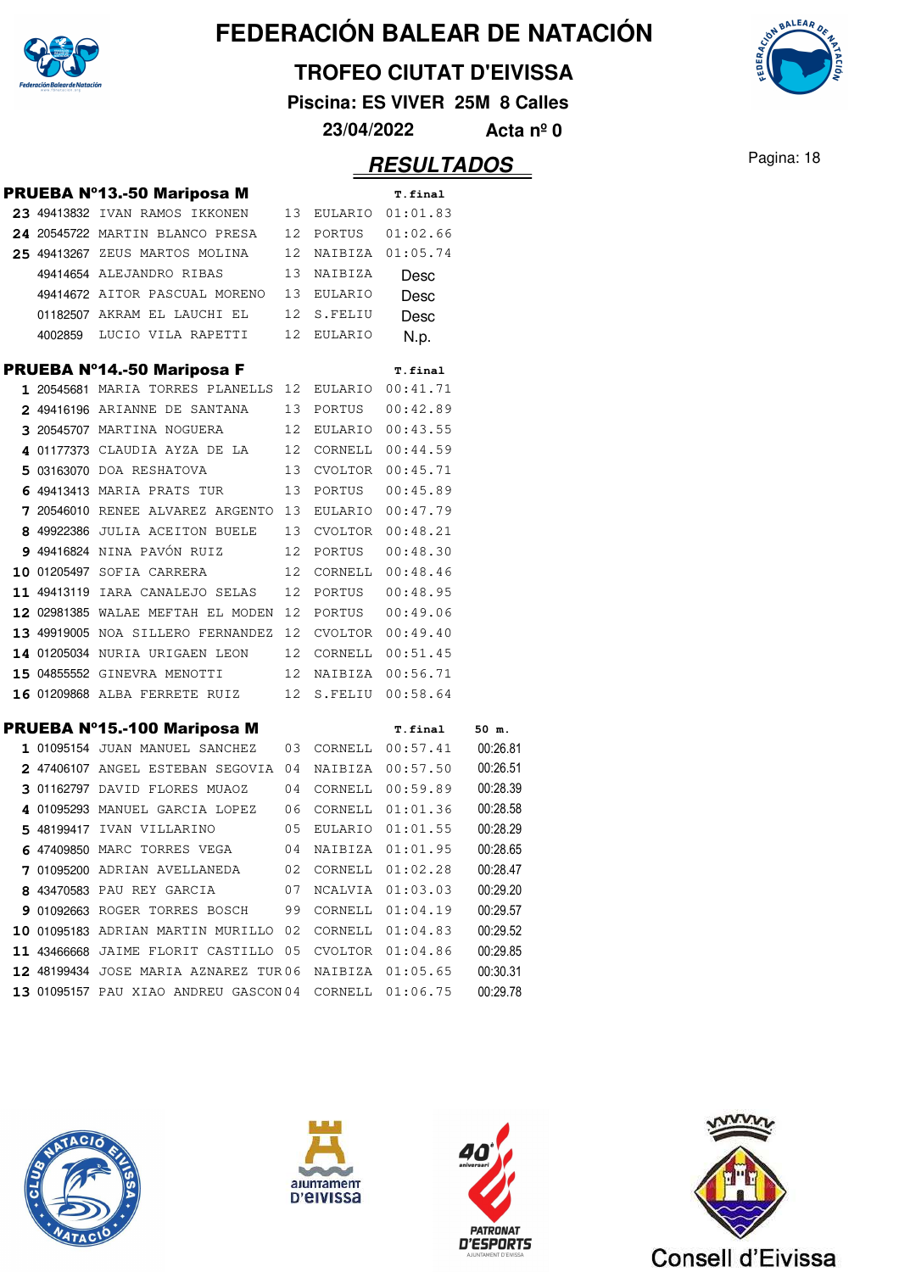

#### **TROFEO CIUTAT D'EIVISSA**

**Piscina: ES VIVER 25M 8 Calles**

**23/04/2022 Acta nº 0**

|         | <b>PRUEBA Nº13.-50 Mariposa M</b>                    |                 |                | T.final             |          |
|---------|------------------------------------------------------|-----------------|----------------|---------------------|----------|
|         | 23 49413832 IVAN RAMOS IKKONEN                       | 13              |                | EULARIO 01:01.83    |          |
|         | 24 20545722 MARTIN BLANCO PRESA                      | 12              | PORTUS         | 01:02.66            |          |
|         | 25 49413267 ZEUS MARTOS MOLINA                       | 12 <sup>°</sup> | NAIBIZA        | 01:05.74            |          |
|         | 49414654 ALEJANDRO RIBAS                             | 13              | NAIBIZA        | Desc                |          |
|         | 49414672 AITOR PASCUAL MORENO                        |                 | 13 EULARIO     | Desc                |          |
|         | 01182507 AKRAM EL LAUCHI EL                          | 12              | S.FELIU        | Desc                |          |
| 4002859 | LUCIO VILA RAPETTI                                   | 12              | <b>EULARIO</b> | N.p.                |          |
|         | <b>PRUEBA Nº14.-50 Mariposa F</b>                    |                 |                | T.final             |          |
|         | 1 20545681 MARIA TORRES PLANELLS                     | 12              | EULARIO        | 00:41.71            |          |
|         | 2 49416196 ARIANNE DE SANTANA                        | 13              | PORTUS         | 00:42.89            |          |
|         | 3 20545707 MARTINA NOGUERA                           | 12              |                | EULARIO 00:43.55    |          |
|         | 4 01177373 CLAUDIA AYZA DE LA                        | 12              |                | CORNELL 00:44.59    |          |
|         | 5 03163070 DOA RESHATOVA                             | 13              | CVOLTOR        | 00:45.71            |          |
|         | 6 49413413 MARIA PRATS TUR                           | 13              | PORTUS         | 00:45.89            |          |
|         | 7 20546010 RENEE ALVAREZ ARGENTO 13 EULARIO 00:47.79 |                 |                |                     |          |
|         | 8 49922386 JULIA ACEITON BUELE                       |                 | 13 CVOLTOR     | 00:48.21            |          |
|         | 9 49416824 NINA PAVÓN RUIZ                           | 12              | PORTUS         | 00:48.30            |          |
|         | 10 01205497 SOFIA CARRERA                            | 12              | CORNELL        | 00:48.46            |          |
|         | 11 49413119 IARA CANALEJO SELAS                      | 12              | PORTUS         | 00:48.95            |          |
|         | 12 02981385 WALAE MEFTAH EL MODEN 12                 |                 | PORTUS         | 00:49.06            |          |
|         | 13 49919005 NOA SILLERO FERNANDEZ                    | 12              |                | CVOLTOR 00:49.40    |          |
|         | 14 01205034 NURIA URIGAEN LEON                       | 12              | CORNELL        | 00:51.45            |          |
|         | 15 04855552 GINEVRA MENOTTI                          |                 |                | 12 NAIBIZA 00:56.71 |          |
|         | 16 01209868 ALBA FERRETE RUIZ                        | 12              | S.FELIU        | 00:58.64            |          |
|         | PRUEBA Nº15.-100 Mariposa M                          |                 |                | <b>T.final</b>      | 50 m.    |
|         | 1 01095154 JUAN MANUEL SANCHEZ                       | 03              |                | CORNELL 00:57.41    | 00:26.81 |
|         | 2 47406107 ANGEL ESTEBAN SEGOVIA 04                  |                 |                | NAIBIZA 00:57.50    | 00:26.51 |
|         | 3 01162797 DAVID FLORES MUAOZ                        | 04              | CORNELL        | 00:59.89            | 00:28.39 |
|         | 4 01095293 MANUEL GARCIA LOPEZ                       | 06              |                | CORNELL 01:01.36    | 00:28.58 |
|         | 5 48199417 IVAN VILLARINO                            | 05              |                | EULARIO 01:01.55    | 00:28.29 |
|         | 6 47409850 MARC TORRES VEGA                          | 04              |                | NAIBIZA 01:01.95    | 00:28.65 |
|         | 7 01095200 ADRIAN AVELLANEDA                         | 02              | CORNELL        | 01:02.28            | 00:28.47 |
|         | 8 43470583 PAU REY GARCIA                            | 07              | NCALVIA        | 01:03.03            | 00:29.20 |
|         | 9 01092663 ROGER TORRES BOSCH                        | 99              | CORNELL        | 01:04.19            | 00:29.57 |
|         | 10 01095183 ADRIAN MARTIN MURILLO 02                 |                 | CORNELL        | 01:04.83            | 00:29.52 |
|         | 11 43466668 JAIME FLORIT CASTILLO 05                 |                 |                | CVOLTOR 01:04.86    | 00:29.85 |
|         | 12 48199434 JOSE MARIA AZNAREZ TUR06                 |                 |                | NAIBIZA 01:05.65    | 00:30.31 |
|         | 13 01095157 PAU XIAO ANDREU GASCON 04                |                 |                | CORNELL 01:06.75    | 00:29.78 |









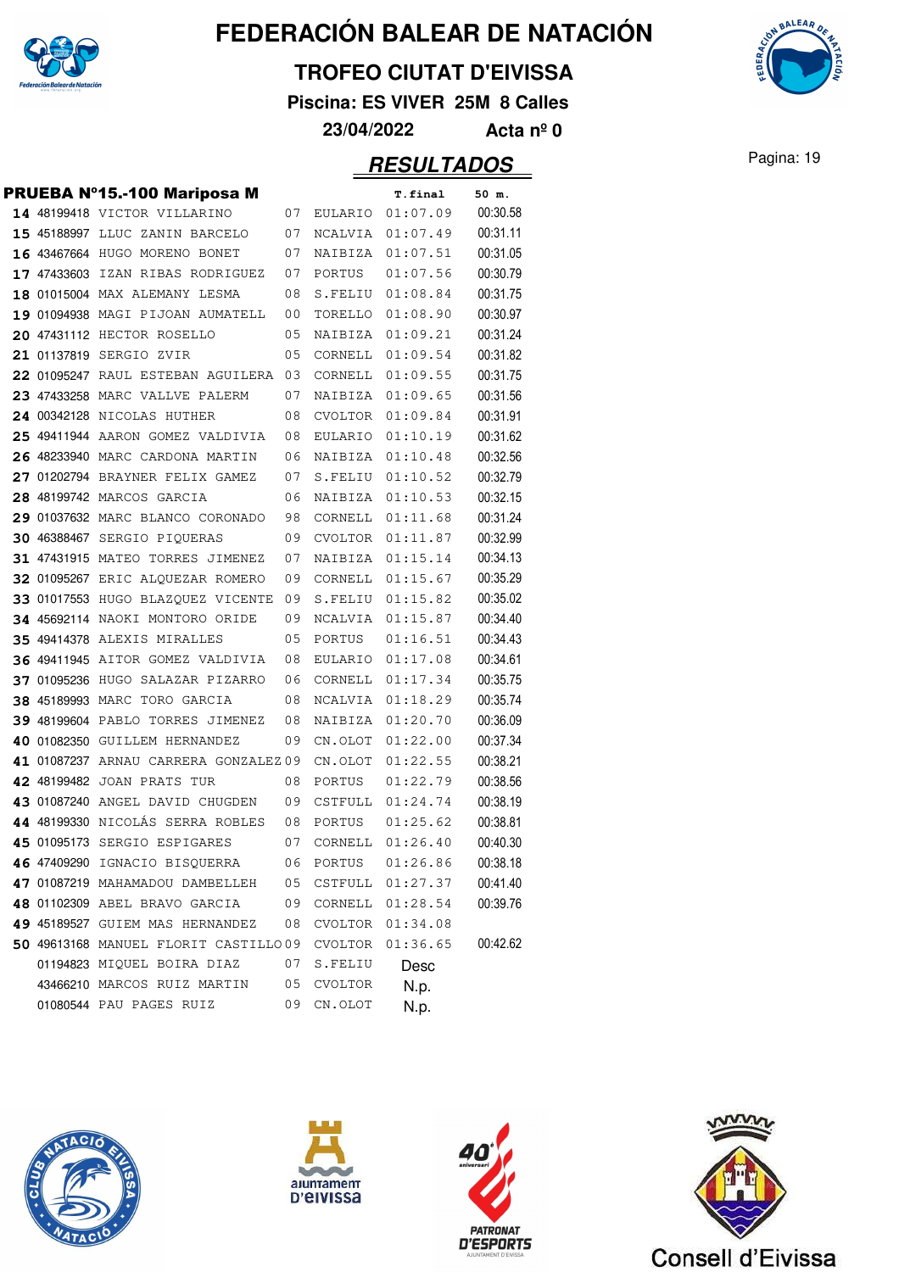

#### **TROFEO CIUTAT D'EIVISSA**

**Piscina: ES VIVER 25M 8 Calles**



**AALEAA** 

|  | <b>PRUEBA Nº15.-100 Mariposa M</b>    |    |         | T.final  | 50 m.    |
|--|---------------------------------------|----|---------|----------|----------|
|  | 14 48199418 VICTOR VILLARINO          | 07 | EULARIO | 01:07.09 | 00:30.58 |
|  | 15 45188997 LLUC ZANIN BARCELO        | 07 | NCALVIA | 01:07.49 | 00:31.11 |
|  | 16 43467664 HUGO MORENO BONET         | 07 | NAIBIZA | 01:07.51 | 00:31.05 |
|  | 17 47433603 IZAN RIBAS RODRIGUEZ      | 07 | PORTUS  | 01:07.56 | 00:30.79 |
|  | 18 01015004 MAX ALEMANY LESMA         | 08 | S.FELIU | 01:08.84 | 00:31.75 |
|  | 19 01094938 MAGI PIJOAN AUMATELL      | 00 | TORELLO | 01:08.90 | 00:30.97 |
|  | 20 47431112 HECTOR ROSELLO            | 05 | NAIBIZA | 01:09.21 | 00:31.24 |
|  | 21 01137819 SERGIO ZVIR               | 05 | CORNELL | 01:09.54 | 00:31.82 |
|  | 22 01095247 RAUL ESTEBAN AGUILERA     | 03 | CORNELL | 01:09.55 | 00:31.75 |
|  | 23 47433258 MARC VALLVE PALERM        | 07 | NAIBIZA | 01:09.65 | 00:31.56 |
|  | 24 00342128 NICOLAS HUTHER            | 08 | CVOLTOR | 01:09.84 | 00:31.91 |
|  | 25 49411944 AARON GOMEZ VALDIVIA      | 08 | EULARIO | 01:10.19 | 00:31.62 |
|  | 26 48233940 MARC CARDONA MARTIN       | 06 | NAIBIZA | 01:10.48 | 00:32.56 |
|  | 27 01202794 BRAYNER FELIX GAMEZ       | 07 | S.FELIU | 01:10.52 | 00:32.79 |
|  | 28 48199742 MARCOS GARCIA             | 06 | NAIBIZA | 01:10.53 | 00:32.15 |
|  | 29 01037632 MARC BLANCO CORONADO      | 98 | CORNELL | 01:11.68 | 00:31.24 |
|  | 30 46388467 SERGIO PIQUERAS           | 09 | CVOLTOR | 01:11.87 | 00:32.99 |
|  | 31 47431915 MATEO TORRES JIMENEZ      | 07 | NAIBIZA | 01:15.14 | 00:34.13 |
|  | 32 01095267 ERIC ALQUEZAR ROMERO      | 09 | CORNELL | 01:15.67 | 00:35.29 |
|  | 33 01017553 HUGO BLAZQUEZ VICENTE     | 09 | S.FELIU | 01:15.82 | 00:35.02 |
|  | 34 45692114 NAOKI MONTORO ORIDE       | 09 | NCALVIA | 01:15.87 | 00:34.40 |
|  | 35 49414378 ALEXIS MIRALLES           | 05 | PORTUS  | 01:16.51 | 00:34.43 |
|  | 36 49411945 AITOR GOMEZ VALDIVIA      | 08 | EULARIO | 01:17.08 | 00:34.61 |
|  | 37 01095236 HUGO SALAZAR PIZARRO      | 06 | CORNELL | 01:17.34 | 00:35.75 |
|  | 38 45189993 MARC TORO GARCIA          | 08 | NCALVIA | 01:18.29 | 00:35.74 |
|  | 39 48199604 PABLO TORRES JIMENEZ      | 08 | NAIBIZA | 01:20.70 | 00:36.09 |
|  | 40 01082350 GUILLEM HERNANDEZ         | 09 | CN.OLOT | 01:22.00 | 00:37.34 |
|  | 41 01087237 ARNAU CARRERA GONZALEZ 09 |    | CN.OLOT | 01:22.55 | 00:38.21 |
|  | 42 48199482 JOAN PRATS TUR            | 08 | PORTUS  | 01:22.79 | 00:38.56 |
|  | 43 01087240 ANGEL DAVID CHUGDEN       | 09 | CSTFULL | 01:24.74 | 00:38.19 |
|  | 44 48199330 NICOLÁS SERRA ROBLES      | 08 | PORTUS  | 01:25.62 | 00:38.81 |
|  | 45 01095173 SERGIO ESPIGARES          | 07 | CORNELL | 01:26.40 | 00:40.30 |
|  | 46 47409290 IGNACIO BISQUERRA         | 06 | PORTUS  | 01:26.86 | 00:38.18 |
|  | 47 01087219 MAHAMADOU DAMBELLEH       | 05 | CSTFULL | 01:27.37 | 00:41.40 |
|  | 48 01102309 ABEL BRAVO GARCIA         | 09 | CORNELL | 01:28.54 | 00:39.76 |
|  | 49 45189527 GUIEM MAS HERNANDEZ       | 08 | CVOLTOR | 01:34.08 |          |
|  | 50 49613168 MANUEL FLORIT CASTILLO09  |    | CVOLTOR | 01:36.65 | 00:42.62 |
|  | 01194823 MIQUEL BOIRA DIAZ            | 07 | S.FELIU | Desc     |          |
|  | 43466210 MARCOS RUIZ MARTIN           | 05 | CVOLTOR | N.p.     |          |
|  | 01080544 PAU PAGES RUIZ               | 09 | CN.OLOT | N.p.     |          |







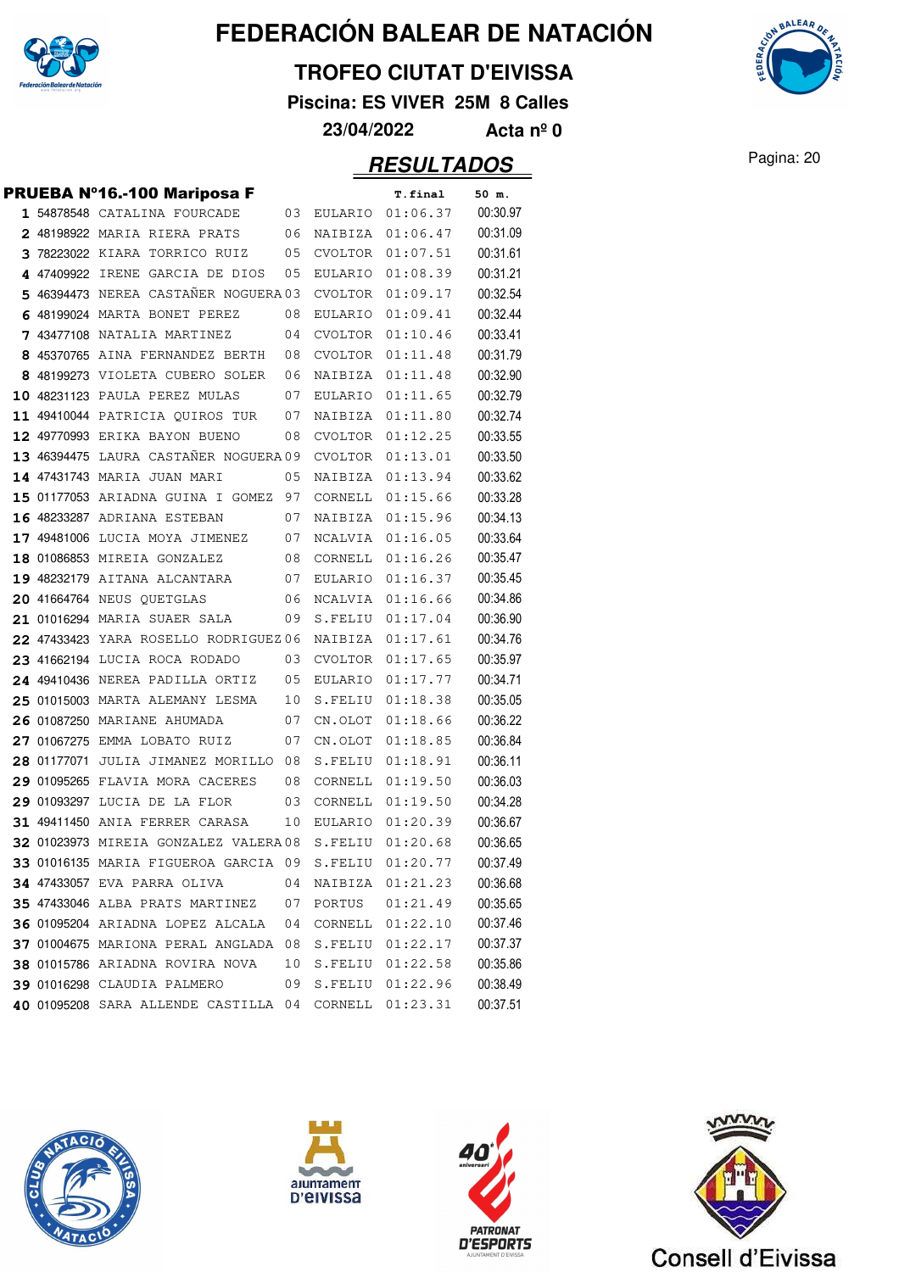

#### **TROFEO CIUTAT D'EIVISSA**

**Piscina: ES VIVER 25M 8 Calles**



|   | PRUEBA Nº16.-100 Mariposa F            |    |                | T.final  | 50 m.    |
|---|----------------------------------------|----|----------------|----------|----------|
|   | 1 54878548 CATALINA FOURCADE           | 03 | EULARIO        | 01:06.37 | 00:30.97 |
|   | 2 48198922 MARIA RIERA PRATS           | 06 | NAIBIZA        | 01:06.47 | 00:31.09 |
|   | 3 78223022 KIARA TORRICO RUIZ          | 05 | CVOLTOR        | 01:07.51 | 00:31.61 |
|   | 4 47409922 IRENE GARCIA DE DIOS        | 05 | <b>EULARIO</b> | 01:08.39 | 00:31.21 |
| 5 | 46394473 NEREA CASTAÑER NOGUERA 03     |    | CVOLTOR        | 01:09.17 | 00:32.54 |
| 6 | 48199024 MARTA BONET PEREZ             | 08 | EULARIO        | 01:09.41 | 00:32.44 |
|   | <b>7</b> 43477108 NATALIA MARTINEZ     | 04 | <b>CVOLTOR</b> | 01:10.46 | 00:33.41 |
|   | 8 45370765 AINA FERNANDEZ BERTH        | 08 | CVOLTOR        | 01:11.48 | 00:31.79 |
|   | 8 48199273 VIOLETA CUBERO SOLER        | 06 | NAIBIZA        | 01:11.48 | 00:32.90 |
|   | 10 48231123 PAULA PEREZ MULAS          | 07 | EULARIO        | 01:11.65 | 00:32.79 |
|   | 11 49410044 PATRICIA QUIROS TUR        | 07 | NAIBIZA        | 01:11.80 | 00:32.74 |
|   | 12 49770993 ERIKA BAYON BUENO          | 08 | <b>CVOLTOR</b> | 01:12.25 | 00:33.55 |
|   | 13 46394475 LAURA CASTANER NOGUERA 09  |    | CVOLTOR        | 01:13.01 | 00:33.50 |
|   | 14 47431743 MARIA JUAN MARI            | 05 | NAIBIZA        | 01:13.94 | 00:33.62 |
|   | 15 01177053 ARIADNA GUINA I GOMEZ      | 97 | CORNELL        | 01:15.66 | 00:33.28 |
|   | 16 48233287 ADRIANA ESTEBAN            | 07 | NAIBIZA        | 01:15.96 | 00:34.13 |
|   | 17 49481006 LUCIA MOYA JIMENEZ         | 07 | NCALVIA        | 01:16.05 | 00:33.64 |
|   | 18 01086853 MIREIA GONZALEZ            | 08 | CORNELL        | 01:16.26 | 00:35.47 |
|   | 19 48232179 AITANA ALCANTARA           | 07 | EULARIO        | 01:16.37 | 00:35.45 |
|   | 20 41664764 NEUS QUETGLAS              | 06 | NCALVIA        | 01:16.66 | 00:34.86 |
|   | 21 01016294 MARIA SUAER SALA           | 09 | S.FELIU        | 01:17.04 | 00:36.90 |
|   | 22 47433423 YARA ROSELLO RODRIGUEZ06   |    | NAIBIZA        | 01:17.61 | 00:34.76 |
|   | 23 41662194 LUCIA ROCA RODADO          | 03 | CVOLTOR        | 01:17.65 | 00:35.97 |
|   | 24 49410436 NEREA PADILLA ORTIZ        | 05 | EULARIO        | 01:17.77 | 00:34.71 |
|   | 25 01015003 MARTA ALEMANY LESMA        | 10 | S.FELIU        | 01:18.38 | 00:35.05 |
|   | 26 01087250 MARIANE AHUMADA            | 07 | CN.OLOT        | 01:18.66 | 00:36.22 |
|   | 27 01067275 EMMA LOBATO RUIZ           | 07 | CN.OLOT        | 01:18.85 | 00:36.84 |
|   | 28 01177071 JULIA JIMANEZ MORILLO      | 08 | S.FELIU        | 01:18.91 | 00:36.11 |
|   | 29 01095265 FLAVIA MORA CACERES        | 08 | CORNELL        | 01:19.50 | 00:36.03 |
|   | 29 01093297 LUCIA DE LA FLOR           | 03 | CORNELL        | 01:19.50 | 00:34.28 |
|   | 31 49411450 ANIA FERRER CARASA         | 10 | <b>EULARIO</b> | 01:20.39 | 00:36.67 |
|   | 32 01023973 MIREIA GONZALEZ VALERA 08  |    | S.FELIU        | 01:20.68 | 00:36.65 |
|   | 33 01016135 MARIA FIGUEROA GARCIA      | 09 | S.FELIU        | 01:20.77 | 00:37.49 |
|   | 34 47433057 EVA PARRA OLIVA            | 04 | NAIBIZA        | 01:21.23 | 00:36.68 |
|   | <b>35 47433046 ALBA PRATS MARTINEZ</b> | 07 | PORTUS         | 01:21.49 | 00:35.65 |
|   | 36 01095204 ARIADNA LOPEZ ALCALA       | 04 | CORNELL        | 01:22.10 | 00:37.46 |
|   | 37 01004675 MARIONA PERAL ANGLADA 08   |    | S.FELIU        | 01:22.17 | 00:37.37 |
|   | 38 01015786 ARIADNA ROVIRA NOVA        | 10 | S.FELIU        | 01:22.58 | 00:35.86 |
|   | 39 01016298 CLAUDIA PALMERO            | 09 | S.FELIU        | 01:22.96 | 00:38.49 |
|   | 40 01095208 SARA ALLENDE CASTILLA 04   |    | CORNELL        | 01:23.31 | 00:37.51 |









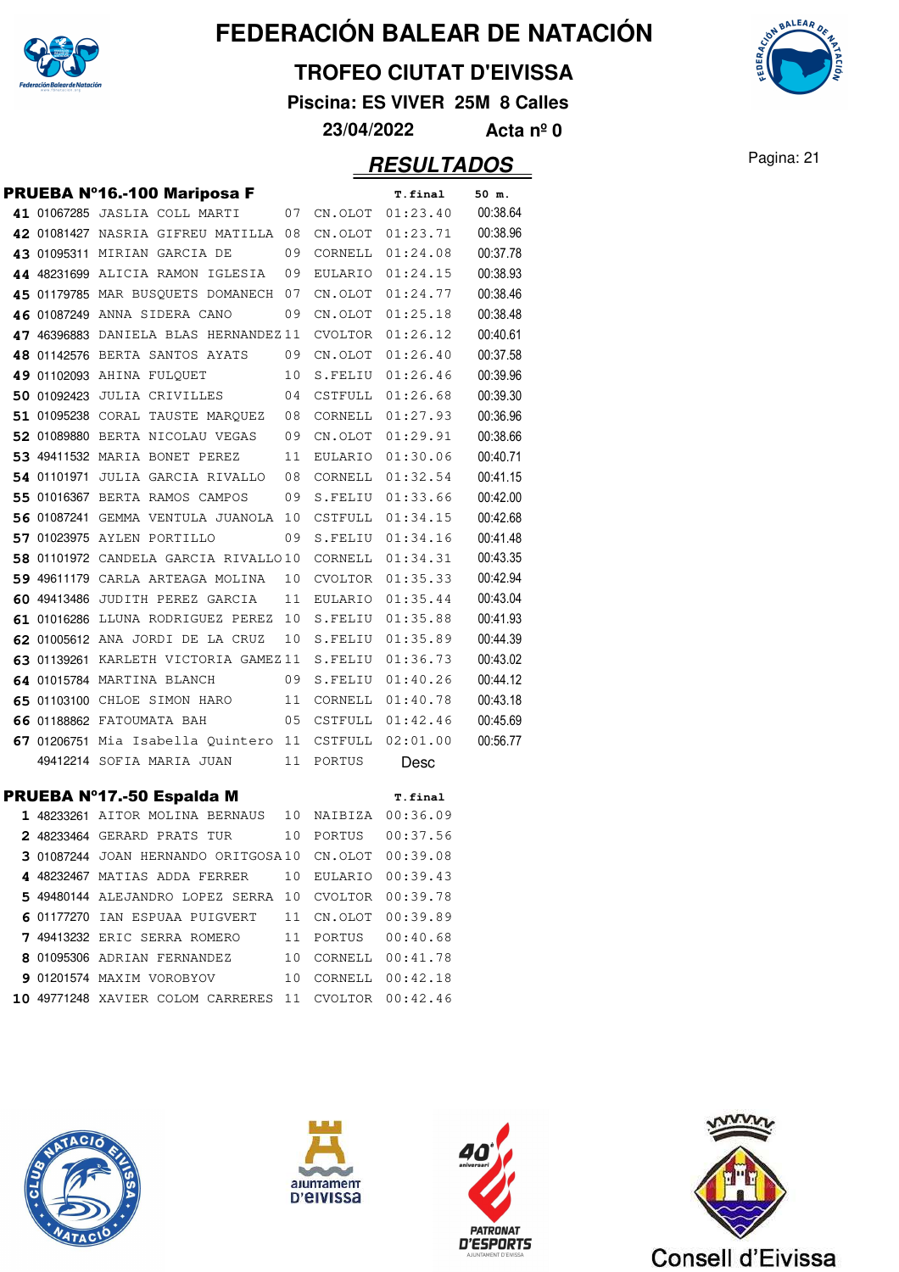

#### **TROFEO CIUTAT D'EIVISSA**

**Piscina: ES VIVER 25M 8 Calles**



**23/04/2022 Acta nº 0**

### Pagina: 21 **RESULTADOS**

|  | PRUEBA Nº16.-100 Mariposa F                          |    |         | <b>T.final</b>      | 50 m.    |
|--|------------------------------------------------------|----|---------|---------------------|----------|
|  | 41 01067285 JASLIA COLL MARTI                        | 07 |         | CN.OLOT 01:23.40    | 00:38.64 |
|  | 42 01081427 NASRIA GIFREU MATILLA 08                 |    | CN.OLOT | 01:23.71            | 00:38.96 |
|  | 43 01095311 MIRIAN GARCIA DE                         | 09 | CORNELL | 01:24.08            | 00:37.78 |
|  | 44 48231699 ALICIA RAMON IGLESIA                     | 09 | EULARIO | 01:24.15            | 00:38.93 |
|  | 45 01179785 MAR BUSQUETS DOMANECH 07                 |    | CN.OLOT | 01:24.77            | 00:38.46 |
|  | 46 01087249 ANNA SIDERA CANO                         | 09 | CN.OLOT | 01:25.18            | 00:38.48 |
|  | 47 46396883 DANIELA BLAS HERNANDEZ 11                |    | CVOLTOR | 01:26.12            | 00:40.61 |
|  | 48 01142576 BERTA SANTOS AYATS                       | 09 | CN.OLOT | 01:26.40            | 00:37.58 |
|  | 49 01102093 AHINA FULQUET                            | 10 | S.FELIU | 01:26.46            | 00:39.96 |
|  | 50 01092423 JULIA CRIVILLES                          | 04 | CSTFULL | 01:26.68            | 00:39.30 |
|  | 51 01095238 CORAL TAUSTE MARQUEZ                     | 08 | CORNELL | 01:27.93            | 00:36.96 |
|  | 52 01089880 BERTA NICOLAU VEGAS                      | 09 | CN.OLOT | 01:29.91            | 00:38.66 |
|  | 53 49411532 MARIA BONET PEREZ                        | 11 | EULARIO | 01:30.06            | 00:40.71 |
|  | 54 01101971 JULIA GARCIA RIVALLO                     | 08 | CORNELL | 01:32.54            | 00:41.15 |
|  | 55 01016367 BERTA RAMOS CAMPOS                       | 09 | S.FELIU | 01:33.66            | 00:42.00 |
|  | 56 01087241 GEMMA VENTULA JUANOLA 10                 |    | CSTFULL | 01:34.15            | 00:42.68 |
|  | 57 01023975 AYLEN PORTILLO                           | 09 | S.FELIU | 01:34.16            | 00:41.48 |
|  | 58 01101972 CANDELA GARCIA RIVALLO10                 |    | CORNELL | 01:34.31            | 00:43.35 |
|  | 59 49611179 CARLA ARTEAGA MOLINA                     | 10 | CVOLTOR | 01:35.33            | 00:42.94 |
|  | 60 49413486 JUDITH PEREZ GARCIA                      | 11 | EULARIO | 01:35.44            | 00:43.04 |
|  | 61 01016286 LLUNA RODRIGUEZ PEREZ 10                 |    |         | S.FELIU 01:35.88    | 00:41.93 |
|  | 62 01005612 ANA JORDI DE LA CRUZ                     | 10 | S.FELIU | 01:35.89            | 00:44.39 |
|  | 63 01139261 KARLETH VICTORIA GAMEZ11                 |    | S.FELIU | 01:36.73            | 00:43.02 |
|  | 64 01015784 MARTINA BLANCH                           | 09 | S.FELIU | 01:40.26            | 00:44.12 |
|  | 65 01103100 CHLOE SIMON HARO                         | 11 | CORNELL | 01:40.78            | 00:43.18 |
|  | 66 01188862 FATOUMATA BAH                            | 05 | CSTFULL | 01:42.46            | 00:45.69 |
|  | 67 01206751 Mia Isabella Quintero 11                 |    | CSTFULL | 02:01.00            | 00:56.77 |
|  | 49412214 SOFIA MARIA JUAN                            | 11 | PORTUS  | Desc                |          |
|  | PRUEBA Nº17.-50 Espalda M                            |    |         | T.final             |          |
|  | 1 48233261 AITOR MOLINA BERNAUS                      |    |         | 10 NAIBIZA 00:36.09 |          |
|  | 2 48233464 GERARD PRATS TUR                          | 10 | PORTUS  | 00:37.56            |          |
|  | 3 01087244 JOAN HERNANDO ORITGOSA10                  |    | CN.OLOT | 00:39.08            |          |
|  | 4 48232467 MATIAS ADDA FERRER                        | 10 |         | EULARIO 00:39.43    |          |
|  | 5 49480144 ALEJANDRO LOPEZ SERRA 10 CVOLTOR 00:39.78 |    |         |                     |          |
|  | 6 01177270 IAN ESPUAA PUIGVERT 11 CN.OLOT 00:39.89   |    |         |                     |          |
|  | 7 49413232 ERIC SERRA ROMERO 11 PORTUS 00:40.68      |    |         |                     |          |
|  | 8 01095306 ADRIAN FERNANDEZ 10 CORNELL 00:41.78      |    |         |                     |          |
|  | 9 01201574 MAXIM VOROBYOV 10                         |    |         | CORNELL 00:42.18    |          |
|  | 10 49771248 XAVIER COLOM CARRERES 11                 |    |         | CVOLTOR 00:42.46    |          |
|  |                                                      |    |         |                     |          |







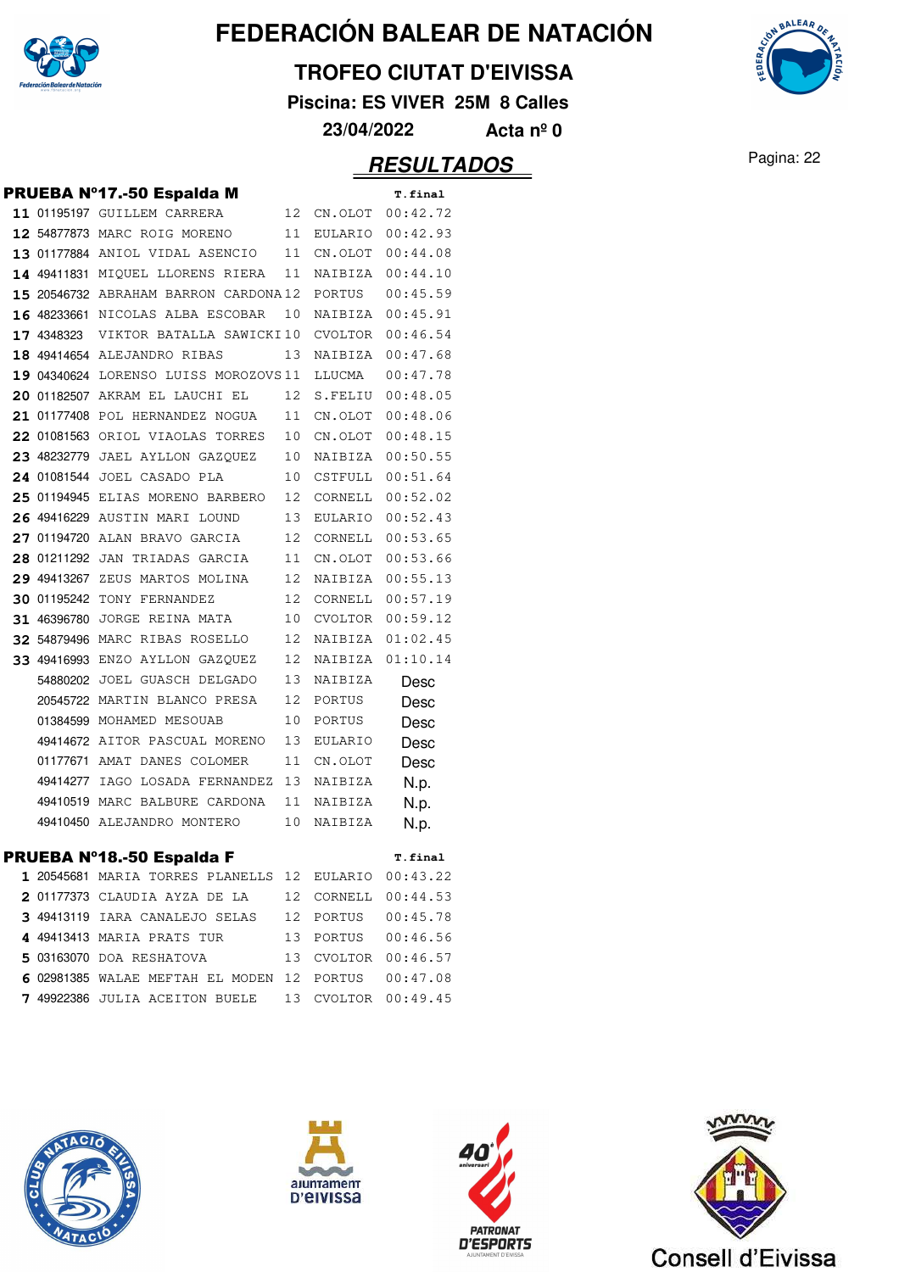

#### **TROFEO CIUTAT D'EIVISSA**

**Piscina: ES VIVER 25M 8 Calles**



### Pagina: 22 **RESULTADOS**

|            | PRUEBA Nº17.-50 Espalda M              |    |                | T.final          |
|------------|----------------------------------------|----|----------------|------------------|
|            | 11 01195197 GUILLEM CARRERA            | 12 | CN.OLOT        | 00:42.72         |
|            | 12 54877873 MARC ROIG MORENO           | 11 | EULARIO        | 00:42.93         |
|            | 13 01177884 ANIOL VIDAL ASENCIO        | 11 | CN.OLOT        | 00:44.08         |
|            | 14 49411831 MIOUEL LLORENS RIERA       | 11 | NAIBIZA        | 00:44.10         |
|            | 15 20546732 ABRAHAM BARRON CARDONA12   |    | PORTUS         | 00:45.59         |
|            | 16 48233661 NICOLAS ALBA ESCOBAR       | 10 | NAIBIZA        | 00:45.91         |
| 17 4348323 | VIKTOR BATALLA SAWICKI10               |    | CVOLTOR        | 00:46.54         |
|            | 18 49414654 ALEJANDRO RIBAS            | 13 | NAIBIZA        | 00:47.68         |
|            | 19 04340624 LORENSO LUISS MOROZOVS 11  |    | LLUCMA         | 00:47.78         |
|            | 20 01182507 AKRAM EL LAUCHI EL         | 12 | S.FELIU        | 00:48.05         |
|            | 21 01177408 POL HERNANDEZ NOGUA        | 11 | CN.OLOT        | 00:48.06         |
|            | 22 01081563 ORIOL VIAOLAS TORRES       | 10 | CN.OLOT        | 00:48.15         |
|            | 23 48232779 JAEL AYLLON GAZQUEZ        | 10 |                | NAIBIZA 00:50.55 |
|            | 24 01081544 JOEL CASADO PLA            | 10 | CSTFULL        | 00:51.64         |
|            | 25 01194945 ELIAS MORENO BARBERO       | 12 | CORNELL        | 00:52.02         |
|            | 26 49416229 AUSTIN MARI LOUND          | 13 | EULARIO        | 00:52.43         |
|            | 27 01194720 ALAN BRAVO GARCIA          | 12 | CORNELL        | 00:53.65         |
|            | 28 01211292 JAN TRIADAS GARCIA         | 11 | CN.OLOT        | 00:53.66         |
|            | 29 49413267 ZEUS MARTOS MOLINA         | 12 | NAIBIZA        | 00:55.13         |
|            | <b>30 01195242 TONY FERNANDEZ</b>      | 12 | CORNELL        | 00:57.19         |
|            | 31 46396780 JORGE REINA MATA           | 10 | CVOLTOR        | 00:59.12         |
|            | 32 54879496 MARC RIBAS ROSELLO         | 12 | NAIBIZA        | 01:02.45         |
|            | <b>33 49416993</b> ENZO AYLLON GAZQUEZ | 12 | NAIBIZA        | 01:10.14         |
|            | 54880202 JOEL GUASCH DELGADO           | 13 | NAIBIZA        | Desc             |
|            | 20545722 MARTIN BLANCO PRESA           | 12 | PORTUS         | Desc             |
|            | 01384599 MOHAMED MESOUAB               | 10 | PORTUS         | Desc             |
|            | 49414672 AITOR PASCUAL MORENO          | 13 | <b>EULARIO</b> | Desc             |
|            | 01177671 AMAT DANES COLOMER            | 11 | CN.OLOT        | Desc             |
|            | 49414277 IAGO LOSADA FERNANDEZ         | 13 | NAIBIZA        | N.p.             |
|            | 49410519 MARC BALBURE CARDONA          | 11 | NAIBIZA        | N.p.             |
|            | 49410450 ALEJANDRO MONTERO             | 10 | NAIBIZA        | N.p.             |
|            | PRUEBA Nº18.-50 Espalda F              |    |                | T.final          |
|            | 1 20545681 MARIA TORRES PLANELLS 12    |    | EULARIO        | 00:43.22         |
|            | 2 01177373 CLAUDIA AYZA DE LA          | 12 | CORNELL        | 00:44.53         |
|            | 3 49413119 IARA CANALEJO SELAS         | 12 | PORTUS         | 00:45.78         |
|            | 4 49413413 MARIA PRATS TUR             | 13 | PORTUS         | 00:46.56         |
|            | 5 03163070 DOA RESHATOVA               | 13 | CVOLTOR        | 00:46.57         |
|            | 6 02981385 WALAE MEFTAH EL MODEN       | 12 | PORTUS         | 00:47.08         |
|            | 7 49922386 JULIA ACEITON BUELE         | 13 | CVOLTOR        | 00:49.45         |
|            |                                        |    |                |                  |









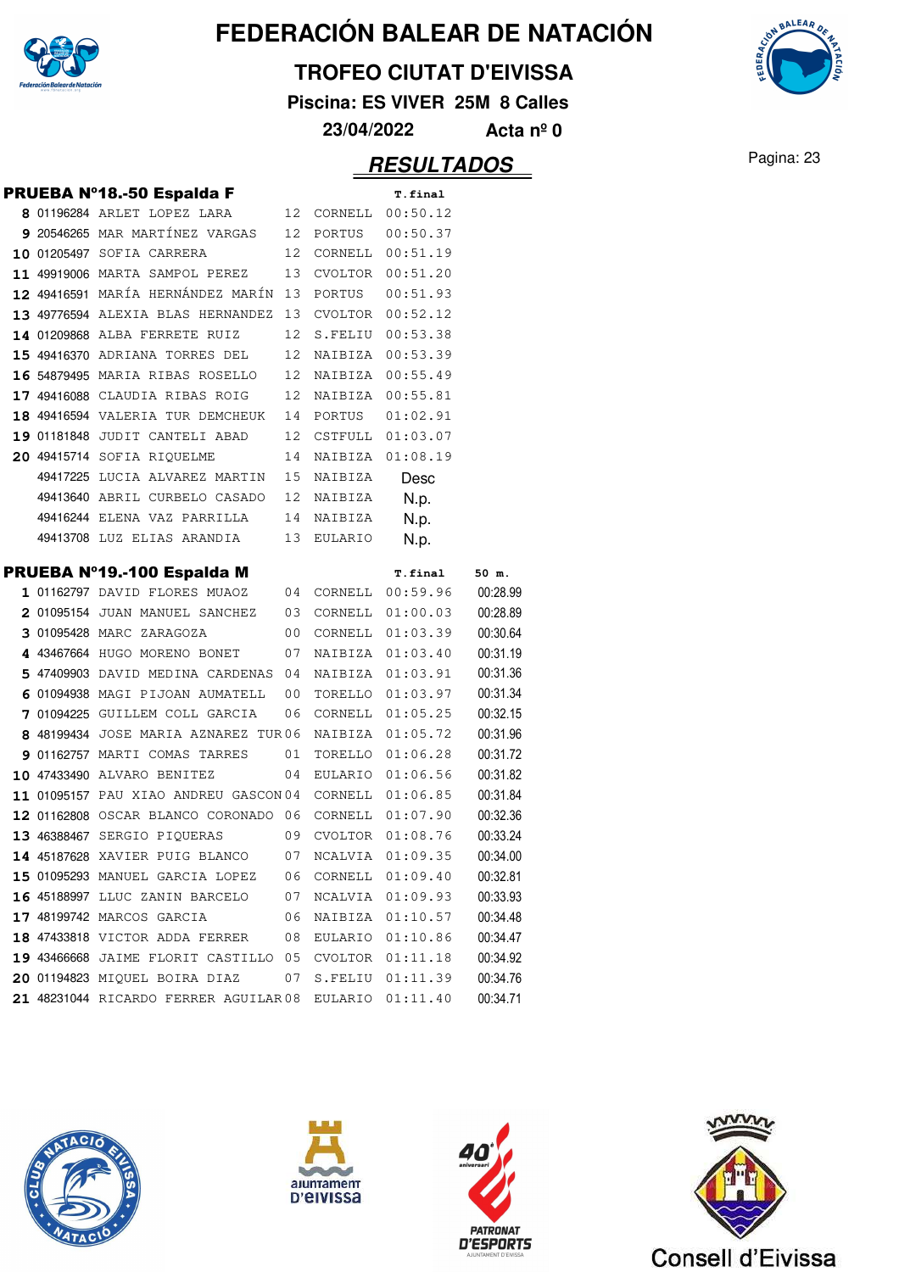

#### **TROFEO CIUTAT D'EIVISSA**

**Piscina: ES VIVER 25M 8 Calles**



### **RESULTADOS** Pagina: 23

**AALEAA** 

|  | PRUEBA Nº18.-50 Espalda F                             |    |                     | T.final             |          |
|--|-------------------------------------------------------|----|---------------------|---------------------|----------|
|  | 8 01196284 ARLET LOPEZ LARA                           |    |                     | 12 CORNELL 00:50.12 |          |
|  | 9 20546265 MAR MARTÍNEZ VARGAS 12 PORTUS 00:50.37     |    |                     |                     |          |
|  | 10 01205497 SOFIA CARRERA                             |    | 12 CORNELL 00:51.19 |                     |          |
|  | 11 49919006 MARTA SAMPOL PEREZ                        | 13 |                     | CVOLTOR 00:51.20    |          |
|  | 12 49416591 MARÍA HERNÁNDEZ MARÍN 13                  |    | PORTUS              | 00:51.93            |          |
|  | 13 49776594 ALEXIA BLAS HERNANDEZ 13                  |    |                     | CVOLTOR 00:52.12    |          |
|  | <b>14</b> 01209868 ALBA FERRETE RUIZ                  | 12 |                     | S.FELIU 00:53.38    |          |
|  | 15 49416370 ADRIANA TORRES DEL                        | 12 |                     | NAIBIZA 00:53.39    |          |
|  | 16 54879495 MARIA RIBAS ROSELLO                       |    |                     | 12 NAIBIZA 00:55.49 |          |
|  | <b>17 49416088</b> CLAUDIA RIBAS ROIG                 |    |                     | 12 NAIBIZA 00:55.81 |          |
|  | 18 49416594 VALERIA TUR DEMCHEUK                      |    | 14 PORTUS           | 01:02.91            |          |
|  | 19 01181848 JUDIT CANTELI ABAD                        | 12 |                     | CSTFULL 01:03.07    |          |
|  | 20 49415714 SOFIA RIQUELME                            | 14 | NAIBIZA             | 01:08.19            |          |
|  | 49417225 LUCIA ALVAREZ MARTIN                         | 15 | NAIBIZA             | Desc                |          |
|  | 49413640 ABRIL CURBELO CASADO                         |    | 12 NAIBIZA          | N.p.                |          |
|  | 49416244 ELENA VAZ PARRILLA                           |    | 14 NAIBIZA          | N.p.                |          |
|  | 49413708 LUZ ELIAS ARANDIA                            | 13 | EULARIO             | N.p.                |          |
|  | PRUEBA Nº19.-100 Espalda M                            |    |                     | <b>T.final</b>      | 50 m.    |
|  | 1 01162797 DAVID FLORES MUAOZ                         | 04 |                     | CORNELL 00:59.96    | 00:28.99 |
|  | 2 01095154 JUAN MANUEL SANCHEZ 03 CORNELL 01:00.03    |    |                     |                     | 00:28.89 |
|  | 3 01095428 MARC ZARAGOZA                              | 00 |                     | CORNELL $01:03.39$  | 00:30.64 |
|  | 4 43467664 hugo moreno bonet                          | 07 |                     | NAIBIZA 01:03.40    | 00:31.19 |
|  | 5 47409903 DAVID MEDINA CARDENAS 04                   |    |                     | NAIBIZA 01:03.91    | 00:31.36 |
|  | 6 01094938 MAGI PIJOAN AUMATELL                       | 00 |                     | TORELLO 01:03.97    | 00:31.34 |
|  | 7 01094225 GUILLEM COLL GARCIA                        | 06 |                     | CORNELL 01:05.25    | 00:32.15 |
|  | 8 48199434 JOSE MARIA AZNAREZ TUR06                   |    |                     | NAIBIZA 01:05.72    | 00:31.96 |
|  | 9 01162757 MARTI COMAS TARRES                         | 01 |                     | TORELLO 01:06.28    | 00:31.72 |
|  | 10 47433490 ALVARO BENITEZ                            | 04 |                     | EULARIO 01:06.56    | 00:31.82 |
|  | 11 01095157 PAU XIAO ANDREU GASCON04 CORNELL 01:06.85 |    |                     |                     | 00:31.84 |
|  | 12 01162808 OSCAR BLANCO CORONADO 06 CORNELL 01:07.90 |    |                     |                     | 00:32.36 |
|  | 13 46388467 SERGIO PIQUERAS                           |    |                     | 09 CVOLTOR 01:08.76 | 00:33.24 |
|  | 14 45187628 XAVIER PUIG BLANCO 07 NCALVIA 01:09.35    |    |                     |                     | 00:34.00 |
|  | 15 01095293 MANUEL GARCIA LOPEZ                       |    |                     | 06 CORNELL 01:09.40 | 00:32.81 |
|  | 16 45188997 LLUC ZANIN BARCELO                        | 07 | NCALVIA             | 01:09.93            | 00:33.93 |
|  | 17 48199742 MARCOS GARCIA                             | 06 | NAIBIZA             | 01:10.57            | 00:34.48 |
|  | 18 47433818 VICTOR ADDA FERRER                        | 08 | EULARIO             | 01:10.86            | 00:34.47 |
|  | 19 43466668 JAIME FLORIT CASTILLO 05                  |    | CVOLTOR             | 01:11.18            | 00:34.92 |
|  | 20 01194823 MIQUEL BOIRA DIAZ                         | 07 | S.FELIU             | 01:11.39            | 00:34.76 |
|  | 21 48231044 RICARDO FERRER AGUILAR 08                 |    | EULARIO             | 01:11.40            | 00:34.71 |







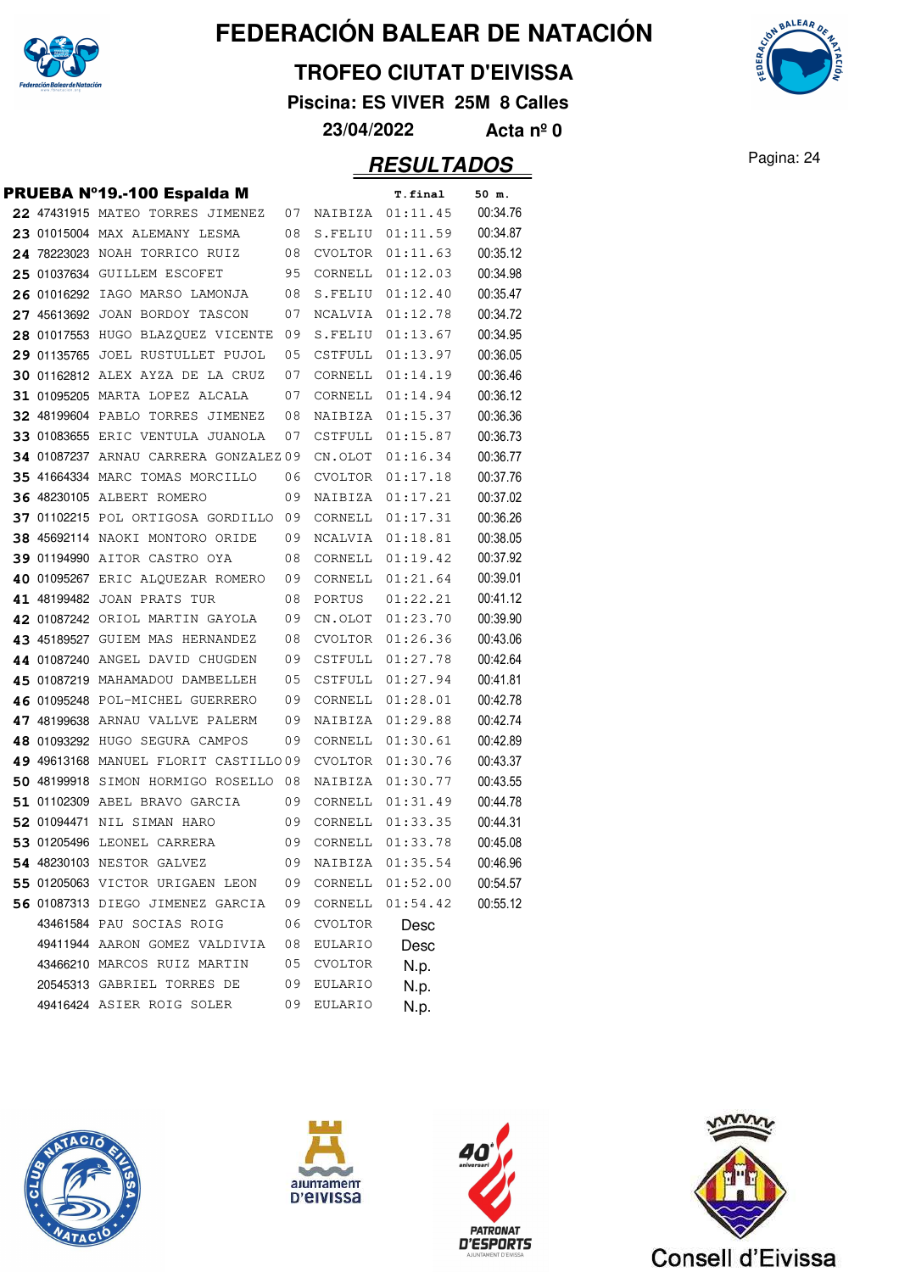

#### **TROFEO CIUTAT D'EIVISSA**

**Piscina: ES VIVER 25M 8 Calles**

**23/04/2022 Acta nº 0**

|             | PRUEBA Nº19.-100 Espalda M              |    |                | T.final  | 50 m.    |
|-------------|-----------------------------------------|----|----------------|----------|----------|
|             | 22 47431915 MATEO TORRES JIMENEZ        | 07 | NAIBIZA        | 01:11.45 | 00:34.76 |
|             | 23 01015004 MAX ALEMANY LESMA           | 08 | S.FELIU        | 01:11.59 | 00:34.87 |
|             | 24 78223023 NOAH TORRICO RUIZ           | 08 | CVOLTOR        | 01:11.63 | 00:35.12 |
|             | 25 01037634 GUILLEM ESCOFET             | 95 | CORNELL        | 01:12.03 | 00:34.98 |
| 26 01016292 | IAGO MARSO LAMONJA                      | 08 | S.FELIU        | 01:12.40 | 00:35.47 |
|             | 27 45613692 JOAN BORDOY TASCON          | 07 | NCALVIA        | 01:12.78 | 00:34.72 |
|             | 28 01017553 HUGO BLAZOUEZ VICENTE       | 09 | S.FELIU        | 01:13.67 | 00:34.95 |
|             | 29 01135765 JOEL RUSTULLET PUJOL        | 05 | CSTFULL        | 01:13.97 | 00:36.05 |
|             | <b>30 01162812 ALEX AYZA DE LA CRUZ</b> | 07 | CORNELL        | 01:14.19 | 00:36.46 |
|             | 31 01095205 MARTA LOPEZ ALCALA          | 07 | CORNELL        | 01:14.94 | 00:36.12 |
|             | 32 48199604 PABLO TORRES JIMENEZ        | 08 | NAIBIZA        | 01:15.37 | 00:36.36 |
|             | 33 01083655 ERIC VENTULA JUANOLA        | 07 | CSTFULL        | 01:15.87 | 00:36.73 |
|             | 34 01087237 ARNAU CARRERA GONZALEZ 09   |    | CN.OLOT        | 01:16.34 | 00:36.77 |
|             | 35 41664334 MARC TOMAS MORCILLO         | 06 | CVOLTOR        | 01:17.18 | 00:37.76 |
|             | <b>36 48230105 ALBERT ROMERO</b>        | 09 | NAIBIZA        | 01:17.21 | 00:37.02 |
|             | 37 01102215 POL ORTIGOSA GORDILLO       | 09 | CORNELL        | 01:17.31 | 00:36.26 |
|             | 38 45692114 NAOKI MONTORO ORIDE         | 09 | NCALVIA        | 01:18.81 | 00:38.05 |
|             | 39 01194990 AITOR CASTRO OYA            | 08 | CORNELL        | 01:19.42 | 00:37.92 |
|             | 40 01095267 ERIC ALOUEZAR ROMERO        | 09 | CORNELL        | 01:21.64 | 00:39.01 |
|             | 41 48199482 JOAN PRATS TUR              | 08 | PORTUS         | 01:22.21 | 00:41.12 |
|             | 42 01087242 ORIOL MARTIN GAYOLA         | 09 | CN.OLOT        | 01:23.70 | 00:39.90 |
|             | 43 45189527 GUIEM MAS HERNANDEZ         | 08 | CVOLTOR        | 01:26.36 | 00:43.06 |
|             | 44 01087240 ANGEL DAVID CHUGDEN         | 09 | CSTFULL        | 01:27.78 | 00:42.64 |
|             | 45 01087219 MAHAMADOU DAMBELLEH         | 05 | CSTFULL        | 01:27.94 | 00:41.81 |
|             | 46 01095248 POL-MICHEL GUERRERO         | 09 | CORNELL        | 01:28.01 | 00:42.78 |
|             | 47 48199638 ARNAU VALLVE PALERM         | 09 | NAIBIZA        | 01:29.88 | 00:42.74 |
|             | 48 01093292 HUGO SEGURA CAMPOS          | 09 | CORNELL        | 01:30.61 | 00:42.89 |
|             | 49 49613168 MANUEL FLORIT CASTILLO09    |    | CVOLTOR        | 01:30.76 | 00:43.37 |
|             | 50 48199918 SIMON HORMIGO ROSELLO       | 08 | NAIBIZA        | 01:30.77 | 00:43.55 |
|             | 51 01102309 ABEL BRAVO GARCIA           | 09 | CORNELL        | 01:31.49 | 00:44.78 |
|             | 52 01094471 NIL SIMAN HARO              | 09 | CORNELL        | 01:33.35 | 00:44.31 |
|             | 53 01205496 LEONEL CARRERA              | 09 | CORNELL        | 01:33.78 | 00:45.08 |
|             | 54 48230103 NESTOR GALVEZ               | 09 | NAIBIZA        | 01:35.54 | 00:46.96 |
|             | 55 01205063 VICTOR URIGAEN LEON         | 09 | CORNELL        | 01:52.00 | 00:54.57 |
|             | 56 01087313 DIEGO JIMENEZ GARCIA        | 09 | CORNELL        | 01:54.42 | 00:55.12 |
|             | 43461584 PAU SOCIAS ROIG                | 06 | CVOLTOR        | Desc     |          |
|             | 49411944 AARON GOMEZ VALDIVIA           | 08 | <b>EULARIO</b> | Desc     |          |
|             | 43466210 MARCOS RUIZ MARTIN             | 05 | CVOLTOR        | N.p.     |          |
|             | 20545313 GABRIEL TORRES DE              | 09 | <b>EULARIO</b> | N.p.     |          |
|             | 49416424 ASIER ROIG SOLER               | 09 | EULARIO        | N.p.     |          |









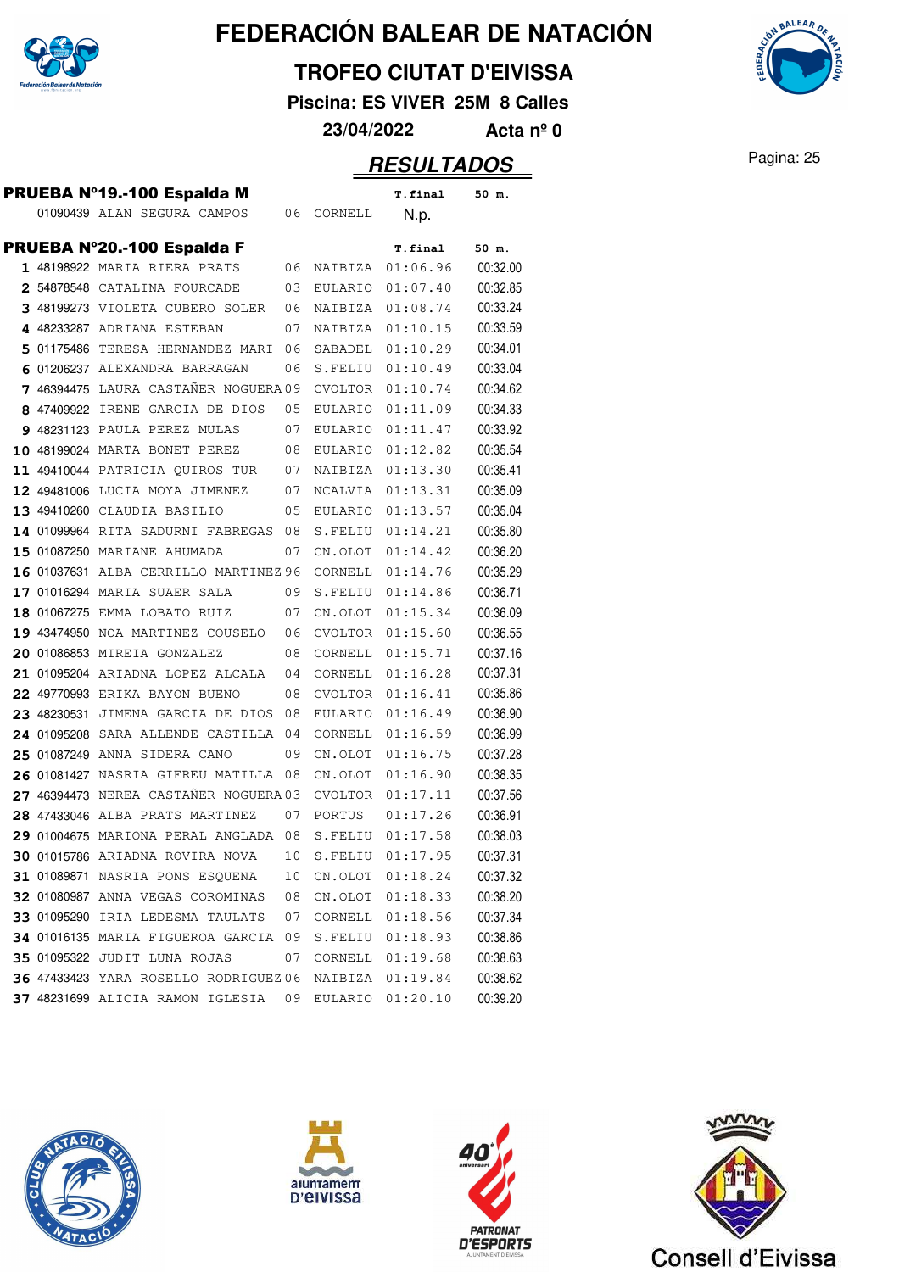

#### **TROFEO CIUTAT D'EIVISSA**

**Piscina: ES VIVER 25M 8 Calles**

**23/04/2022 Acta nº 0**

### Pagina: 25 **RESULTADOS**

|  | PRUEBA Nº19.-100 Espalda M            |      |                | T.final  | 50 m.    |
|--|---------------------------------------|------|----------------|----------|----------|
|  | 01090439 ALAN SEGURA CAMPOS           | 06   | CORNELL        | N.p.     |          |
|  |                                       |      |                |          |          |
|  | PRUEBA Nº20.-100 Espalda F            |      |                | T.final  | 50 m.    |
|  | 1 48198922 MARIA RIERA PRATS          | 06   | NAIBIZA        | 01:06.96 | 00:32.00 |
|  | 2 54878548 CATALINA FOURCADE          | 03   | EULARIO        | 01:07.40 | 00:32.85 |
|  | 3 48199273 VIOLETA CUBERO SOLER       | 06   | NAIBIZA        | 01:08.74 | 00:33.24 |
|  | 4 48233287 ADRIANA ESTEBAN            | 07   | NAIBIZA        | 01:10.15 | 00:33.59 |
|  | 5 01175486 TERESA HERNANDEZ MARI      | 06   | SABADEL        | 01:10.29 | 00:34.01 |
|  | 6 01206237 ALEXANDRA BARRAGAN         | 06   | S.FELIU        | 01:10.49 | 00:33.04 |
|  | 7 46394475 LAURA CASTAÑER NOGUERA 09  |      | CVOLTOR        | 01:10.74 | 00:34.62 |
|  | 8 47409922 IRENE GARCIA DE DIOS       | 05   | EULARIO        | 01:11.09 | 00:34.33 |
|  | 9 48231123 PAULA PEREZ MULAS          | 07   | EULARIO        | 01:11.47 | 00:33.92 |
|  | 10 48199024 MARTA BONET PEREZ         | 08   | EULARIO        | 01:12.82 | 00:35.54 |
|  | 11 49410044 PATRICIA OUIROS TUR       | 07   | NAIBIZA        | 01:13.30 | 00:35.41 |
|  | 12 49481006 LUCIA MOYA JIMENEZ        | 07   | <b>NCALVIA</b> | 01:13.31 | 00:35.09 |
|  | 13 49410260 CLAUDIA BASILIO           | 05   | EULARIO        | 01:13.57 | 00:35.04 |
|  | 14 01099964 RITA SADURNI FABREGAS     | 08   | S.FELIU        | 01:14.21 | 00:35.80 |
|  | 15 01087250 MARIANE AHUMADA           | 07   | CN.OLOT        | 01:14.42 | 00:36.20 |
|  | 16 01037631 ALBA CERRILLO MARTINEZ 96 |      | CORNELL        | 01:14.76 | 00:35.29 |
|  | 17 01016294 MARIA SUAER SALA          | 09   | S.FELIU        | 01:14.86 | 00:36.71 |
|  | 18 01067275 EMMA LOBATO RUIZ          | 07   | CN.OLOT        | 01:15.34 | 00:36.09 |
|  | 19 43474950 NOA MARTINEZ COUSELO      | 06   | CVOLTOR        | 01:15.60 | 00:36.55 |
|  | 20 01086853 MIREIA GONZALEZ           | 08   | CORNELL        | 01:15.71 | 00:37.16 |
|  | 21 01095204 ARIADNA LOPEZ ALCALA      | 04   | CORNELL        | 01:16.28 | 00:37.31 |
|  | 22 49770993 ERIKA BAYON BUENO         | 08   | CVOLTOR        | 01:16.41 | 00:35.86 |
|  | 23 48230531 JIMENA GARCIA DE DIOS     | 08   | EULARIO        | 01:16.49 | 00:36.90 |
|  | 24 01095208 SARA ALLENDE CASTILLA     | - 04 | CORNELL        | 01:16.59 | 00:36.99 |
|  | 25 01087249 ANNA SIDERA CANO          | 09   | CN.OLOT        | 01:16.75 | 00:37.28 |
|  | 26 01081427 NASRIA GIFREU MATILLA 08  |      | CN.OLOT        | 01:16.90 | 00:38.35 |
|  | 27 46394473 NEREA CASTAÑER NOGUERA 03 |      | CVOLTOR        | 01:17.11 | 00:37.56 |
|  | 28 47433046 ALBA PRATS MARTINEZ       | 07   | PORTUS         | 01:17.26 | 00:36.91 |
|  | 29 01004675 MARIONA PERAL ANGLADA 08  |      | S.FELIU        | 01:17.58 | 00:38.03 |
|  | 30 01015786 ARIADNA ROVIRA NOVA       | 10   | S.FELIU        | 01:17.95 | 00:37.31 |
|  | 31 01089871 NASRIA PONS ESQUENA       | 10   | CN.OLOT        | 01:18.24 | 00:37.32 |
|  | 32 01080987 ANNA VEGAS COROMINAS      | 08   | CN.OLOT        | 01:18.33 | 00:38.20 |
|  | 33 01095290 IRIA LEDESMA TAULATS      | 07   | CORNELL        | 01:18.56 | 00:37.34 |
|  | 34 01016135 MARIA FIGUEROA GARCIA 09  |      | S.FELIU        | 01:18.93 | 00:38.86 |
|  | 35 01095322 JUDIT LUNA ROJAS          | 07   | CORNELL        | 01:19.68 | 00:38.63 |
|  | 36 47433423 YARA ROSELLO RODRIGUEZ 06 |      | NAIBIZA        | 01:19.84 | 00:38.62 |
|  | 37 48231699 ALICIA RAMON IGLESIA      | 09   | EULARIO        | 01:20.10 | 00:39.20 |
|  |                                       |      |                |          |          |









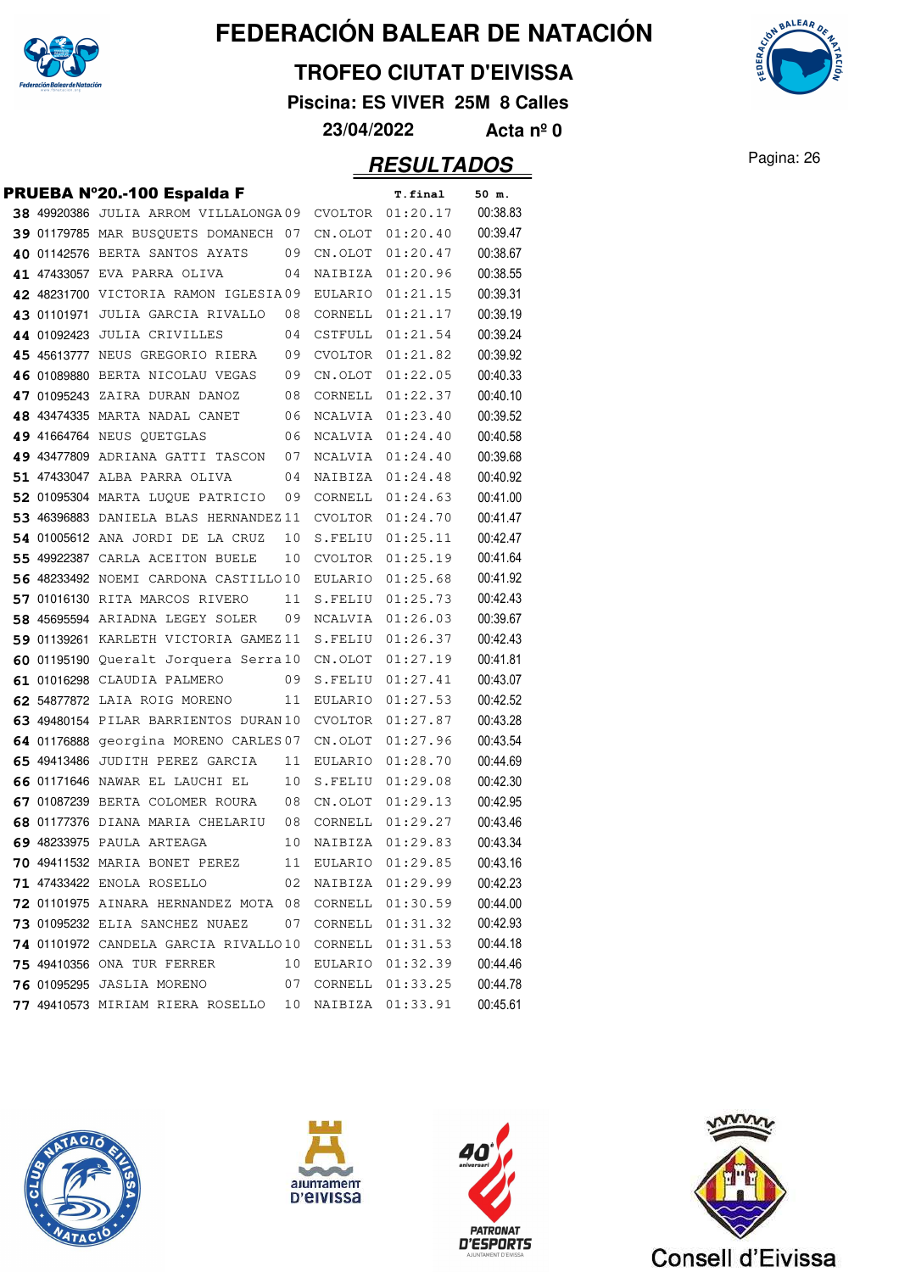

#### **TROFEO CIUTAT D'EIVISSA**

**Piscina: ES VIVER 25M 8 Calles**



|  | PRUEBA Nº20.-100 Espalda F                           |    |         | <b>T.final</b>     | 50 m.    |
|--|------------------------------------------------------|----|---------|--------------------|----------|
|  | 38 49920386 JULIA ARROM VILLALONGA09                 |    |         | CVOLTOR 01:20.17   | 00:38.83 |
|  | 39 01179785 MAR BUSQUETS DOMANECH 07                 |    |         | CN.OLOT 01:20.40   | 00:39.47 |
|  | 40 01142576 BERTA SANTOS AYATS                       | 09 |         | CN.OLOT 01:20.47   | 00:38.67 |
|  | 41 47433057 EVA PARRA OLIVA                          | 04 |         | NAIBIZA 01:20.96   | 00:38.55 |
|  | 42 48231700 VICTORIA RAMON IGLESIA09                 |    |         | EULARIO 01:21.15   | 00:39.31 |
|  | 43 01101971 JULIA GARCIA RIVALLO                     | 08 | CORNELL | 01:21.17           | 00:39.19 |
|  | 44 01092423 JULIA CRIVILLES                          | 04 | CSTFULL | 01:21.54           | 00:39.24 |
|  | 45 45613777 NEUS GREGORIO RIERA                      | 09 |         | CVOLTOR 01:21.82   | 00:39.92 |
|  | 46 01089880 BERTA NICOLAU VEGAS                      | 09 |         | CN.OLOT 01:22.05   | 00:40.33 |
|  | 47 01095243 ZAIRA DURAN DANOZ                        | 08 |         | CORNELL 01:22.37   | 00:40.10 |
|  | 48 43474335 MARTA NADAL CANET                        | 06 |         | NCALVIA 01:23.40   | 00:39.52 |
|  | 49 41664764 NEUS QUETGLAS                            | 06 |         | NCALVIA 01:24.40   | 00:40.58 |
|  | 49 43477809 ADRIANA GATTI TASCON                     | 07 |         | NCALVIA 01:24.40   | 00:39.68 |
|  | 51 47433047 ALBA PARRA OLIVA                         | 04 |         | NAIBIZA 01:24.48   | 00:40.92 |
|  | 52 01095304 MARTA LUQUE PATRICIO                     | 09 |         | CORNELL 01:24.63   | 00:41.00 |
|  | 53 46396883 DANIELA BLAS HERNANDEZ 11                |    |         | CVOLTOR 01:24.70   | 00:41.47 |
|  | 54 01005612 ANA JORDI DE LA CRUZ                     | 10 |         | S.FELIU 01:25.11   | 00:42.47 |
|  | 55 49922387 CARLA ACEITON BUELE                      | 10 |         | CVOLTOR 01:25.19   | 00:41.64 |
|  | 56 48233492 NOEMI CARDONA CASTILLO10                 |    |         | EULARIO 01:25.68   | 00:41.92 |
|  | 57 01016130 RITA MARCOS RIVERO                       | 11 |         | S.FELIU 01:25.73   | 00:42.43 |
|  | 58 45695594 ARIADNA LEGEY SOLER                      | 09 |         | NCALVIA 01:26.03   | 00:39.67 |
|  | 59 01139261 KARLETH VICTORIA GAMEZ11                 |    |         | S.FELIU 01:26.37   | 00:42.43 |
|  | 60 01195190 Queralt Jorquera Serra10                 |    |         | CN.OLOT 01:27.19   | 00:41.81 |
|  | 61 01016298 CLAUDIA PALMERO                          | 09 |         | S.FELIU 01:27.41   | 00:43.07 |
|  | 62 54877872 LAIA ROIG MORENO                         | 11 |         | EULARIO 01:27.53   | 00:42.52 |
|  | 63 49480154 PILAR BARRIENTOS DURAN10                 |    |         | CVOLTOR 01:27.87   | 00:43.28 |
|  | 64 01176888 georgina MORENO CARLES 07                |    |         | CN.OLOT 01:27.96   | 00:43.54 |
|  | 65 49413486 JUDITH PEREZ GARCIA                      | 11 |         | EULARIO 01:28.70   | 00:44.69 |
|  | 66 01171646 NAWAR EL LAUCHI EL                       | 10 |         | S.FELIU 01:29.08   | 00:42.30 |
|  | 67 01087239 BERTA COLOMER ROURA                      | 08 |         | CN.OLOT 01:29.13   | 00:42.95 |
|  | 68 01177376 DIANA MARIA CHELARIU                     | 08 |         | CORNELL $01:29.27$ | 00:43.46 |
|  | 69 48233975 PAULA ARTEAGA                            | 10 |         | NAIBIZA 01:29.83   | 00:43.34 |
|  | 70 49411532 MARIA BONET PEREZ 11 EULARIO 01:29.85    |    |         |                    | 00:43.16 |
|  | <b>71 47433422 ENOLA ROSELLO</b>                     | 02 |         | NAIBIZA 01:29.99   | 00:42.23 |
|  | 72 01101975 AINARA HERNANDEZ MOTA 08                 |    |         | CORNELL 01:30.59   | 00:44.00 |
|  | <b>73 01095232 ELIA SANCHEZ NUAEZ</b>                | 07 |         | CORNELL 01:31.32   | 00:42.93 |
|  | 74 01101972 CANDELA GARCIA RIVALLO10                 |    |         | CORNELL 01:31.53   | 00:44.18 |
|  | <b>75 49410356</b> ONA TUR FERRER                    | 10 |         | EULARIO 01:32.39   | 00:44.46 |
|  |                                                      |    |         |                    | 00:44.78 |
|  | 77 49410573 MIRIAM RIERA ROSELLO 10 NAIBIZA 01:33.91 |    |         |                    | 00:45.61 |









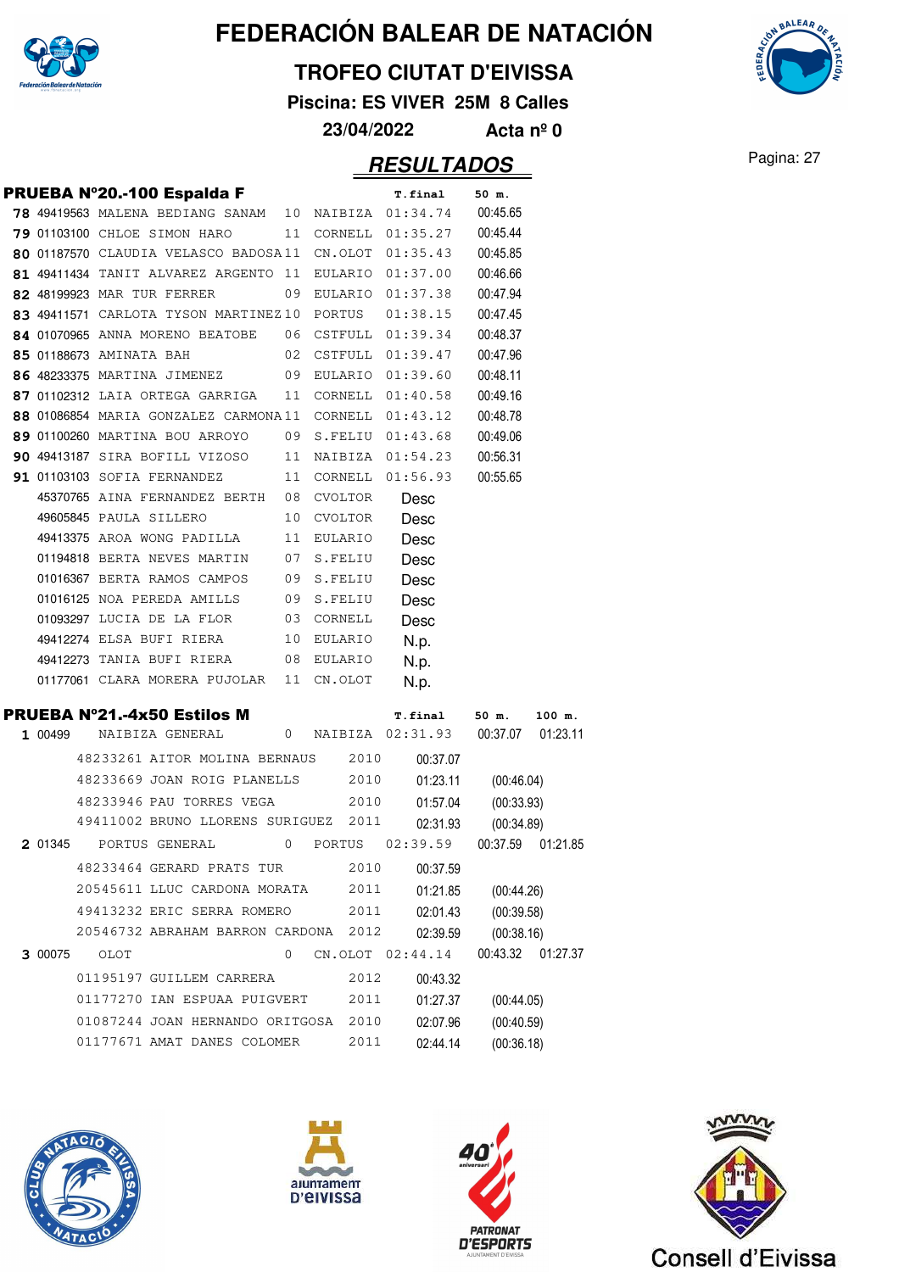

### **TROFEO CIUTAT D'EIVISSA**

**Piscina: ES VIVER 25M 8 Calles**

**23/04/2022 Acta nº 0**

### **RESULTADOS** Pagina: 27

**AALEAA** 

|         | PRUEBA Nº20.-100 Espalda F                           |             |            | T.final              | 50 m.                              |  |
|---------|------------------------------------------------------|-------------|------------|----------------------|------------------------------------|--|
|         | 78 49419563 MALENA BEDIANG SANAM 10 NAIBIZA 01:34.74 |             |            |                      | 00:45.65                           |  |
|         | 79 01103100 CHLOE SIMON HARO                         | 11          | CORNELL    | 01:35.27             | 00:45.44                           |  |
|         | 80 01187570 CLAUDIA VELASCO BADOSA11                 |             | CN.OLOT    | 01:35.43             | 00:45.85                           |  |
|         | 81 49411434 TANIT ALVAREZ ARGENTO 11 EULARIO         |             |            | 01:37.00             | 00:46.66                           |  |
|         | 82 48199923 MAR TUR FERRER                           | 09          | EULARIO    | 01:37.38             | 00:47.94                           |  |
|         | 83 49411571 CARLOTA TYSON MARTINEZ10 PORTUS          |             |            | 01:38.15             | 00:47.45                           |  |
|         | 84 01070965 ANNA MORENO BEATOBE                      |             | 06 CSTFULL | 01:39.34             | 00:48.37                           |  |
|         | 85 01188673 AMINATA BAH                              | 02          | CSTFULL    | 01:39.47             | 00:47.96                           |  |
|         | 86 48233375 MARTINA JIMENEZ                          |             | 09 EULARIO | 01:39.60             | 00:48.11                           |  |
|         | 87 01102312 LAIA ORTEGA GARRIGA                      | 11          | CORNELL    | 01:40.58             | 00:49.16                           |  |
|         | 88 01086854 MARIA GONZALEZ CARMONA11 CORNELL         |             |            | 01:43.12             | 00:48.78                           |  |
|         | 89 01100260 MARTINA BOU ARROYO                       |             | 09 S.FELIU | 01:43.68             | 00:49.06                           |  |
|         | <b>90 49413187 SIRA BOFILL VIZOSO</b>                |             |            | 11 NAIBIZA 01:54.23  | 00:56.31                           |  |
|         | <b>91 01103103 SOFIA FERNANDEZ</b>                   | 11          | CORNELL    | 01:56.93             | 00:55.65                           |  |
|         | 45370765 AINA FERNANDEZ BERTH 08                     |             | CVOLTOR    | Desc                 |                                    |  |
|         | 49605845 PAULA SILLERO                               | 10          | CVOLTOR    | Desc                 |                                    |  |
|         | 49413375 AROA WONG PADILLA                           | 11          | EULARIO    | Desc                 |                                    |  |
|         | 01194818 BERTA NEVES MARTIN                          |             | 07 S.FELIU | Desc                 |                                    |  |
|         | 01016367 BERTA RAMOS CAMPOS                          |             | 09 S.FELIU | Desc                 |                                    |  |
|         | 01016125 NOA PEREDA AMILLS                           |             | 09 S.FELIU | Desc                 |                                    |  |
|         | 01093297 LUCIA DE LA FLOR                            |             | 03 CORNELL | Desc                 |                                    |  |
|         | 49412274 ELSA BUFI RIERA                             |             | 10 EULARIO | N.p.                 |                                    |  |
|         | 49412273 TANIA BUFI RIERA<br>$\overline{08}$         |             | EULARIO    | N.p.                 |                                    |  |
|         |                                                      |             |            |                      |                                    |  |
|         | 01177061 CLARA MORERA PUJOLAR 11                     |             | CN.OLOT    | N.p.                 |                                    |  |
|         | <b>PRUEBA Nº21.-4x50 Estilos M</b>                   |             |            | <b>T.final</b>       | 50 m.<br>100 m.                    |  |
| 1 00499 | NAIBIZA GENERAL                                      | 0           |            | NAIBIZA 02:31.93     | 00:37.07<br>01:23.11               |  |
|         | 48233261 AITOR MOLINA BERNAUS                        |             | 2010       | 00:37.07             |                                    |  |
|         | 48233669 JOAN ROIG PLANELLS                          |             | 2010       | 01:23.11             | (00:46.04)                         |  |
|         | 48233946 PAU TORRES VEGA                             |             | 2010       | 01:57.04             | (00:33.93)                         |  |
|         | 49411002 BRUNO LLORENS SURIGUEZ 2011                 |             |            | 02:31.93             |                                    |  |
| 2 01345 | PORTUS GENERAL                                       | 0           | PORTUS     | 02:39.59             | (00:34.89)<br>00:37.59<br>01:21.85 |  |
|         | 48233464 GERARD PRATS TUR                            |             | 2010       | 00:37.59             |                                    |  |
|         | 20545611 LLUC CARDONA MORATA                         |             | 2011       | 01:21.85             | (00:44.26)                         |  |
|         | 49413232 ERIC SERRA ROMERO                           |             | 2011       | 02:01.43             | (00:39.58)                         |  |
|         | 20546732 ABRAHAM BARRON CARDONA 2012                 |             |            | 02:39.59             | (00:38.16)                         |  |
| 3 00075 | OLOT                                                 | $\mathbf 0$ |            | CN.OLOT 02:44.14     | 00:43.32<br>01:27.37               |  |
|         | 01195197 GUILLEM CARRERA                             |             | 2012       | 00:43.32             |                                    |  |
|         | 01177270 IAN ESPUAA PUIGVERT                         |             | 2011       | 01:27.37             |                                    |  |
|         | 01087244 JOAN HERNANDO ORITGOSA                      |             | 2010       |                      | (00:44.05)                         |  |
|         | 01177671 AMAT DANES COLOMER                          |             | 2011       | 02:07.96<br>02:44.14 | (00:40.59)<br>(00:36.18)           |  |







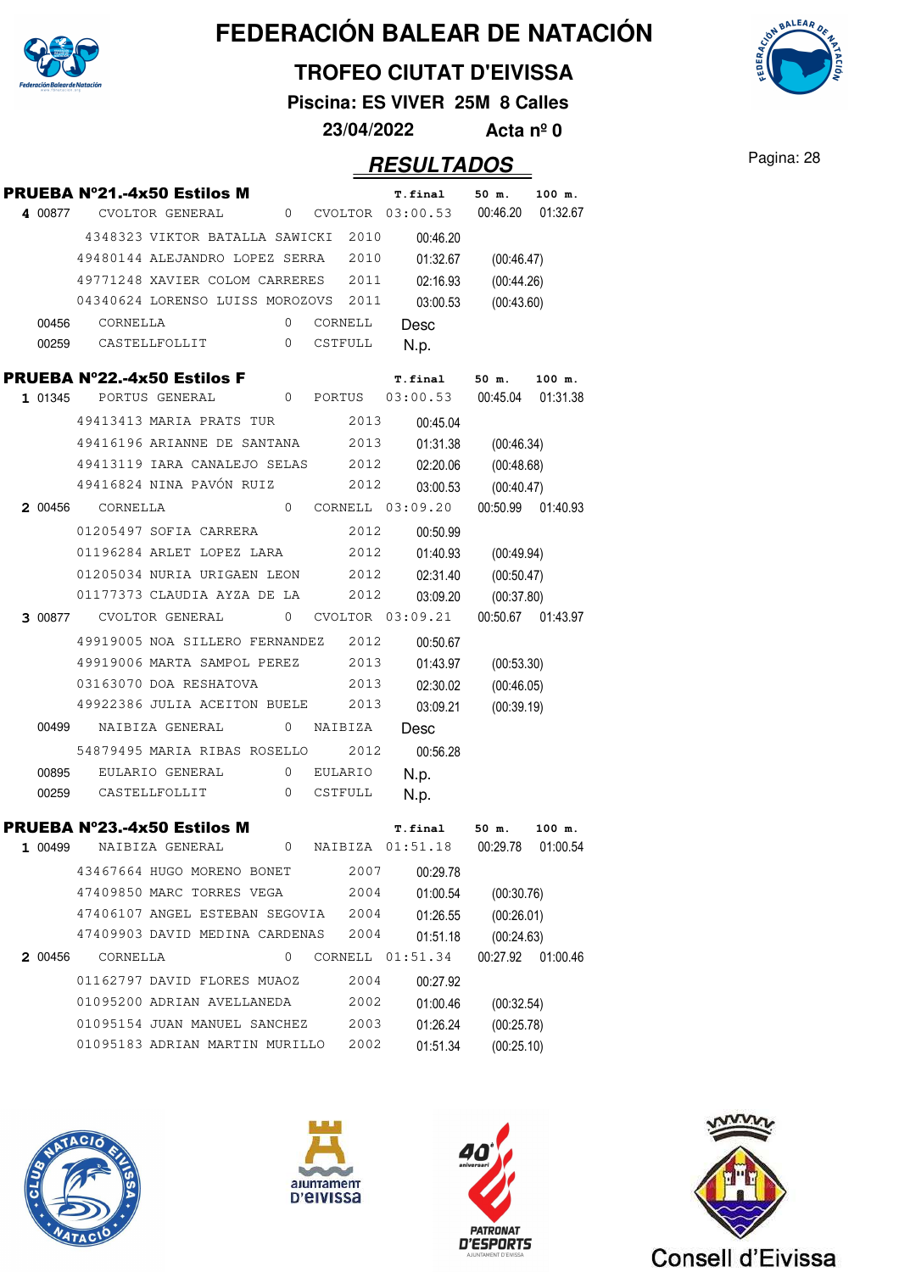

### **TROFEO CIUTAT D'EIVISSA**

**Piscina: ES VIVER 25M 8 Calles**

**23/04/2022 Acta nº 0**

### **RESULTADOS** Pagina: 28

|         | <b>PRUEBA Nº21.-4x50 Estilos M</b>   |                 |                |         | <b>T.final</b>       | 50 m.      | 100 m.            |
|---------|--------------------------------------|-----------------|----------------|---------|----------------------|------------|-------------------|
| 4 00877 |                                      | CVOLTOR GENERAL |                |         | 0 CVOLTOR 03:00.53   | 00:46.20   | 01:32.67          |
|         | 4348323 VIKTOR BATALLA SAWICKI 2010  |                 |                |         | 00:46.20             |            |                   |
|         | 49480144 ALEJANDRO LOPEZ SERRA 2010  |                 |                |         | 01:32.67             | (00:46.47) |                   |
|         | 49771248 XAVIER COLOM CARRERES       |                 |                | 2011    | 02:16.93             | (00:44.26) |                   |
|         | 04340624 LORENSO LUISS MOROZOVS 2011 |                 |                |         | 03:00.53             | (00:43.60) |                   |
| 00456   | CORNELLA                             |                 | $\Omega$       | CORNELL | Desc                 |            |                   |
| 00259   | CASTELLFOLLIT                        |                 | $\mathbf{0}$   | CSTFULL | N.p.                 |            |                   |
|         | <b>PRUEBA Nº22.-4x50 Estilos F</b>   |                 |                |         | T.final              | 50 m.      | 100 m.            |
|         | 1 01345 PORTUS GENERAL               |                 |                |         | 0 PORTUS 03:00.53    | 00:45.04   | 01:31.38          |
|         | 49413413 MARIA PRATS TUR             |                 |                | 2013    | 00:45.04             |            |                   |
|         | 49416196 ARIANNE DE SANTANA          |                 |                | 2013    | 01:31.38             | (00:46.34) |                   |
|         | 49413119 IARA CANALEJO SELAS         |                 |                | 2012    | 02:20.06             | (00:48.68) |                   |
|         | 49416824 NINA PAVÓN RUIZ             |                 |                | 2012    | 03:00.53             | (00:40.47) |                   |
|         | 2 00456 CORNELLA                     |                 |                |         | 0 CORNELL 03:09.20   |            | 00:50.99 01:40.93 |
|         | 01205497 SOFIA CARRERA               |                 |                | 2012    | 00:50.99             |            |                   |
|         | 01196284 ARLET LOPEZ LARA            |                 |                | 2012    | 01:40.93             | (00:49.94) |                   |
|         | 01205034 NURIA URIGAEN LEON          |                 |                | 2012    | 02:31.40             | (00:50.47) |                   |
|         | 01177373 CLAUDIA AYZA DE LA          |                 |                | 2012    | 03:09.20             | (00:37.80) |                   |
|         | 3 00877 CVOLTOR GENERAL              |                 | 0              |         | $CVOLTOR$ $03:09.21$ |            | 00:50.67 01:43.97 |
|         | 49919005 NOA SILLERO FERNANDEZ 2012  |                 |                |         | 00:50.67             |            |                   |
|         | 49919006 MARTA SAMPOL PEREZ          |                 |                | 2013    | 01:43.97             | (00:53.30) |                   |
|         | 03163070 DOA RESHATOVA               |                 |                | 2013    | 02:30.02             | (00:46.05) |                   |
|         | 49922386 JULIA ACEITON BUELE         |                 |                | 2013    | 03:09.21             | (00:39.19) |                   |
|         | 00499 NAIBIZA GENERAL                |                 | $\overline{0}$ | NAIBIZA | Desc                 |            |                   |
|         | 54879495 MARIA RIBAS ROSELLO         |                 |                | 2012    | 00:56.28             |            |                   |
| 00895   |                                      | EULARIO GENERAL | 0              | EULARIO | N.p.                 |            |                   |
| 00259   |                                      | CASTELLFOLLIT   | 0              | CSTFULL | N.p.                 |            |                   |
|         | <b>PRUEBA Nº23.-4x50 Estilos M</b>   |                 |                |         | T.final              | $50$ m.    | 100 m.            |
| 1 00499 |                                      | NAIBIZA GENERAL |                |         | 0 NAIBIZA 01:51.18   | 00:29.78   | 01:00.54          |
|         | 43467664 HUGO MORENO BONET           |                 |                | 2007    | 00:29.78             |            |                   |
|         | 47409850 MARC TORRES VEGA            |                 |                | 2004    | 01:00.54             | (00:30.76) |                   |
|         | 47406107 ANGEL ESTEBAN SEGOVIA       |                 |                | 2004    | 01:26.55             | (00:26.01) |                   |
|         | 47409903 DAVID MEDINA CARDENAS       |                 |                | 2004    | 01:51.18             | (00:24.63) |                   |
| 2 00456 | CORNELLA                             |                 | 0              | CORNELL | 01:51.34             | 00:27.92   | 01:00.46          |
|         | 01162797 DAVID FLORES MUAOZ          |                 |                | 2004    | 00:27.92             |            |                   |
|         | 01095200 ADRIAN AVELLANEDA           |                 |                | 2002    | 01:00.46             | (00:32.54) |                   |
|         | 01095154 JUAN MANUEL SANCHEZ         |                 |                | 2003    | 01:26.24             | (00:25.78) |                   |
|         | 01095183 ADRIAN MARTIN MURILLO       |                 |                | 2002    | 01:51.34             | (00:25.10) |                   |









Consell d'Eivissa

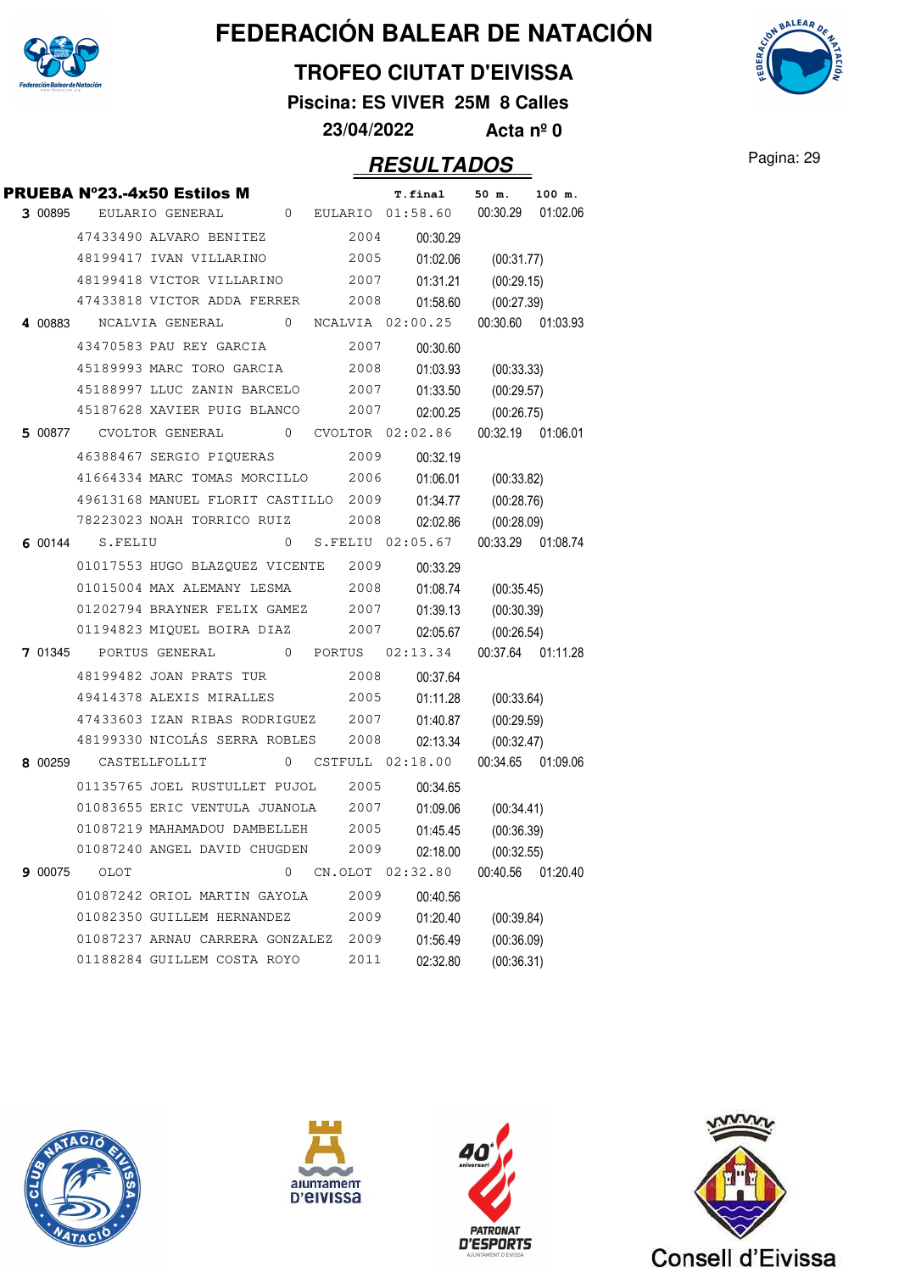

### **TROFEO CIUTAT D'EIVISSA**

**Piscina: ES VIVER 25M 8 Calles**

**23/04/2022 Acta nº 0**

|         |                       | PRUEBA Nº23.-4x50 Estilos M                    |                |          | <b>T.final</b>         | 50 m.             | 100 m.            |
|---------|-----------------------|------------------------------------------------|----------------|----------|------------------------|-------------------|-------------------|
|         |                       | 3 00895 EULARIO GENERAL                        |                |          | 0 EULARIO 01:58.60     | 00:30.29          | 01:02.06          |
|         |                       | 47433490 ALVARO BENITEZ                        |                | 2004     | 00:30.29               |                   |                   |
|         |                       | 48199417 IVAN VILLARINO                        |                | 2005     | 01:02.06               | (00:31.77)        |                   |
|         |                       | 48199418 VICTOR VILLARINO                      |                | 2007     | 01:31.21               | (00:29.15)        |                   |
|         |                       | 47433818 VICTOR ADDA FERRER                    |                | 2008     | 01:58.60               | (00:27.39)        |                   |
|         |                       | 4 00883  NCALVIA GENERAL  0  NCALVIA  02:00.25 |                |          |                        | 00:30.60 01:03.93 |                   |
|         |                       | 43470583 PAU REY GARCIA                        |                | 2007     | 00:30.60               |                   |                   |
|         |                       | 45189993 MARC TORO GARCIA                      |                | 2008     | 01:03.93               | (00:33.33)        |                   |
|         |                       | 45188997 LLUC ZANIN BARCELO 2007               |                |          | 01:33.50               | (00:29.57)        |                   |
|         |                       | 45187628 XAVIER PUIG BLANCO                    |                | 2007     | 02:00.25               | (00:26.75)        |                   |
|         |                       | 5 00877 CVOLTOR GENERAL 0 CVOLTOR 02:02.86     |                |          |                        | 00:32.19 01:06.01 |                   |
|         |                       | 46388467 SERGIO PIQUERAS                       |                | 2009     | 00:32.19               |                   |                   |
|         |                       | 41664334 MARC TOMAS MORCILLO                   |                | 2006     | 01:06.01               | (00:33.82)        |                   |
|         |                       | 49613168 MANUEL FLORIT CASTILLO 2009           |                |          | 01:34.77               | (00:28.76)        |                   |
|         |                       | 78223023 NOAH TORRICO RUIZ                     |                | 2008     | 02:02.86               | (00:28.09)        |                   |
|         | 6 00144 S.FELIU       |                                                | $\overline{0}$ |          | S.FELIU 02:05.67       | 00:33.29 01:08.74 |                   |
|         |                       | 01017553 HUGO BLAZQUEZ VICENTE                 |                | 2009     | 00:33.29               |                   |                   |
|         |                       | 01015004 MAX ALEMANY LESMA                     |                | 2008     | 01:08.74               | (00:35.45)        |                   |
|         |                       | 01202794 BRAYNER FELIX GAMEZ 2007              |                |          | 01:39.13               | (00:30.39)        |                   |
|         |                       | 01194823 MIQUEL BOIRA DIAZ                     |                | 2007     | 02:05.67               | (00:26.54)        |                   |
|         |                       | 7 01345 PORTUS GENERAL                         |                | 0 PORTUS | 02:13.34               |                   | 00:37.64 01:11.28 |
|         |                       | 48199482 JOAN PRATS TUR                        |                | 2008     | 00:37.64               |                   |                   |
|         |                       | 49414378 ALEXIS MIRALLES                       |                | 2005     | 01:11.28               | (00:33.64)        |                   |
|         |                       | 47433603 IZAN RIBAS RODRIGUEZ 2007             |                |          | 01:40.87               | (00:29.59)        |                   |
|         |                       | 48199330 NICOLÁS SERRA ROBLES                  |                | 2008     | 02:13.34               | (00:32.47)        |                   |
|         | 8 00259 CASTELLFOLLIT |                                                |                |          | $0$ CSTFULL $02:18.00$ |                   | 00:34.65 01:09.06 |
|         |                       | 01135765 JOEL RUSTULLET PUJOL                  |                | 2005     | 00:34.65               |                   |                   |
|         |                       | 01083655 ERIC VENTULA JUANOLA                  |                | 2007     | 01:09.06               | (00:34.41)        |                   |
|         |                       | 01087219 MAHAMADOU DAMBELLEH                   |                | 2005     | 01:45.45               | (00:36.39)        |                   |
|         |                       | 01087240 ANGEL DAVID CHUGDEN                   |                | 2009     | 02:18.00               | (00:32.55)        |                   |
| 9 00075 | OLOT                  |                                                | 0              |          | CN.OLOT 02:32.80       | 00:40.56          | 01:20.40          |
|         |                       | 01087242 ORIOL MARTIN GAYOLA                   |                | 2009     | 00:40.56               |                   |                   |
|         |                       | 01082350 GUILLEM HERNANDEZ                     |                | 2009     | 01:20.40               | (00:39.84)        |                   |
|         |                       | 01087237 ARNAU CARRERA GONZALEZ                |                | 2009     | 01:56.49               | (00:36.09)        |                   |
|         |                       | 01188284 GUILLEM COSTA ROYO                    |                | 2011     | 02:32.80               | (00:36.31)        |                   |
|         |                       |                                                |                |          |                        |                   |                   |









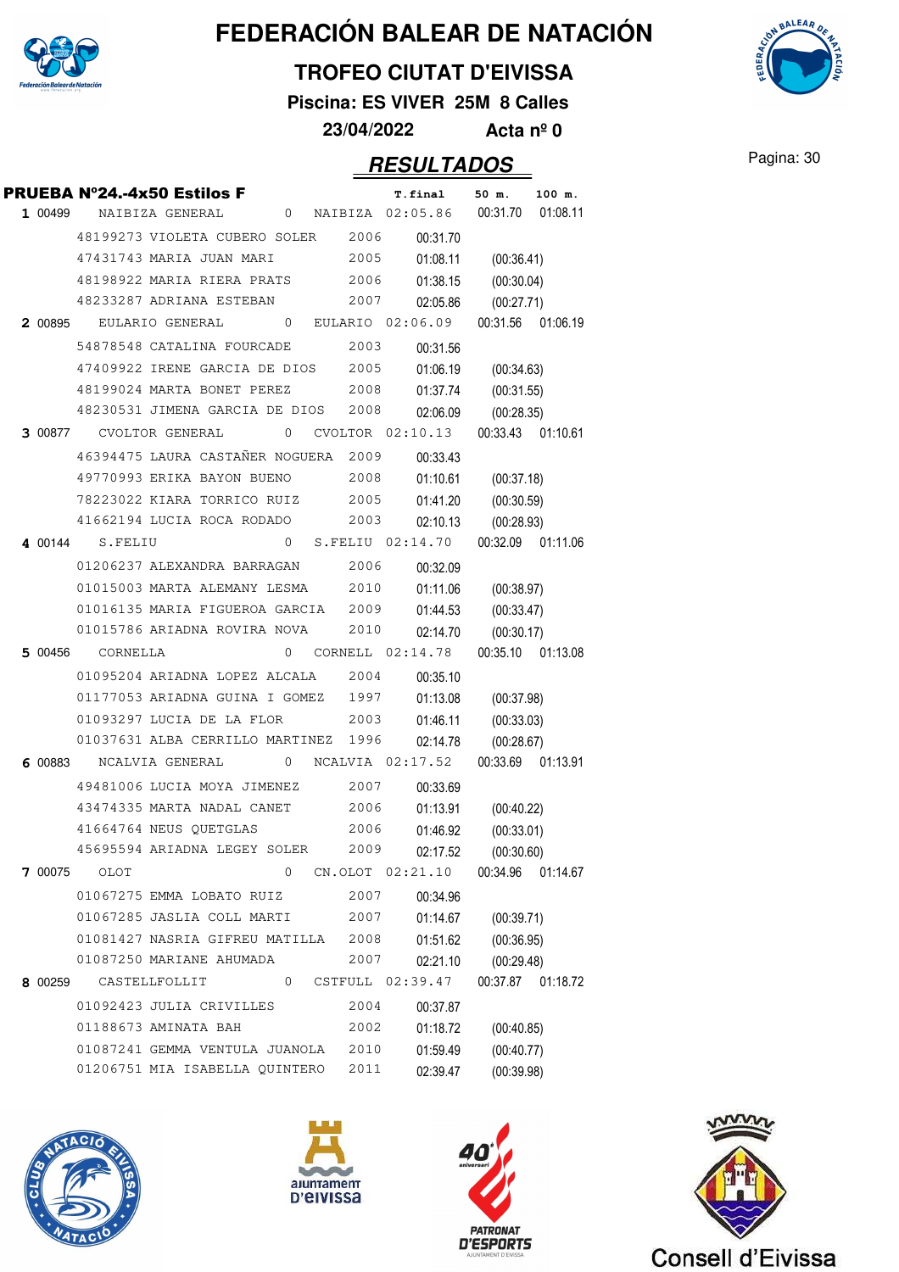

### **TROFEO CIUTAT D'EIVISSA**

**Piscina: ES VIVER 25M 8 Calles**

**23/04/2022 Acta nº 0**

### **RESULTADOS** Pagina: 30

|                | <b>PRUEBA N°24.-4x50 Estilos F</b> |                 |              |         |         | T.final            | 50 m.      | 100 m.            |
|----------------|------------------------------------|-----------------|--------------|---------|---------|--------------------|------------|-------------------|
| 1 00499        |                                    | NAIBIZA GENERAL | 0            | NAIBIZA |         | 02:05.86           | 00:31.70   | 01:08.11          |
|                | 48199273 VIOLETA CUBERO SOLER      |                 |              |         | 2006    | 00:31.70           |            |                   |
|                | 47431743 MARIA JUAN MARI           |                 |              |         | 2005    | 01:08.11           | (00:36.41) |                   |
|                | 48198922 MARIA RIERA PRATS         |                 |              |         | 2006    | 01:38.15           | (00:30.04) |                   |
|                | 48233287 ADRIANA ESTEBAN           |                 |              |         | 2007    | 02:05.86           | (00:27.71) |                   |
| 2 00895        |                                    | EULARIO GENERAL | 0            |         |         | EULARIO 02:06.09   |            | 00:31.56 01:06.19 |
|                | 54878548 CATALINA FOURCADE         |                 |              |         | 2003    | 00:31.56           |            |                   |
|                | 47409922 IRENE GARCIA DE DIOS      |                 |              |         | 2005    | 01:06.19           | (00:34.63) |                   |
|                | 48199024 MARTA BONET PEREZ         |                 |              |         | 2008    | 01:37.74           | (00:31.55) |                   |
|                | 48230531 JIMENA GARCIA DE DIOS     |                 |              |         | 2008    | 02:06.09           | (00:28.35) |                   |
| <b>3</b> 00877 |                                    | CVOLTOR GENERAL | 0            |         |         | CVOLTOR 02:10.13   |            | 00:33.43 01:10.61 |
|                | 46394475 LAURA CASTAÑER NOGUERA    |                 |              |         | 2009    | 00:33.43           |            |                   |
|                | 49770993 ERIKA BAYON BUENO         |                 |              |         | 2008    | 01:10.61           | (00:37.18) |                   |
|                | 78223022 KIARA TORRICO RUIZ        |                 |              |         | 2005    | 01:41.20           | (00:30.59) |                   |
|                | 41662194 LUCIA ROCA RODADO         |                 |              |         | 2003    | 02:10.13           | (00:28.93) |                   |
| 4 00144        | S.FELIU                            |                 | 0            |         |         | S.FELIU 02:14.70   |            | 00:32.09 01:11.06 |
|                | 01206237 ALEXANDRA BARRAGAN        |                 |              |         | 2006    | 00:32.09           |            |                   |
|                | 01015003 MARTA ALEMANY LESMA       |                 |              |         | 2010    | 01:11.06           | (00:38.97) |                   |
|                | 01016135 MARIA FIGUEROA GARCIA     |                 |              |         | 2009    | 01:44.53           | (00:33.47) |                   |
|                | 01015786 ARIADNA ROVIRA NOVA       |                 |              |         | 2010    | 02:14.70           | (00:30.17) |                   |
| 5 00456        | CORNELLA                           |                 | $\mathbf{0}$ |         |         | CORNELL $02:14.78$ |            | 00:35.10 01:13.08 |
|                | 01095204 ARIADNA LOPEZ ALCALA      |                 |              |         | 2004    | 00:35.10           |            |                   |
|                | 01177053 ARIADNA GUINA I GOMEZ     |                 |              |         | 1997    | 01:13.08           | (00:37.98) |                   |
|                | 01093297 LUCIA DE LA FLOR          |                 |              |         | 2003    | 01:46.11           | (00:33.03) |                   |
|                | 01037631 ALBA CERRILLO MARTINEZ    |                 |              |         | 1996    | 02:14.78           | (00:28.67) |                   |
| 6 00883        |                                    | NCALVIA GENERAL |              |         |         | 0 NCALVIA 02:17.52 |            | 00:33.69 01:13.91 |
|                | 49481006 LUCIA MOYA JIMENEZ        |                 |              |         | 2007    | 00:33.69           |            |                   |
|                | 43474335 MARTA NADAL CANET         |                 |              |         | 2006    | 01:13.91           | (00:40.22) |                   |
|                | 41664764 NEUS QUETGLAS             |                 |              |         | 2006    | 01:46.92           | (00:33.01) |                   |
|                | 45695594 ARIADNA LEGEY SOLER       |                 |              |         | 2009    | 02:17.52           | (00:30.60) |                   |
| 7 00075        | OLOT                               |                 | 0            |         | CN.OLOT | 02:21.10           | 00:34.96   | 01:14.67          |
|                | 01067275 EMMA LOBATO RUIZ          |                 |              |         | 2007    | 00:34.96           |            |                   |
|                | 01067285 JASLIA COLL MARTI         |                 |              |         | 2007    | 01:14.67           | (00:39.71) |                   |
|                | 01081427 NASRIA GIFREU MATILLA     |                 |              |         | 2008    | 01:51.62           | (00:36.95) |                   |
|                | 01087250 MARIANE AHUMADA           |                 |              |         | 2007    | 02:21.10           | (00:29.48) |                   |
| 8 00259        |                                    | CASTELLFOLLIT   | 0            |         | CSTFULL | 02:39.47           | 00:37.87   | 01:18.72          |
|                |                                    |                 |              |         |         |                    |            |                   |
|                | 01092423 JULIA CRIVILLES           |                 |              |         | 2004    | 00:37.87           |            |                   |
|                | 01188673 AMINATA BAH               |                 |              |         | 2002    | 01:18.72           | (00:40.85) |                   |
|                | 01087241 GEMMA VENTULA JUANOLA     |                 |              |         | 2010    | 01:59.49           | (00:40.77) |                   |









Consell d'Eivissa